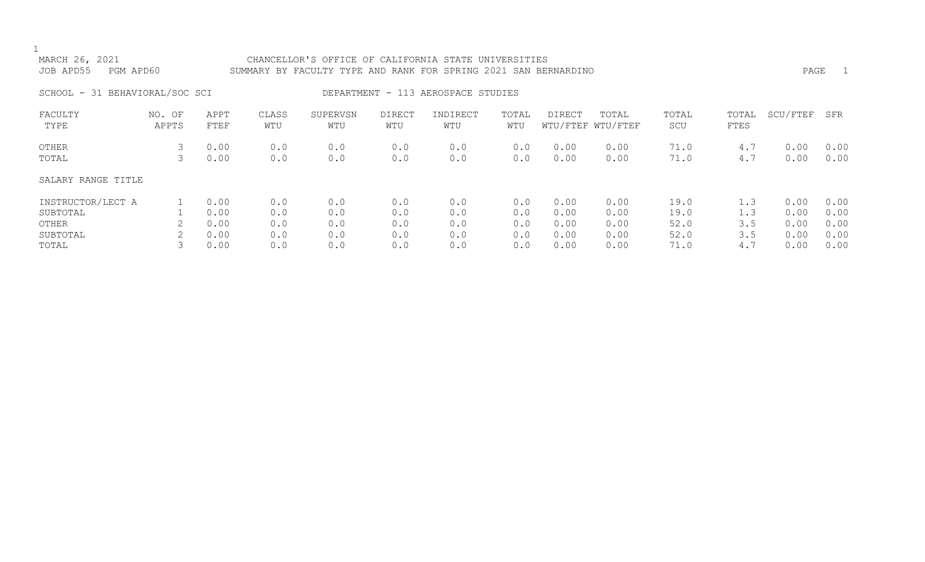| PGM APD60       |                              |                                        |                          |                          |                          |                          |                                                                                                   |                                                              |                                         |                          | PAGE                         | $\perp$                              |
|-----------------|------------------------------|----------------------------------------|--------------------------|--------------------------|--------------------------|--------------------------|---------------------------------------------------------------------------------------------------|--------------------------------------------------------------|-----------------------------------------|--------------------------|------------------------------|--------------------------------------|
|                 |                              |                                        |                          |                          |                          |                          |                                                                                                   |                                                              |                                         |                          |                              |                                      |
| NO. OF<br>APPTS | APPT<br>FTEF                 | CLASS<br>WTU                           | SUPERVSN<br>WTU          | DIRECT<br>WTU            | INDIRECT<br>WTU          | TOTAL<br>WTU             | DIRECT                                                                                            | TOTAL                                                        | TOTAL<br>SCU                            | TOTAL<br>FTES            | SCU/FTEF                     | SFR                                  |
| 3<br>3          | 0.00<br>0.00                 | 0.0<br>0.0                             | 0.0<br>0.0               | 0.0<br>0.0               | 0.0<br>0.0               | 0.0<br>0.0               | 0.00<br>0.00                                                                                      | 0.00<br>0.00                                                 | 71.0<br>71.0                            | 4.7<br>4.7               | 0.00<br>0.00                 | 0.00<br>0.00                         |
|                 |                              |                                        |                          |                          |                          |                          |                                                                                                   |                                                              |                                         |                          |                              |                                      |
| 2               | 0.00<br>0.00<br>0.00<br>0.00 | 0.0<br>0.0<br>0.0<br>0.0               | 0.0<br>0.0<br>0.0<br>0.0 | 0.0<br>0.0<br>0.0<br>0.0 | 0.0<br>0.0<br>0.0<br>0.0 | 0.0<br>0.0<br>0.0<br>0.0 | 0.00<br>0.00<br>0.00<br>0.00                                                                      | 0.00<br>0.00<br>0.00<br>0.00                                 | 19.0<br>19.0<br>52.0<br>52.0            | 1.3<br>1.3<br>3.5<br>3.5 | 0.00<br>0.00<br>0.00<br>0.00 | 0.00<br>0.00<br>0.00<br>0.00<br>0.00 |
|                 |                              | SCHOOL - 31 BEHAVIORAL/SOC SCI<br>0.00 | 0.0                      | 0.0                      | 0.0                      | 0.0                      | SUMMARY BY FACULTY TYPE AND RANK FOR SPRING 2021 SAN<br>DEPARTMENT - 113 AEROSPACE STUDIES<br>0.0 | CHANCELLOR'S OFFICE OF CALIFORNIA STATE UNIVERSITIES<br>0.00 | BERNARDINO<br>WTU/FTEF WTU/FTEF<br>0.00 | 71.0                     | 4.7                          | 0.00                                 |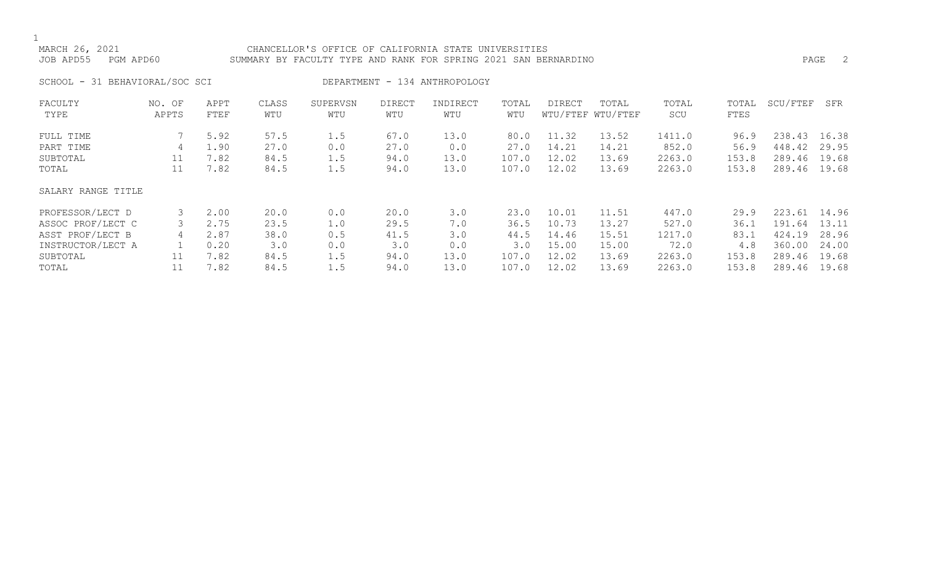# MARCH 26, 2021 CHANCELLOR'S OFFICE OF CALIFORNIA STATE UNIVERSITIES JOB APD55 PGM APD60 SUMMARY BY FACULTY TYPE AND RANK FOR SPRING 2021 SAN BERNARDINO PAGE 2

SCHOOL - 31 BEHAVIORAL/SOC SCI DEPARTMENT - 134 ANTHROPOLOGY

| FACULTY            | NO. OF | APPT | CLASS | SUPERVSN | <b>DIRECT</b> | INDIRECT | TOTAL | DIRECT | TOTAL             | TOTAL  | TOTAL | SCU/FTEF | SFR   |
|--------------------|--------|------|-------|----------|---------------|----------|-------|--------|-------------------|--------|-------|----------|-------|
| TYPE               | APPTS  | FTEF | WTU   | WTU      | WTU           | WTU      | WTU   |        | WTU/FTEF WTU/FTEF | SCU    | FTES  |          |       |
| FULL TIME          |        | 5.92 | 57.5  | 1.5      | 67.0          | 13.0     | 80.0  | 11.32  | 13.52             | 1411.0 | 96.9  | 238.43   | 16.38 |
| PART TIME          | 4      | 1.90 | 27.0  | 0.0      | 27.0          | 0.0      | 27.0  | 14.21  | 14.21             | 852.0  | 56.9  | 448.42   | 29.95 |
| SUBTOTAL           | 11     | 7.82 | 84.5  | 1.5      | 94.0          | 13.0     | 107.0 | 12.02  | 13.69             | 2263.0 | 153.8 | 289.46   | 19.68 |
| TOTAL              | 11     | 7.82 | 84.5  | 1.5      | 94.0          | 13.0     | 107.0 | 12.02  | 13.69             | 2263.0 | 153.8 | 289.46   | 19.68 |
| SALARY RANGE TITLE |        |      |       |          |               |          |       |        |                   |        |       |          |       |
| PROFESSOR/LECT D   |        | 2.00 | 20.0  | 0.0      | 20.0          | 3.0      | 23.0  | 10.01  | 11.51             | 447.0  | 29.9  | 223.61   | 14.96 |
| ASSOC PROF/LECT C  |        | 2.75 | 23.5  | 1.0      | 29.5          | 7.0      | 36.5  | 10.73  | 13.27             | 527.0  | 36.1  | 191.64   | 13.11 |
| ASST PROF/LECT B   | 4      | 2.87 | 38.0  | 0.5      | 41.5          | 3.0      | 44.5  | 14.46  | 15.51             | 1217.0 | 83.1  | 424.19   | 28.96 |
| INSTRUCTOR/LECT A  |        | 0.20 | 3.0   | 0.0      | 3.0           | 0.0      | 3.0   | 15.00  | 15.00             | 72.0   | 4.8   | 360.00   | 24.00 |
| SUBTOTAL           | 11     | 7.82 | 84.5  | 1.5      | 94.0          | 13.0     | 107.0 | 12.02  | 13.69             | 2263.0 | 153.8 | 289.46   | 19.68 |
| TOTAL              |        | 7.82 | 84.5  | 1.5      | 94.0          | 13.0     | 107.0 | 12.02  | 13.69             | 2263.0 | 153.8 | 289.46   | 19.68 |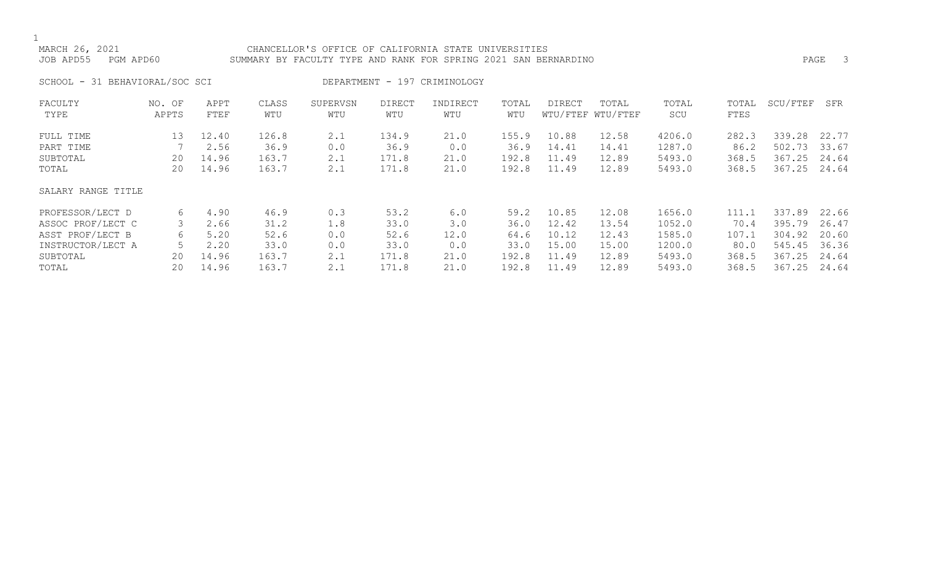# MARCH 26, 2021 CHANCELLOR'S OFFICE OF CALIFORNIA STATE UNIVERSITIES JOB APD55 PGM APD60 SUMMARY BY FACULTY TYPE AND RANK FOR SPRING 2021 SAN BERNARDINO PAGE 3

SCHOOL - 31 BEHAVIORAL/SOC SCI DEPARTMENT - 197 CRIMINOLOGY

| FACULTY            | NO. OF | APPT  | CLASS | SUPERVSN | <b>DIRECT</b> | INDIRECT | TOTAL | DIRECT | TOTAL             | TOTAL  | TOTAL | SCU/FTEF | SFR   |
|--------------------|--------|-------|-------|----------|---------------|----------|-------|--------|-------------------|--------|-------|----------|-------|
| TYPE               | APPTS  | FTEF  | WTU   | WTU      | WTU           | WTU      | WTU   |        | WTU/FTEF WTU/FTEF | SCU    | FTES  |          |       |
| FULL TIME          | 13     | 12.40 | 126.8 | 2.1      | 134.9         | 21.0     | 155.9 | 10.88  | 12.58             | 4206.0 | 282.3 | 339.28   | 22.77 |
| PART TIME          |        | 2.56  | 36.9  | 0.0      | 36.9          | 0.0      | 36.9  | 14.41  | 14.41             | 1287.0 | 86.2  | 502.73   | 33.67 |
| SUBTOTAL           | 20     | 14.96 | 163.7 | 2.1      | 171.8         | 21.0     | 192.8 | 11.49  | 12.89             | 5493.0 | 368.5 | 367.25   | 24.64 |
| TOTAL              | 20     | 14.96 | 163.7 | 2.1      | 171.8         | 21.0     | 192.8 | 11.49  | 12.89             | 5493.0 | 368.5 | 367.25   | 24.64 |
| SALARY RANGE TITLE |        |       |       |          |               |          |       |        |                   |        |       |          |       |
| PROFESSOR/LECT D   | 6      | 4.90  | 46.9  | 0.3      | 53.2          | 6.0      | 59.2  | 10.85  | 12.08             | 1656.0 | 111.1 | 337.89   | 22.66 |
| ASSOC PROF/LECT C  |        | 2.66  | 31.2  | 1.8      | 33.0          | 3.0      | 36.0  | 12.42  | 13.54             | 1052.0 | 70.4  | 395.79   | 26.47 |
| ASST PROF/LECT B   | 6      | 5.20  | 52.6  | 0.0      | 52.6          | 12.0     | 64.6  | 10.12  | 12.43             | 1585.0 | 107.1 | 304.92   | 20.60 |
| INSTRUCTOR/LECT A  |        | 2.20  | 33.0  | 0.0      | 33.0          | 0.0      | 33.0  | 15.00  | 15.00             | 1200.0 | 80.0  | 545.45   | 36.36 |
| SUBTOTAL           | 20     | 14.96 | 163.7 | 2.1      | 171.8         | 21.0     | 192.8 | 11.49  | 12.89             | 5493.0 | 368.5 | 367.25   | 24.64 |
| TOTAL              | 20     | 14.96 | 163.7 | 2.1      | 171.8         | 21.0     | 192.8 | 11.49  | 12.89             | 5493.0 | 368.5 | 367.25   | 24.64 |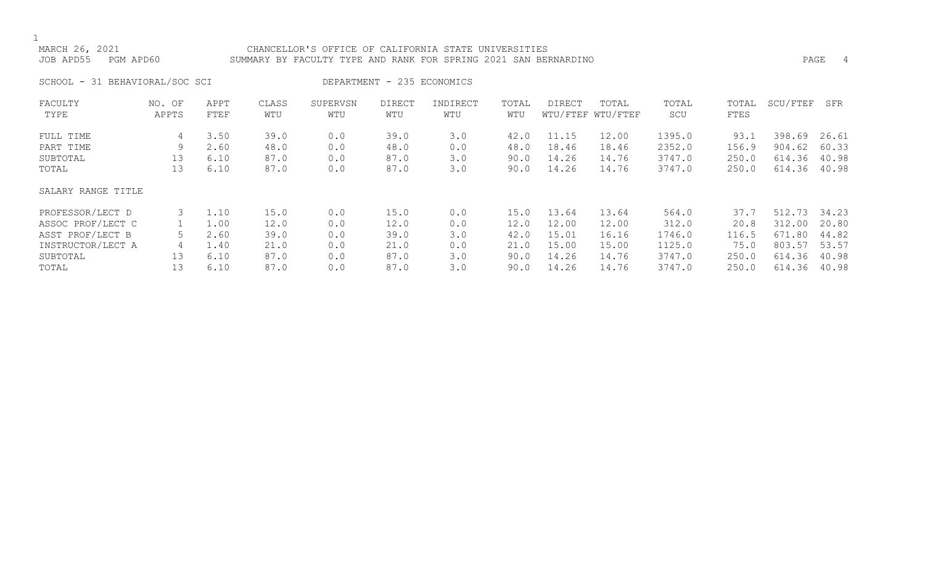# MARCH 26, 2021 CHANCELLOR'S OFFICE OF CALIFORNIA STATE UNIVERSITIES JOB APD55 PGM APD60 SUMMARY BY FACULTY TYPE AND RANK FOR SPRING 2021 SAN BERNARDINO PAGE 4

SCHOOL - 31 BEHAVIORAL/SOC SCI DEPARTMENT - 235 ECONOMICS

| FACULTY            | NO. OF | APPT | CLASS | SUPERVSN | <b>DIRECT</b> | INDIRECT | TOTAL | DIRECT | TOTAL             | TOTAL  | TOTAL | SCU/FTEF | SFR   |
|--------------------|--------|------|-------|----------|---------------|----------|-------|--------|-------------------|--------|-------|----------|-------|
| TYPE               | APPTS  | FTEF | WTU   | WTU      | WTU           | WTU      | WTU   |        | WTU/FTEF WTU/FTEF | SCU    | FTES  |          |       |
| FULL TIME          | 4      | 3.50 | 39.0  | 0.0      | 39.0          | 3.0      | 42.0  | 11.15  | 12.00             | 1395.0 | 93.1  | 398.69   | 26.61 |
| PART TIME          | 9      | 2.60 | 48.0  | 0.0      | 48.0          | 0.0      | 48.0  | 18.46  | 18.46             | 2352.0 | 156.9 | 904.62   | 60.33 |
| SUBTOTAL           | 13     | 6.10 | 87.0  | 0.0      | 87.0          | 3.0      | 90.0  | 14.26  | 14.76             | 3747.0 | 250.0 | 614.36   | 40.98 |
| TOTAL              | 13     | 6.10 | 87.0  | 0.0      | 87.0          | 3.0      | 90.0  | 14.26  | 14.76             | 3747.0 | 250.0 | 614.36   | 40.98 |
| SALARY RANGE TITLE |        |      |       |          |               |          |       |        |                   |        |       |          |       |
| PROFESSOR/LECT D   |        | 1.10 | 15.0  | 0.0      | 15.0          | 0.0      | 15.0  | 13.64  | 13.64             | 564.0  | 37.7  | 512.73   | 34.23 |
| ASSOC PROF/LECT C  |        | 1.00 | 12.0  | 0.0      | 12.0          | 0.0      | 12.0  | 12.00  | 12.00             | 312.0  | 20.8  | 312.00   | 20.80 |
| ASST PROF/LECT B   |        | 2.60 | 39.0  | 0.0      | 39.0          | 3.0      | 42.0  | 15.01  | 16.16             | 1746.0 | 116.5 | 671.80   | 44.82 |
| INSTRUCTOR/LECT A  | 4      | 1.40 | 21.0  | 0.0      | 21.0          | 0.0      | 21.0  | 15.00  | 15.00             | 1125.0 | 75.0  | 803.57   | 53.57 |
| SUBTOTAL           | 13     | 6.10 | 87.0  | 0.0      | 87.0          | 3.0      | 90.0  | 14.26  | 14.76             | 3747.0 | 250.0 | 614.36   | 40.98 |
| TOTAL              | 13     | 6.10 | 87.0  | 0.0      | 87.0          | 3.0      | 90.0  | 14.26  | 14.76             | 3747.0 | 250.0 | 614.36   | 40.98 |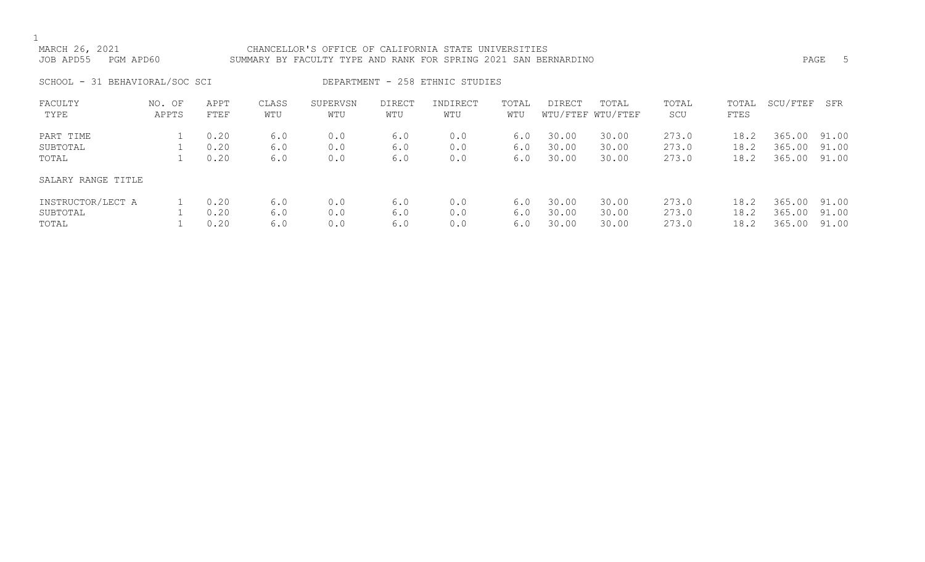# MARCH 26, 2021 CHANCELLOR'S OFFICE OF CALIFORNIA STATE UNIVERSITIES JOB APD55 PGM APD60 SUMMARY BY FACULTY TYPE AND RANK FOR SPRING 2021 SAN BERNARDINO PAGE 5

SCHOOL - 31 BEHAVIORAL/SOC SCI DEPARTMENT - 258 ETHNIC STUDIES

| FACULTY            | NO. OF | APPT | CLASS | SUPERVSN | <b>DIRECT</b> | INDIRECT | TOTAL | DIRECT | TOTAL             | TOTAL | TOTAL | SCU/FTEF | SFR   |
|--------------------|--------|------|-------|----------|---------------|----------|-------|--------|-------------------|-------|-------|----------|-------|
| TYPE               | APPTS  | FTEF | WTU   | WTU      | WTU           | WTU      | WTU   |        | WTU/FTEF WTU/FTEF | SCU   | FTES  |          |       |
|                    |        |      |       |          |               |          |       |        |                   |       |       |          |       |
| PART TIME          |        | 0.20 | 6.0   | 0.0      | 6.0           | 0.0      | 6.0   | 30.00  | 30.00             | 273.0 | 18.2  | 365.00   | 91.00 |
| SUBTOTAL           |        | 0.20 | 6.0   | 0.0      | 6.0           | 0.0      | 6.0   | 30.00  | 30.00             | 273.0 | 18.2  | 365.00   | 91.00 |
| TOTAL              |        | 0.20 | 6.0   | 0.0      | 6.0           | 0.0      | 6.0   | 30.00  | 30.00             | 273.0 | 18.2  | 365.00   | 91.00 |
| SALARY RANGE TITLE |        |      |       |          |               |          |       |        |                   |       |       |          |       |
| INSTRUCTOR/LECT A  |        | 0.20 | 6.0   | 0.0      | 6.0           | 0.0      | 6.0   | 30.00  | 30.00             | 273.0 | 18.2  | 365.00   | 91.00 |
| SUBTOTAL           |        | 0.20 | 6.0   | 0.0      | 6.0           | 0.0      | 6.0   | 30.00  | 30.00             | 273.0 | 18.2  | 365.00   | 91.00 |
| TOTAL              |        | 0.20 | 6.0   | 0.0      | 6.0           | 0.0      | 6.0   | 30.00  | 30.00             | 273.0 | 18.2  | 365.00   | 91.00 |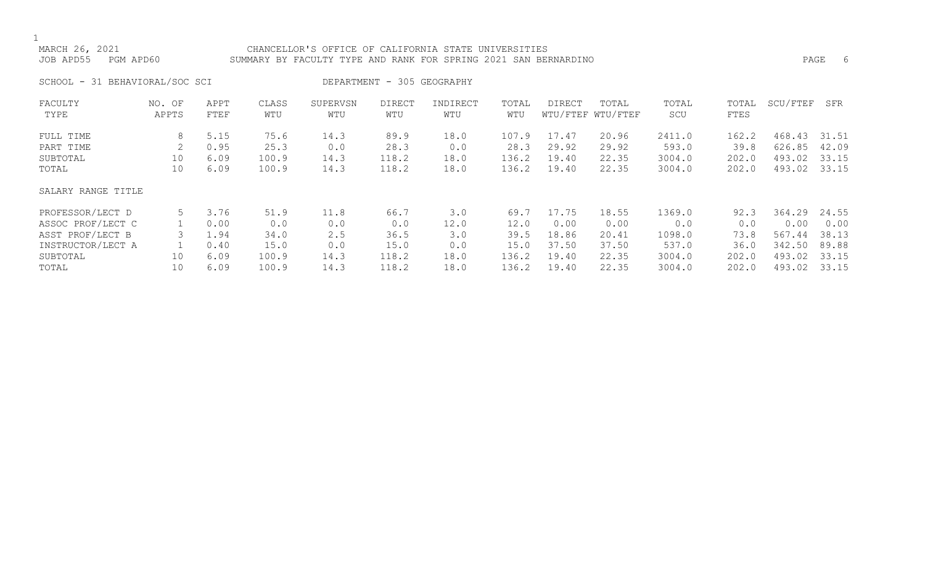# MARCH 26, 2021 CHANCELLOR'S OFFICE OF CALIFORNIA STATE UNIVERSITIES JOB APD55 PGM APD60 SUMMARY BY FACULTY TYPE AND RANK FOR SPRING 2021 SAN BERNARDINO PAGE 6

SCHOOL - 31 BEHAVIORAL/SOC SCI DEPARTMENT - 305 GEOGRAPHY

| FACULTY            | NO. OF | APPT | CLASS | SUPERVSN | DIRECT | INDIRECT | TOTAL | DIRECT | TOTAL             | TOTAL  | TOTAL | SCU/FTEF | SFR   |
|--------------------|--------|------|-------|----------|--------|----------|-------|--------|-------------------|--------|-------|----------|-------|
| TYPE               | APPTS  | FTEF | WTU   | WTU      | WTU    | WTU      | WTU   |        | WTU/FTEF WTU/FTEF | SCU    | FTES  |          |       |
| FULL TIME          | 8      | 5.15 | 75.6  | 14.3     | 89.9   | 18.0     | 107.9 | 17.47  | 20.96             | 2411.0 | 162.2 | 468.43   | 31.51 |
| PART TIME          |        | 0.95 | 25.3  | 0.0      | 28.3   | 0.0      | 28.3  | 29.92  | 29.92             | 593.0  | 39.8  | 626.85   | 42.09 |
| SUBTOTAL           | 10     | 6.09 | 100.9 | 14.3     | 118.2  | 18.0     | 136.2 | 19.40  | 22.35             | 3004.0 | 202.0 | 493.02   | 33.15 |
| TOTAL              | 10     | 6.09 | 100.9 | 14.3     | 118.2  | 18.0     | 136.2 | 19.40  | 22.35             | 3004.0 | 202.0 | 493.02   | 33.15 |
| SALARY RANGE TITLE |        |      |       |          |        |          |       |        |                   |        |       |          |       |
| PROFESSOR/LECT D   | 5      | 3.76 | 51.9  | 11.8     | 66.7   | 3.0      | 69.7  | 17.75  | 18.55             | 1369.0 | 92.3  | 364.29   | 24.55 |
| ASSOC PROF/LECT C  |        | 0.00 | 0.0   | 0.0      | 0.0    | 12.0     | 12.0  | 0.00   | 0.00              | 0.0    | 0.0   | 0.00     | 0.00  |
| ASST PROF/LECT B   |        | 1.94 | 34.0  | 2.5      | 36.5   | 3.0      | 39.5  | 18.86  | 20.41             | 1098.0 | 73.8  | 567.44   | 38.13 |
| INSTRUCTOR/LECT A  |        | 0.40 | 15.0  | 0.0      | 15.0   | 0.0      | 15.0  | 37.50  | 37.50             | 537.0  | 36.0  | 342.50   | 89.88 |
| SUBTOTAL           | 10     | 6.09 | 100.9 | 14.3     | 118.2  | 18.0     | 136.2 | 19.40  | 22.35             | 3004.0 | 202.0 | 493.02   | 33.15 |
| TOTAL              | 10     | 6.09 | 100.9 | 14.3     | 118.2  | 18.0     | 136.2 | 19.40  | 22.35             | 3004.0 | 202.0 | 493.02   | 33.15 |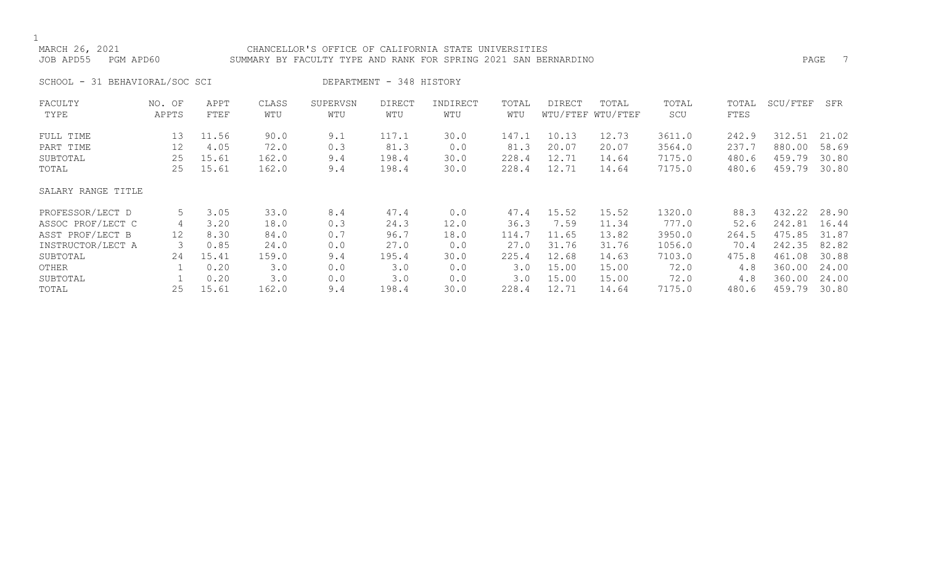# CHANCELLOR'S OFFICE OF CALIFORNIA STATE UNIVERSITIES JOB APD55 PGM APD60 SUMMARY BY FACULTY TYPE AND RANK FOR SPRING 2021 SAN BERNARDINO PAGE 7

SCHOOL - 31 BEHAVIORAL/SOC SCI DEPARTMENT - 348 HISTORY

| FACULTY<br>TYPE    | NO. OF<br>APPTS | APPT<br>FTEF | CLASS<br>WTU | SUPERVSN<br>WTU | <b>DIRECT</b><br>WTU | INDIRECT<br>WTU | TOTAL<br>WTU | DIRECT | TOTAL<br>WTU/FTEF WTU/FTEF | TOTAL<br>SCU | TOTAL<br>FTES | SCU/FTEF | SFR   |
|--------------------|-----------------|--------------|--------------|-----------------|----------------------|-----------------|--------------|--------|----------------------------|--------------|---------------|----------|-------|
| FULL TIME          | 13              | 11.56        | 90.0         | 9.1             | 117.1                | 30.0            | 147.1        | 10.13  | 12.73                      | 3611.0       | 242.9         | 312.51   | 21.02 |
| PART TIME          | 12              | 4.05         | 72.0         | 0.3             | 81.3                 | 0.0             | 81.3         | 20.07  | 20.07                      | 3564.0       | 237.7         | 880.00   | 58.69 |
| SUBTOTAL           | 25              | 15.61        | 162.0        | 9.4             | 198.4                | 30.0            | 228.4        | 12.71  | 14.64                      | 7175.0       | 480.6         | 459.79   | 30.80 |
| TOTAL              | 25              | 15.61        | 162.0        | 9.4             | 198.4                | 30.0            | 228.4        | 12.71  | 14.64                      | 7175.0       | 480.6         | 459.79   | 30.80 |
| SALARY RANGE TITLE |                 |              |              |                 |                      |                 |              |        |                            |              |               |          |       |
| PROFESSOR/LECT D   | 5               | 3.05         | 33.0         | 8.4             | 47.4                 | 0.0             | 47.4         | 15.52  | 15.52                      | 1320.0       | 88.3          | 432.22   | 28.90 |
| ASSOC PROF/LECT C  | 4               | 3.20         | 18.0         | 0.3             | 24.3                 | 12.0            | 36.3         | 7.59   | 11.34                      | 777.0        | 52.6          | 242.81   | 16.44 |
| ASST PROF/LECT B   | 12              | 8.30         | 84.0         | 0.7             | 96.7                 | 18.0            | 114.7        | 11.65  | 13.82                      | 3950.0       | 264.5         | 475.85   | 31.87 |
| INSTRUCTOR/LECT A  |                 | 0.85         | 24.0         | 0.0             | 27.0                 | 0.0             | 27.0         | 31.76  | 31.76                      | 1056.0       | 70.4          | 242.35   | 82.82 |
| SUBTOTAL           | 24              | 15.41        | 159.0        | 9.4             | 195.4                | 30.0            | 225.4        | 12.68  | 14.63                      | 7103.0       | 475.8         | 461.08   | 30.88 |
| OTHER              |                 | 0.20         | 3.0          | 0.0             | 3.0                  | 0.0             | 3.0          | 15.00  | 15.00                      | 72.0         | 4.8           | 360.00   | 24.00 |
| SUBTOTAL           |                 | 0.20         | 3.0          | 0.0             | 3.0                  | 0.0             | 3.0          | 15.00  | 15.00                      | 72.0         | 4.8           | 360.00   | 24.00 |
| TOTAL              | 25              | 15.61        | 162.0        | 9.4             | 198.4                | 30.0            | 228.4        | 12.71  | 14.64                      | 7175.0       | 480.6         | 459.79   | 30.80 |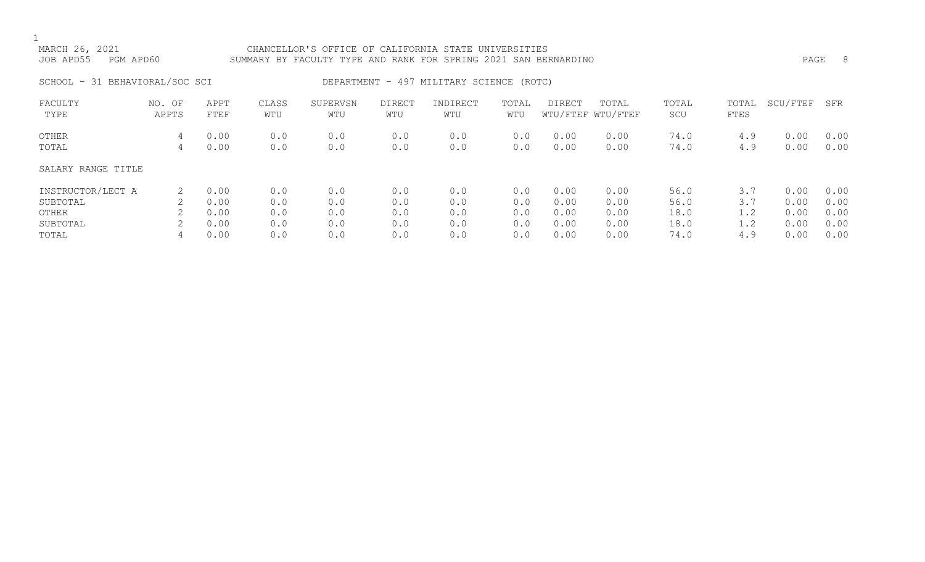# MARCH 26, 2021 CHANCELLOR'S OFFICE OF CALIFORNIA STATE UNIVERSITIES JOB APD55 PGM APD60 SUMMARY BY FACULTY TYPE AND RANK FOR SPRING 2021 SAN BERNARDINO PAGE 8

# SCHOOL - 31 BEHAVIORAL/SOC SCI DEPARTMENT - 497 MILITARY SCIENCE (ROTC)

| FACULTY<br>TYPE    | NO. OF<br>APPTS | APPT<br>FTEF | CLASS<br>WTU | SUPERVSN<br>WTU | DIRECT<br>WTU | INDIRECT<br>WTU | TOTAL<br>WTU | DIRECT       | TOTAL<br>WTU/FTEF WTU/FTEF | TOTAL<br>SCU | TOTAL<br>FTES | SCU/FTEF     | SFR          |
|--------------------|-----------------|--------------|--------------|-----------------|---------------|-----------------|--------------|--------------|----------------------------|--------------|---------------|--------------|--------------|
| OTHER<br>TOTAL     | 4<br>4          | 0.00<br>0.00 | 0.0<br>0.0   | 0.0<br>0.0      | 0.0<br>0.0    | 0.0<br>0.0      | 0.0<br>0.0   | 0.00<br>0.00 | 0.00<br>0.00               | 74.0<br>74.0 | 4.9<br>4.9    | 0.00<br>0.00 | 0.00<br>0.00 |
| SALARY RANGE TITLE |                 |              |              |                 |               |                 |              |              |                            |              |               |              |              |
| INSTRUCTOR/LECT A  |                 | 0.00         | 0.0          | 0.0             | 0.0           | 0.0             | 0.0          | 0.00         | 0.00                       | 56.0         | 3.7           | 0.00         | 0.00         |
| SUBTOTAL           |                 | 0.00         | 0.0          | 0.0             | 0.0           | 0.0             | 0.0          | 0.00         | 0.00                       | 56.0         | 3.7           | 0.00         | 0.00         |
| OTHER              |                 | 0.00         | 0.0          | 0.0             | 0.0           | 0.0             | 0.0          | 0.00         | 0.00                       | 18.0         | 1.2           | 0.00         | 0.00         |
| SUBTOTAL           |                 | 0.00         | 0.0          | 0.0             | 0.0           | 0.0             | 0.0          | 0.00         | 0.00                       | 18.0         | 1.2           | 0.00         | 0.00         |
| TOTAL              |                 | 0.00         | 0.0          | 0.0             | 0.0           | 0.0             | 0.0          | 0.00         | 0.00                       | 74.0         | 4.9           | 0.00         | 0.00         |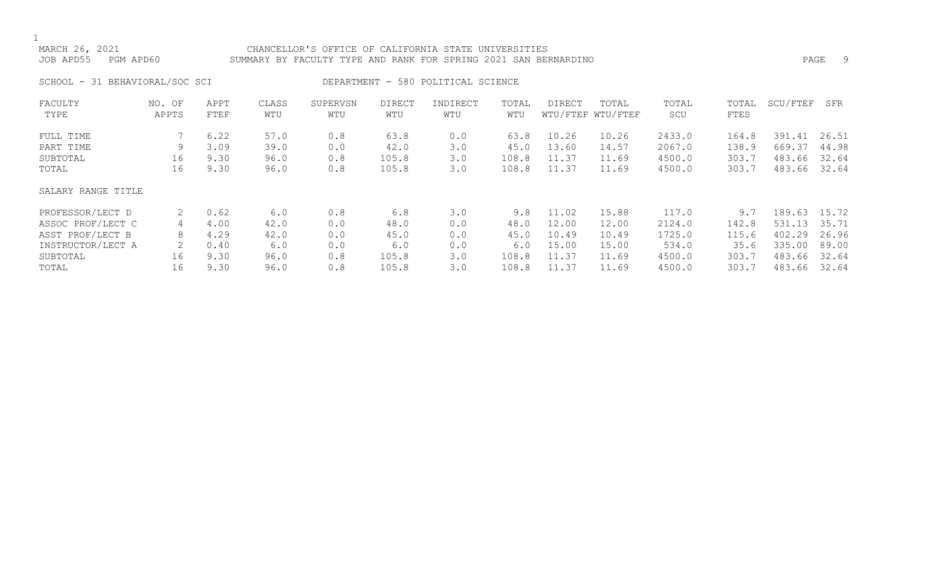# MARCH 26, 2021 CHANCELLOR'S OFFICE OF CALIFORNIA STATE UNIVERSITIES JOB APD55 PGM APD60 SUMMARY BY FACULTY TYPE AND RANK FOR SPRING 2021 SAN BERNARDINO PAGE 9

SCHOOL - 31 BEHAVIORAL/SOC SCI DEPARTMENT - 580 POLITICAL SCIENCE

| FACULTY            | NO. OF | APPT | CLASS | SUPERVSN | <b>DIRECT</b> | INDIRECT | TOTAL | <b>DIRECT</b> | TOTAL             | TOTAL  | TOTAL | SCU/FTEF | SFR   |
|--------------------|--------|------|-------|----------|---------------|----------|-------|---------------|-------------------|--------|-------|----------|-------|
| TYPE               | APPTS  | FTEF | WTU   | WTU      | WTU           | WTU      | WTU   |               | WTU/FTEF WTU/FTEF | SCU    | FTES  |          |       |
| FULL TIME          |        | 6.22 | 57.0  | 0.8      | 63.8          | 0.0      | 63.8  | 10.26         | 10.26             | 2433.0 | 164.8 | 391.41   | 26.51 |
| PART TIME          | 9      | 3.09 | 39.0  | 0.0      | 42.0          | 3.0      | 45.0  | 13.60         | 14.57             | 2067.0 | 138.9 | 669.37   | 44.98 |
| SUBTOTAL           | 16     | 9.30 | 96.0  | 0.8      | 105.8         | 3.0      | 108.8 | 11.37         | 11.69             | 4500.0 | 303.7 | 483.66   | 32.64 |
| TOTAL              | 16     | 9.30 | 96.0  | 0.8      | 105.8         | 3.0      | 108.8 | 11.37         | 11.69             | 4500.0 | 303.7 | 483.66   | 32.64 |
| SALARY RANGE TITLE |        |      |       |          |               |          |       |               |                   |        |       |          |       |
| PROFESSOR/LECT D   |        | 0.62 | 6.0   | 0.8      | 6.8           | 3.0      | 9.8   | 11.02         | 15.88             | 117.0  | 9.7   | 189.63   | 15.72 |
| ASSOC PROF/LECT C  | 4      | 4.00 | 42.0  | 0.0      | 48.0          | 0.0      | 48.0  | 12.00         | 12.00             | 2124.0 | 142.8 | 531.13   | 35.71 |
| ASST PROF/LECT B   | 8      | 4.29 | 42.0  | 0.0      | 45.0          | 0.0      | 45.0  | 10.49         | 10.49             | 1725.0 | 115.6 | 402.29   | 26.96 |
| INSTRUCTOR/LECT A  |        | 0.40 | 6.0   | 0.0      | 6.0           | 0.0      | 6.0   | 15.00         | 15.00             | 534.0  | 35.6  | 335.00   | 89.00 |
| SUBTOTAL           | 16     | 9.30 | 96.0  | 0.8      | 105.8         | 3.0      | 108.8 | 11.37         | 11.69             | 4500.0 | 303.7 | 483.66   | 32.64 |
| TOTAL              | 16     | 9.30 | 96.0  | 0.8      | 105.8         | 3.0      | 108.8 | 11.37         | 11.69             | 4500.0 | 303.7 | 483.66   | 32.64 |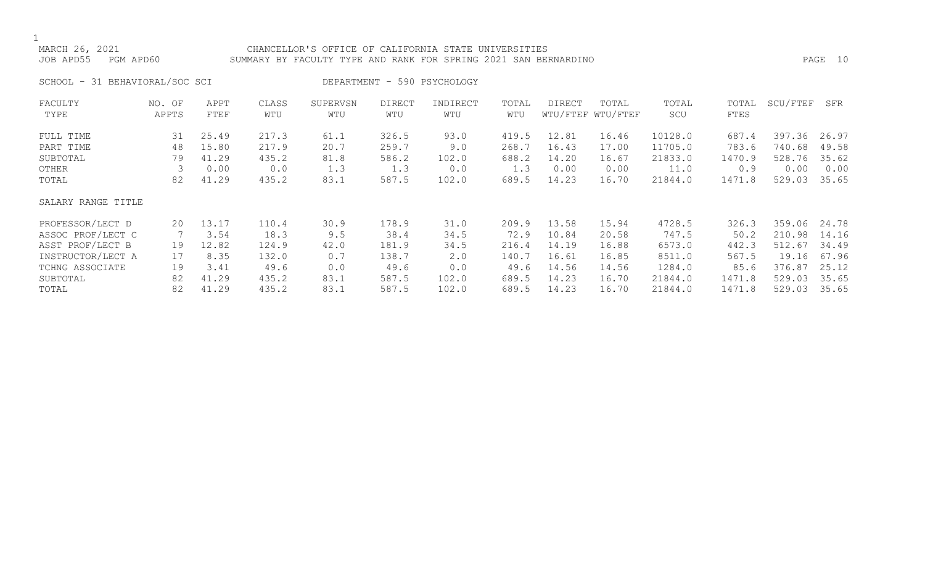# MARCH 26, 2021 CHANCELLOR'S OFFICE OF CALIFORNIA STATE UNIVERSITIES JOB APD55 PGM APD60 SUMMARY BY FACULTY TYPE AND RANK FOR SPRING 2021 SAN BERNARDINO PAGE 10

SCHOOL - 31 BEHAVIORAL/SOC SCI DEPARTMENT - 590 PSYCHOLOGY

| FACULTY<br>TYPE                    | NO. OF<br>APPTS | APPT<br>FTEF            | CLASS<br>WTU            | SUPERVSN<br>WTU      | <b>DIRECT</b><br>WTU    | INDIRECT<br>WTU      | TOTAL<br>WTU            | DIRECT                  | TOTAL<br>WTU/FTEF WTU/FTEF | TOTAL<br>SCU                  | TOTAL<br>FTES            | SCU/FTEF                   | SFR                     |
|------------------------------------|-----------------|-------------------------|-------------------------|----------------------|-------------------------|----------------------|-------------------------|-------------------------|----------------------------|-------------------------------|--------------------------|----------------------------|-------------------------|
| FULL TIME<br>PART TIME<br>SUBTOTAL | 31<br>48<br>79  | 25.49<br>15.80<br>41.29 | 217.3<br>217.9<br>435.2 | 61.1<br>20.7<br>81.8 | 326.5<br>259.7<br>586.2 | 93.0<br>9.0<br>102.0 | 419.5<br>268.7<br>688.2 | 12.81<br>16.43<br>14.20 | 16.46<br>17.00<br>16.67    | 10128.0<br>11705.0<br>21833.0 | 687.4<br>783.6<br>1470.9 | 397.36<br>740.68<br>528.76 | 26.97<br>49.58<br>35.62 |
| OTHER                              |                 | 0.00                    | 0.0                     | 1.3                  | 1.3                     | 0.0                  | 1.3                     | 0.00                    | 0.00                       | 11.0                          | 0.9                      | 0.00                       | 0.00                    |
| TOTAL                              | 82              | 41.29                   | 435.2                   | 83.1                 | 587.5                   | 102.0                | 689.5                   | 14.23                   | 16.70                      | 21844.0                       | 1471.8                   | 529.03                     | 35.65                   |
| SALARY RANGE TITLE                 |                 |                         |                         |                      |                         |                      |                         |                         |                            |                               |                          |                            |                         |
| PROFESSOR/LECT D                   | 20              | 13.17                   | 110.4                   | 30.9                 | 178.9                   | 31.0                 | 209.9                   | 13.58                   | 15.94                      | 4728.5                        | 326.3                    | 359.06                     | 24.78                   |
| ASSOC PROF/LECT C                  |                 | 3.54                    | 18.3                    | 9.5                  | 38.4                    | 34.5                 | 72.9                    | 10.84                   | 20.58                      | 747.5                         | 50.2                     | 210.98                     | 14.16                   |
| ASST PROF/LECT B                   | 19              | 12.82                   | 124.9                   | 42.0                 | 181.9                   | 34.5                 | 216.4                   | 14.19                   | 16.88                      | 6573.0                        | 442.3                    | 512.67                     | 34.49                   |
| INSTRUCTOR/LECT A                  | 17              | 8.35                    | 132.0                   | 0.7                  | 138.7                   | 2.0                  | 140.7                   | 16.61                   | 16.85                      | 8511.0                        | 567.5                    | 19.16                      | 67.96                   |
| TCHNG ASSOCIATE                    | 19              | 3.41                    | 49.6                    | 0.0                  | 49.6                    | 0.0                  | 49.6                    | 14.56                   | 14.56                      | 1284.0                        | 85.6                     | 376.87                     | 25.12                   |
| SUBTOTAL                           | 82              | 41.29                   | 435.2                   | 83.1                 | 587.5                   | 102.0                | 689.5                   | 14.23                   | 16.70                      | 21844.0                       | 1471.8                   | 529.03                     | 35.65                   |
| TOTAL                              | 82              | 41.29                   | 435.2                   | 83.1                 | 587.5                   | 102.0                | 689.5                   | 14.23                   | 16.70                      | 21844.0                       | 1471.8                   | 529.03                     | 35.65                   |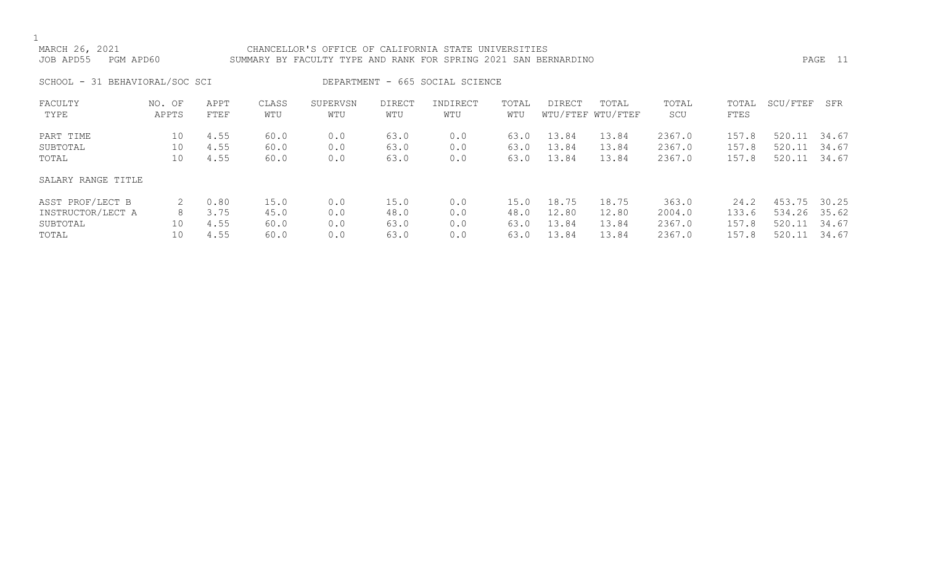# MARCH 26, 2021 CHANCELLOR'S OFFICE OF CALIFORNIA STATE UNIVERSITIES JOB APD55 PGM APD60 SUMMARY BY FACULTY TYPE AND RANK FOR SPRING 2021 SAN BERNARDINO PAGE 11

SCHOOL - 31 BEHAVIORAL/SOC SCI DEPARTMENT - 665 SOCIAL SCIENCE

| FACULTY            | NO. OF | APPT | CLASS | SUPERVSN | <b>DIRECT</b> | INDIRECT | TOTAL | DIRECT | TOTAL             | TOTAL  | TOTAL | SCU/FTEF     | SFR   |
|--------------------|--------|------|-------|----------|---------------|----------|-------|--------|-------------------|--------|-------|--------------|-------|
| TYPE               | APPTS  | FTEF | WTU   | WTU      | WTU           | WTU      | WTU   |        | WTU/FTEF WTU/FTEF | SCU    | FTES  |              |       |
| PART TIME          | 10     | 4.55 | 60.0  | 0.0      | 63.0          | 0.0      | 63.0  | 13.84  | 13.84             | 2367.0 | 157.8 | 520.11       | 34.67 |
| SUBTOTAL           | 10     | 4.55 | 60.0  | 0.0      | 63.0          | 0.0      | 63.0  | 13.84  | 13.84             | 2367.0 | 157.8 | 520.11       | 34.67 |
| TOTAL              | 10     | 4.55 | 60.0  | 0.0      | 63.0          | 0.0      | 63.0  | 13.84  | 13.84             | 2367.0 | 157.8 | 520.11       | 34.67 |
| SALARY RANGE TITLE |        |      |       |          |               |          |       |        |                   |        |       |              |       |
| ASST PROF/LECT B   |        | 0.80 | 15.0  | 0.0      | 15.0          | 0.0      | 15.0  | 18.75  | 18.75             | 363.0  | 24.2  | 453.75 30.25 |       |
| INSTRUCTOR/LECT A  | 8      | 3.75 | 45.0  | 0.0      | 48.0          | 0.0      | 48.0  | 12.80  | 12.80             | 2004.0 | 133.6 | 534.26       | 35.62 |
| SUBTOTAL           | 10     | 4.55 | 60.0  | 0.0      | 63.0          | 0.0      | 63.0  | 13.84  | 13.84             | 2367.0 | 157.8 | 520.11       | 34.67 |
| TOTAL              | 10     | 4.55 | 60.0  | 0.0      | 63.0          | 0.0      | 63.0  | 13.84  | 13.84             | 2367.0 | 157.8 | 520.11       | 34.67 |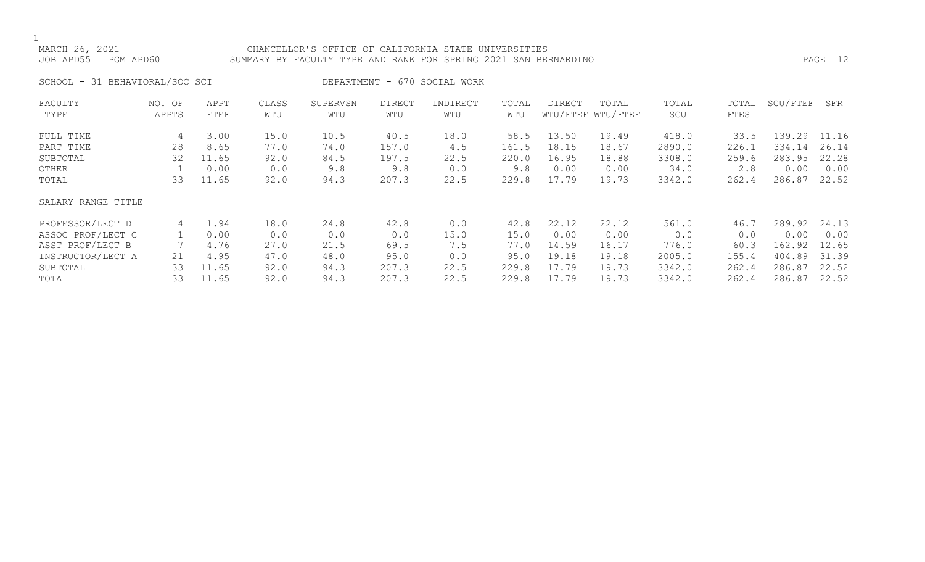# MARCH 26, 2021 CHANCELLOR'S OFFICE OF CALIFORNIA STATE UNIVERSITIES JOB APD55 PGM APD60 SUMMARY BY FACULTY TYPE AND RANK FOR SPRING 2021 SAN BERNARDINO PAGE 12

SCHOOL - 31 BEHAVIORAL/SOC SCI DEPARTMENT - 670 SOCIAL WORK

| FACULTY            | NO. OF | APPT  | CLASS | SUPERVSN | <b>DIRECT</b> | INDIRECT | TOTAL | <b>DIRECT</b> | TOTAL             | TOTAL  | TOTAL | SCU/FTEF | SFR   |
|--------------------|--------|-------|-------|----------|---------------|----------|-------|---------------|-------------------|--------|-------|----------|-------|
| TYPE               | APPTS  | FTEF  | WTU   | WTU      | WTU           | WTU      | WTU   |               | WTU/FTEF WTU/FTEF | SCU    | FTES  |          |       |
| FULL TIME          | 4      | 3.00  | 15.0  | 10.5     | 40.5          | 18.0     | 58.5  | 13.50         | 19.49             | 418.0  | 33.5  | 139.29   | 11.16 |
| PART TIME          | 28     | 8.65  | 77.0  | 74.0     | 157.0         | 4.5      | 161.5 | 18.15         | 18.67             | 2890.0 | 226.1 | 334.14   | 26.14 |
| SUBTOTAL           | 32     | 11.65 | 92.0  | 84.5     | 197.5         | 22.5     | 220.0 | 16.95         | 18.88             | 3308.0 | 259.6 | 283.95   | 22.28 |
| OTHER              |        | 0.00  | 0.0   | 9.8      | 9.8           | 0.0      | 9.8   | 0.00          | 0.00              | 34.0   | 2.8   | 0.00     | 0.00  |
| TOTAL              | 33     | 11.65 | 92.0  | 94.3     | 207.3         | 22.5     | 229.8 | 17.79         | 19.73             | 3342.0 | 262.4 | 286.87   | 22.52 |
| SALARY RANGE TITLE |        |       |       |          |               |          |       |               |                   |        |       |          |       |
| PROFESSOR/LECT D   | 4      | 1.94  | 18.0  | 24.8     | 42.8          | 0.0      | 42.8  | 22.12         | 22.12             | 561.0  | 46.7  | 289.92   | 24.13 |
| ASSOC PROF/LECT C  |        | 0.00  | 0.0   | 0.0      | 0.0           | 15.0     | 15.0  | 0.00          | 0.00              | 0.0    | 0.0   | 0.00     | 0.00  |
| ASST PROF/LECT B   |        | 4.76  | 27.0  | 21.5     | 69.5          | 7.5      | 77.0  | 14.59         | 16.17             | 776.0  | 60.3  | 162.92   | 12.65 |
| INSTRUCTOR/LECT A  | 21     | 4.95  | 47.0  | 48.0     | 95.0          | 0.0      | 95.0  | 19.18         | 19.18             | 2005.0 | 155.4 | 404.89   | 31.39 |
| SUBTOTAL           | 33     | 11.65 | 92.0  | 94.3     | 207.3         | 22.5     | 229.8 | 17.79         | 19.73             | 3342.0 | 262.4 | 286.87   | 22.52 |
| TOTAL              | 33     | 11.65 | 92.0  | 94.3     | 207.3         | 22.5     | 229.8 | 17.79         | 19.73             | 3342.0 | 262.4 | 286.87   | 22.52 |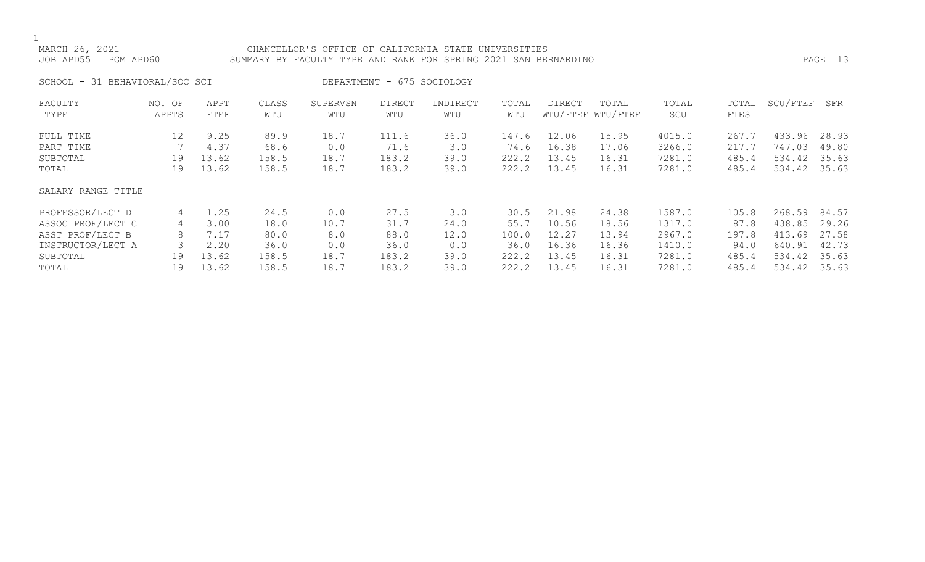# MARCH 26, 2021 CHANCELLOR'S OFFICE OF CALIFORNIA STATE UNIVERSITIES JOB APD55 PGM APD60 SUMMARY BY FACULTY TYPE AND RANK FOR SPRING 2021 SAN BERNARDINO PAGE 13

SCHOOL - 31 BEHAVIORAL/SOC SCI DEPARTMENT - 675 SOCIOLOGY

| FACULTY            | NO. OF | APPT  | CLASS | SUPERVSN | <b>DIRECT</b> | INDIRECT | TOTAL | DIRECT | TOTAL             | TOTAL  | TOTAL | SCU/FTEF | SFR   |
|--------------------|--------|-------|-------|----------|---------------|----------|-------|--------|-------------------|--------|-------|----------|-------|
| TYPE               | APPTS  | FTEF  | WTU   | WTU      | WTU           | WTU      | WTU   |        | WTU/FTEF WTU/FTEF | SCU    | FTES  |          |       |
| FULL TIME          | 12     | 9.25  | 89.9  | 18.7     | 111.6         | 36.0     | 147.6 | 12.06  | 15.95             | 4015.0 | 267.7 | 433.96   | 28.93 |
| PART TIME          |        | 4.37  | 68.6  | 0.0      | 71.6          | 3.0      | 74.6  | 16.38  | 17.06             | 3266.0 | 217.7 | 747.03   | 49.80 |
| SUBTOTAL           | 19     | 13.62 | 158.5 | 18.7     | 183.2         | 39.0     | 222.2 | 13.45  | 16.31             | 7281.0 | 485.4 | 534.42   | 35.63 |
| TOTAL              | 19     | 13.62 | 158.5 | 18.7     | 183.2         | 39.0     | 222.2 | 13.45  | 16.31             | 7281.0 | 485.4 | 534.42   | 35.63 |
| SALARY RANGE TITLE |        |       |       |          |               |          |       |        |                   |        |       |          |       |
| PROFESSOR/LECT D   | 4      | 1.25  | 24.5  | 0.0      | 27.5          | 3.0      | 30.5  | 21.98  | 24.38             | 1587.0 | 105.8 | 268.59   | 84.57 |
| ASSOC PROF/LECT C  | 4      | 3.00  | 18.0  | 10.7     | 31.7          | 24.0     | 55.7  | 10.56  | 18.56             | 1317.0 | 87.8  | 438.85   | 29.26 |
| ASST PROF/LECT B   | 8      | 7.17  | 80.0  | 8.0      | 88.0          | 12.0     | 100.0 | 12.27  | 13.94             | 2967.0 | 197.8 | 413.69   | 27.58 |
| INSTRUCTOR/LECT A  |        | 2.20  | 36.0  | 0.0      | 36.0          | 0.0      | 36.0  | 16.36  | 16.36             | 1410.0 | 94.0  | 640.91   | 42.73 |
| SUBTOTAL           | 19     | 13.62 | 158.5 | 18.7     | 183.2         | 39.0     | 222.2 | 13.45  | 16.31             | 7281.0 | 485.4 | 534.42   | 35.63 |
| TOTAL              | 19     | 13.62 | 158.5 | 18.7     | 183.2         | 39.0     | 222.2 | 13.45  | 16.31             | 7281.0 | 485.4 | 534.42   | 35.63 |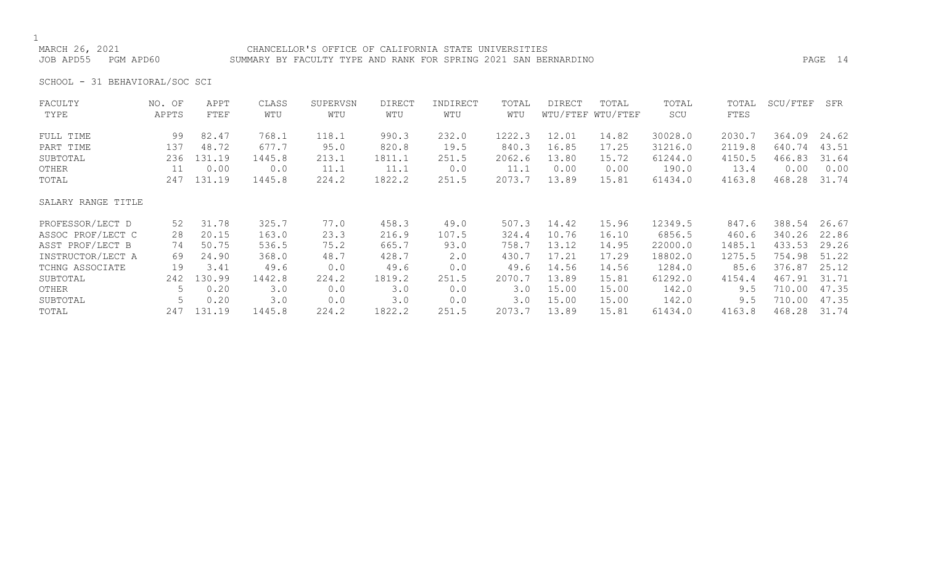# CHANCELLOR'S OFFICE OF CALIFORNIA STATE UNIVERSITIES JOB APD55 PGM APD60 SUMMARY BY FACULTY TYPE AND RANK FOR SPRING 2021 SAN BERNARDINO PAGE 14

SCHOOL - 31 BEHAVIORAL/SOC SCI

| 1222.3<br>12.01<br>30028.0<br>2030.7<br>99<br>82.47<br>768.1<br>118.1<br>990.3<br>232.0<br>14.82<br>364.09<br>24.62<br>FULL TIME<br>677.7<br>840.3<br>640.74<br>43.51<br>137<br>95.0<br>820.8<br>19.5<br>16.85<br>17.25<br>31216.0<br>2119.8<br>48.72<br>PART TIME<br>2062.6<br>13.80<br>466.83<br>31.64<br>236<br>131.19<br>1445.8<br>213.1<br>1811.1<br>251.5<br>61244.0<br>4150.5<br>SUBTOTAL<br>15.72<br>0.00<br>0.00<br>190.0<br>0.00<br>OTHER<br>0.0<br>11.1<br>11.1<br>0.0<br>11.1<br>0.00<br>0.00<br>13.4<br>11<br>1822.2<br>2073.7<br>31.74<br>131.19<br>224.2<br>251.5<br>13.89<br>61434.0<br>4163.8<br>468.28<br>247<br>1445.8<br>15.81<br>TOTAL<br>SALARY RANGE TITLE<br>31.78<br>325.7<br>12349.5<br>388.54<br>26.67<br>PROFESSOR/LECT D<br>77.0<br>458.3<br>507.3<br>14.42<br>15.96<br>847.6<br>52<br>49.0<br>ASSOC PROF/LECT C<br>10.76<br>340.26<br>22.86<br>20.15<br>163.0<br>23.3<br>216.9<br>107.5<br>324.4<br>16.10<br>6856.5<br>460.6<br>28<br>13.12<br>433.53<br>29.26<br>ASST PROF/LECT B<br>536.5<br>75.2<br>758.7<br>22000.0<br>1485.1<br>50.75<br>665.7<br>93.0<br>14.95<br>74<br>17.21<br>51.22<br>430.7<br>1275.5<br>754.98<br>INSTRUCTOR/LECT A<br>48.7<br>428.7<br>$2 \cdot 0$<br>17.29<br>18802.0<br>24.90<br>368.0<br>69<br>376.87<br>25.12<br>14.56<br>1284.0<br>19<br>3.41<br>49.6<br>0.0<br>49.6<br>0.0<br>49.6<br>14.56<br>85.6<br>TCHNG ASSOCIATE<br>1819.2<br>2070.7<br>13.89<br>467.91<br>31.71<br>130.99<br>1442.8<br>224.2<br>251.5<br>15.81<br>61292.0<br>4154.4<br>SUBTOTAL<br>242<br>3.0<br>15.00<br>710.00<br>0.20<br>3.0<br>0.0<br>3.0<br>142.0<br>0.0<br>15.00<br>9.5<br>OTHER<br>5.<br>15.00<br>47.35<br>3.0<br>3.0<br>3.0<br>710.00<br>0.20<br>0.0<br>0.0<br>15.00<br>142.0<br>9.5<br>SUBTOTAL<br>13.89<br>131.19<br>1445.8<br>224.2<br>1822.2<br>251.5<br>2073.7<br>61434.0<br>4163.8<br>468.28<br>31.74<br>247<br>15.81<br>TOTAL | FACULTY<br>TYPE | NO. OF<br>APPTS | APPT<br>FTEF | CLASS<br>WTU | SUPERVSN<br>WTU | <b>DIRECT</b><br>WTU | INDIRECT<br>WTU | TOTAL<br>WTU | <b>DIRECT</b> | TOTAL<br>WTU/FTEF WTU/FTEF | TOTAL<br>SCU | TOTAL<br>FTES | SCU/FTEF | SFR   |
|-------------------------------------------------------------------------------------------------------------------------------------------------------------------------------------------------------------------------------------------------------------------------------------------------------------------------------------------------------------------------------------------------------------------------------------------------------------------------------------------------------------------------------------------------------------------------------------------------------------------------------------------------------------------------------------------------------------------------------------------------------------------------------------------------------------------------------------------------------------------------------------------------------------------------------------------------------------------------------------------------------------------------------------------------------------------------------------------------------------------------------------------------------------------------------------------------------------------------------------------------------------------------------------------------------------------------------------------------------------------------------------------------------------------------------------------------------------------------------------------------------------------------------------------------------------------------------------------------------------------------------------------------------------------------------------------------------------------------------------------------------------------------------------------------------------------------------------------------------------------------------------|-----------------|-----------------|--------------|--------------|-----------------|----------------------|-----------------|--------------|---------------|----------------------------|--------------|---------------|----------|-------|
|                                                                                                                                                                                                                                                                                                                                                                                                                                                                                                                                                                                                                                                                                                                                                                                                                                                                                                                                                                                                                                                                                                                                                                                                                                                                                                                                                                                                                                                                                                                                                                                                                                                                                                                                                                                                                                                                                     |                 |                 |              |              |                 |                      |                 |              |               |                            |              |               |          |       |
|                                                                                                                                                                                                                                                                                                                                                                                                                                                                                                                                                                                                                                                                                                                                                                                                                                                                                                                                                                                                                                                                                                                                                                                                                                                                                                                                                                                                                                                                                                                                                                                                                                                                                                                                                                                                                                                                                     |                 |                 |              |              |                 |                      |                 |              |               |                            |              |               |          |       |
|                                                                                                                                                                                                                                                                                                                                                                                                                                                                                                                                                                                                                                                                                                                                                                                                                                                                                                                                                                                                                                                                                                                                                                                                                                                                                                                                                                                                                                                                                                                                                                                                                                                                                                                                                                                                                                                                                     |                 |                 |              |              |                 |                      |                 |              |               |                            |              |               |          |       |
|                                                                                                                                                                                                                                                                                                                                                                                                                                                                                                                                                                                                                                                                                                                                                                                                                                                                                                                                                                                                                                                                                                                                                                                                                                                                                                                                                                                                                                                                                                                                                                                                                                                                                                                                                                                                                                                                                     |                 |                 |              |              |                 |                      |                 |              |               |                            |              |               |          |       |
|                                                                                                                                                                                                                                                                                                                                                                                                                                                                                                                                                                                                                                                                                                                                                                                                                                                                                                                                                                                                                                                                                                                                                                                                                                                                                                                                                                                                                                                                                                                                                                                                                                                                                                                                                                                                                                                                                     |                 |                 |              |              |                 |                      |                 |              |               |                            |              |               |          |       |
|                                                                                                                                                                                                                                                                                                                                                                                                                                                                                                                                                                                                                                                                                                                                                                                                                                                                                                                                                                                                                                                                                                                                                                                                                                                                                                                                                                                                                                                                                                                                                                                                                                                                                                                                                                                                                                                                                     |                 |                 |              |              |                 |                      |                 |              |               |                            |              |               |          |       |
|                                                                                                                                                                                                                                                                                                                                                                                                                                                                                                                                                                                                                                                                                                                                                                                                                                                                                                                                                                                                                                                                                                                                                                                                                                                                                                                                                                                                                                                                                                                                                                                                                                                                                                                                                                                                                                                                                     |                 |                 |              |              |                 |                      |                 |              |               |                            |              |               |          |       |
|                                                                                                                                                                                                                                                                                                                                                                                                                                                                                                                                                                                                                                                                                                                                                                                                                                                                                                                                                                                                                                                                                                                                                                                                                                                                                                                                                                                                                                                                                                                                                                                                                                                                                                                                                                                                                                                                                     |                 |                 |              |              |                 |                      |                 |              |               |                            |              |               |          |       |
|                                                                                                                                                                                                                                                                                                                                                                                                                                                                                                                                                                                                                                                                                                                                                                                                                                                                                                                                                                                                                                                                                                                                                                                                                                                                                                                                                                                                                                                                                                                                                                                                                                                                                                                                                                                                                                                                                     |                 |                 |              |              |                 |                      |                 |              |               |                            |              |               |          |       |
|                                                                                                                                                                                                                                                                                                                                                                                                                                                                                                                                                                                                                                                                                                                                                                                                                                                                                                                                                                                                                                                                                                                                                                                                                                                                                                                                                                                                                                                                                                                                                                                                                                                                                                                                                                                                                                                                                     |                 |                 |              |              |                 |                      |                 |              |               |                            |              |               |          |       |
|                                                                                                                                                                                                                                                                                                                                                                                                                                                                                                                                                                                                                                                                                                                                                                                                                                                                                                                                                                                                                                                                                                                                                                                                                                                                                                                                                                                                                                                                                                                                                                                                                                                                                                                                                                                                                                                                                     |                 |                 |              |              |                 |                      |                 |              |               |                            |              |               |          |       |
|                                                                                                                                                                                                                                                                                                                                                                                                                                                                                                                                                                                                                                                                                                                                                                                                                                                                                                                                                                                                                                                                                                                                                                                                                                                                                                                                                                                                                                                                                                                                                                                                                                                                                                                                                                                                                                                                                     |                 |                 |              |              |                 |                      |                 |              |               |                            |              |               |          |       |
|                                                                                                                                                                                                                                                                                                                                                                                                                                                                                                                                                                                                                                                                                                                                                                                                                                                                                                                                                                                                                                                                                                                                                                                                                                                                                                                                                                                                                                                                                                                                                                                                                                                                                                                                                                                                                                                                                     |                 |                 |              |              |                 |                      |                 |              |               |                            |              |               |          |       |
|                                                                                                                                                                                                                                                                                                                                                                                                                                                                                                                                                                                                                                                                                                                                                                                                                                                                                                                                                                                                                                                                                                                                                                                                                                                                                                                                                                                                                                                                                                                                                                                                                                                                                                                                                                                                                                                                                     |                 |                 |              |              |                 |                      |                 |              |               |                            |              |               |          | 47.35 |
|                                                                                                                                                                                                                                                                                                                                                                                                                                                                                                                                                                                                                                                                                                                                                                                                                                                                                                                                                                                                                                                                                                                                                                                                                                                                                                                                                                                                                                                                                                                                                                                                                                                                                                                                                                                                                                                                                     |                 |                 |              |              |                 |                      |                 |              |               |                            |              |               |          |       |
|                                                                                                                                                                                                                                                                                                                                                                                                                                                                                                                                                                                                                                                                                                                                                                                                                                                                                                                                                                                                                                                                                                                                                                                                                                                                                                                                                                                                                                                                                                                                                                                                                                                                                                                                                                                                                                                                                     |                 |                 |              |              |                 |                      |                 |              |               |                            |              |               |          |       |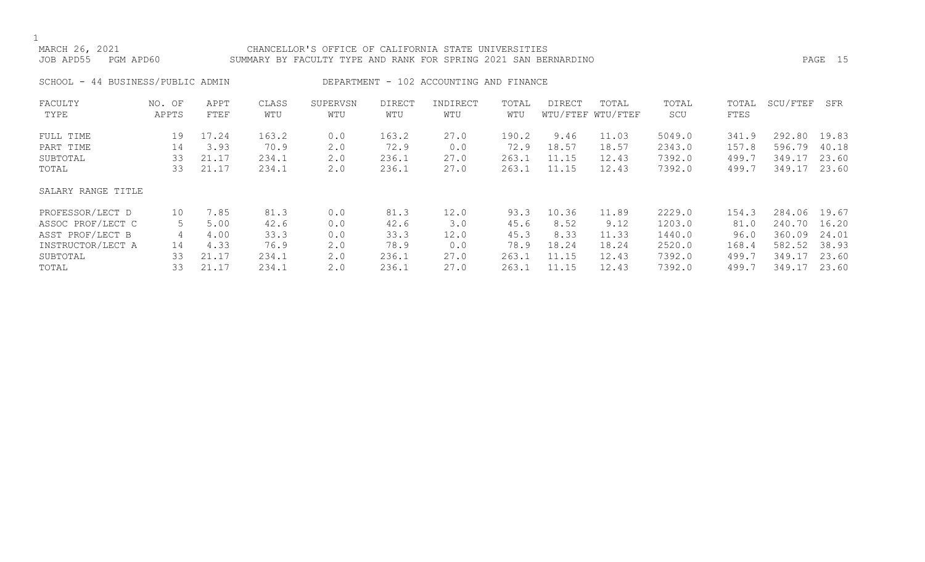# MARCH 26, 2021 CHANCELLOR'S OFFICE OF CALIFORNIA STATE UNIVERSITIES JOB APD55 PGM APD60 SUMMARY BY FACULTY TYPE AND RANK FOR SPRING 2021 SAN BERNARDINO PAGE 15

SCHOOL - 44 BUSINESS/PUBLIC ADMIN DEPARTMENT - 102 ACCOUNTING AND FINANCE

| FACULTY            | NO. OF | APPT  | CLASS | SUPERVSN | <b>DIRECT</b> | INDIRECT | TOTAL | DIRECT | TOTAL             | TOTAL  | TOTAL | SCU/FTEF | SFR   |
|--------------------|--------|-------|-------|----------|---------------|----------|-------|--------|-------------------|--------|-------|----------|-------|
| TYPE               | APPTS  | FTEF  | WTU   | WTU      | WTU           | WTU      | WTU   |        | WTU/FTEF WTU/FTEF | SCU    | FTES  |          |       |
| FULL TIME          | 19     | 17.24 | 163.2 | 0.0      | 163.2         | 27.0     | 190.2 | 9.46   | 11.03             | 5049.0 | 341.9 | 292.80   | 19.83 |
| PART TIME          | 14     | 3.93  | 70.9  | 2.0      | 72.9          | 0.0      | 72.9  | 18.57  | 18.57             | 2343.0 | 157.8 | 596.79   | 40.18 |
| SUBTOTAL           | 33     | 21.17 | 234.1 | 2.0      | 236.1         | 27.0     | 263.1 | 11.15  | 12.43             | 7392.0 | 499.7 | 349.17   | 23.60 |
| TOTAL              | 33     | 21.17 | 234.1 | 2.0      | 236.1         | 27.0     | 263.1 | 11.15  | 12.43             | 7392.0 | 499.7 | 349.17   | 23.60 |
| SALARY RANGE TITLE |        |       |       |          |               |          |       |        |                   |        |       |          |       |
| PROFESSOR/LECT D   | 10     | 7.85  | 81.3  | 0.0      | 81.3          | 12.0     | 93.3  | 10.36  | 11.89             | 2229.0 | 154.3 | 284.06   | 19.67 |
| ASSOC PROF/LECT C  |        | 5.00  | 42.6  | 0.0      | 42.6          | 3.0      | 45.6  | 8.52   | 9.12              | 1203.0 | 81.0  | 240.70   | 16.20 |
| ASST PROF/LECT B   | 4      | 4.00  | 33.3  | 0.0      | 33.3          | 12.0     | 45.3  | 8.33   | 11.33             | 1440.0 | 96.0  | 360.09   | 24.01 |
| INSTRUCTOR/LECT A  | 14     | 4.33  | 76.9  | 2.0      | 78.9          | 0.0      | 78.9  | 18.24  | 18.24             | 2520.0 | 168.4 | 582.52   | 38.93 |
| SUBTOTAL           | 33     | 21.17 | 234.1 | 2.0      | 236.1         | 27.0     | 263.1 | 11.15  | 12.43             | 7392.0 | 499.7 | 349.17   | 23.60 |
| TOTAL              | 33     | 21.17 | 234.1 | 2.0      | 236.1         | 27.0     | 263.1 | 11.15  | 12.43             | 7392.0 | 499.7 | 349.17   | 23.60 |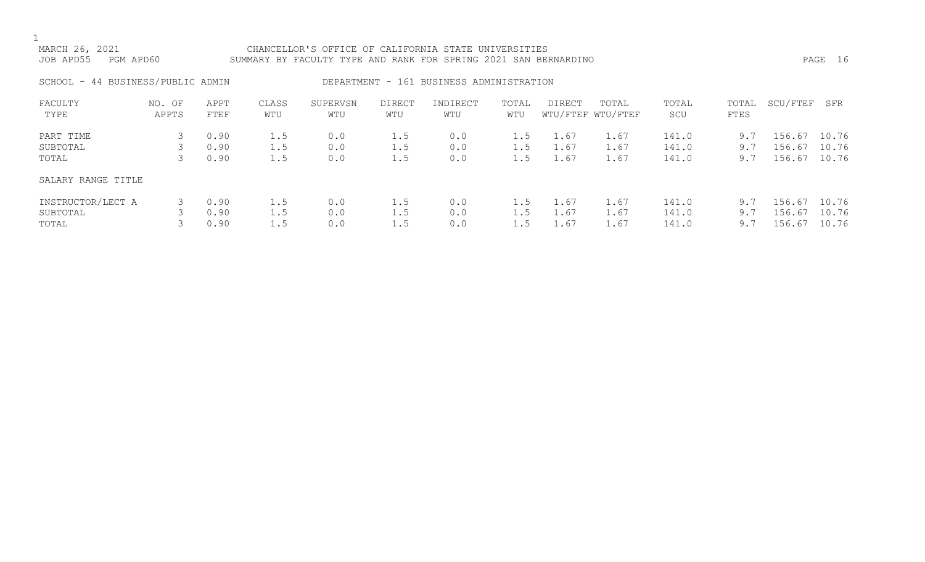# MARCH 26, 2021 CHANCELLOR'S OFFICE OF CALIFORNIA STATE UNIVERSITIES JOB APD55 PGM APD60 SUMMARY BY FACULTY TYPE AND RANK FOR SPRING 2021 SAN BERNARDINO PAGE 16

SCHOOL - 44 BUSINESS/PUBLIC ADMIN DEPARTMENT - 161 BUSINESS ADMINISTRATION

| FACULTY<br>TYPE    | OF<br>NO.<br>APPTS | APPT<br>FTEF | CLASS<br>WTU | SUPERVSN<br>WTU | <b>DIRECT</b><br>WTU | INDIRECT<br>WTU | TOTAL<br>WTU | <b>DIRECT</b> | TOTAL<br>WTU/FTEF WTU/FTEF | TOTAL<br>SCU | TOTAL<br>FTES | SCU/FTEF | SFR   |
|--------------------|--------------------|--------------|--------------|-----------------|----------------------|-----------------|--------------|---------------|----------------------------|--------------|---------------|----------|-------|
| PART TIME          |                    | 0.90         | 1.5          | 0.0             | 1.5                  | 0.0             | 1.5          | 1.67          | $\pm 0.67$                 | 141.0        | 9.7           | 156.67   | 10.76 |
| SUBTOTAL           |                    | 0.90         | 1.5          | 0.0             | 1.5                  | 0.0             | 1.5          | 1.67          | 1.67                       | 141.0        | 9.7           | 156.67   | 10.76 |
| TOTAL              |                    | 0.90         | 1.5          | 0.0             | 1.5                  | 0.0             | 1.5          | 1.67          | 1.67                       | 141.0        | 9.7           | 156.67   | 10.76 |
| SALARY RANGE TITLE |                    |              |              |                 |                      |                 |              |               |                            |              |               |          |       |
| INSTRUCTOR/LECT A  | 3                  | 0.90         | 1.5          | 0.0             | 1.5                  | 0.0             | 1.5          | 1.67          | 1.67                       | 141.0        | 9.7           | 156.67   | 10.76 |
| SUBTOTAL           |                    | 0.90         | 1.5          | 0.0             | 1.5                  | 0.0             | 1.5          | 1.67          | 1.67                       | 141.0        | 9.7           | 156.67   | 10.76 |
| TOTAL              |                    | 0.90         | 1.5          | 0.0             | 1.5                  | 0.0             |              | 1.67          | $\pm 0.67$                 | 141.0        | 9.7           | 156.67   | 10.76 |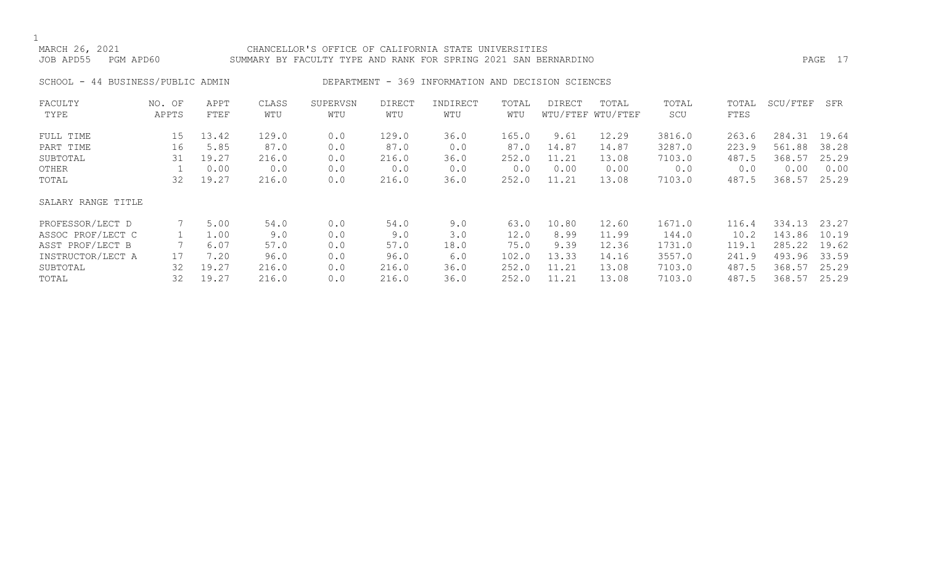# MARCH 26, 2021 CHANCELLOR'S OFFICE OF CALIFORNIA STATE UNIVERSITIES JOB APD55 PGM APD60 SUMMARY BY FACULTY TYPE AND RANK FOR SPRING 2021 SAN BERNARDINO PAGE 17

SCHOOL - 44 BUSINESS/PUBLIC ADMIN DEPARTMENT - 369 INFORMATION AND DECISION SCIENCES

| FACULTY            | NO. OF | APPT  | CLASS | SUPERVSN | <b>DIRECT</b> | INDIRECT | TOTAL | DIRECT | TOTAL             | TOTAL  | TOTAL | SCU/FTEF | SFR   |
|--------------------|--------|-------|-------|----------|---------------|----------|-------|--------|-------------------|--------|-------|----------|-------|
| TYPE               | APPTS  | FTEF  | WTU   | WTU      | WTU           | WTU      | WTU   |        | WTU/FTEF WTU/FTEF | SCU    | FTES  |          |       |
| FULL TIME          | 15     | 13.42 | 129.0 | 0.0      | 129.0         | 36.0     | 165.0 | 9.61   | 12.29             | 3816.0 | 263.6 | 284.31   | 19.64 |
| PART TIME          | 16     | 5.85  | 87.0  | 0.0      | 87.0          | 0.0      | 87.0  | 14.87  | 14.87             | 3287.0 | 223.9 | 561.88   | 38.28 |
| SUBTOTAL           | 31     | 19.27 | 216.0 | 0.0      | 216.0         | 36.0     | 252.0 | 11.21  | 13.08             | 7103.0 | 487.5 | 368.57   | 25.29 |
| OTHER              |        | 0.00  | 0.0   | 0.0      | 0.0           | 0.0      | 0.0   | 0.00   | 0.00              | 0.0    | 0.0   | 0.00     | 0.00  |
| TOTAL              | 32     | 19.27 | 216.0 | 0.0      | 216.0         | 36.0     | 252.0 | 11.21  | 13.08             | 7103.0 | 487.5 | 368.57   | 25.29 |
| SALARY RANGE TITLE |        |       |       |          |               |          |       |        |                   |        |       |          |       |
| PROFESSOR/LECT D   |        | 5.00  | 54.0  | 0.0      | 54.0          | 9.0      | 63.0  | 10.80  | 12.60             | 1671.0 | 116.4 | 334.13   | 23.27 |
| ASSOC PROF/LECT C  |        | 1.00  | 9.0   | 0.0      | 9.0           | 3.0      | 12.0  | 8.99   | 11.99             | 144.0  | 10.2  | 143.86   | 10.19 |
| ASST PROF/LECT B   |        | 6.07  | 57.0  | 0.0      | 57.0          | 18.0     | 75.0  | 9.39   | 12.36             | 1731.0 | 119.1 | 285.22   | 19.62 |
| INSTRUCTOR/LECT A  | 17     | 7.20  | 96.0  | 0.0      | 96.0          | 6.0      | 102.0 | 13.33  | 14.16             | 3557.0 | 241.9 | 493.96   | 33.59 |
| SUBTOTAL           | 32     | 19.27 | 216.0 | 0.0      | 216.0         | 36.0     | 252.0 | 11.21  | 13.08             | 7103.0 | 487.5 | 368.57   | 25.29 |
| TOTAL              | 32     | 19.27 | 216.0 | 0.0      | 216.0         | 36.0     | 252.0 | 11.21  | 13.08             | 7103.0 | 487.5 | 368.57   | 25.29 |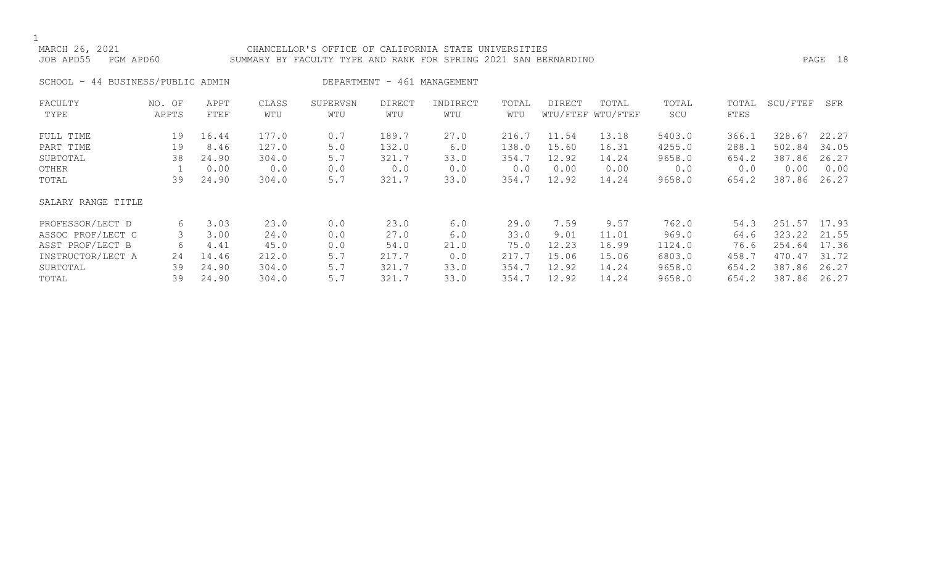# MARCH 26, 2021 CHANCELLOR'S OFFICE OF CALIFORNIA STATE UNIVERSITIES JOB APD55 PGM APD60 SUMMARY BY FACULTY TYPE AND RANK FOR SPRING 2021 SAN BERNARDINO PAGE 18

SCHOOL - 44 BUSINESS/PUBLIC ADMIN DEPARTMENT - 461 MANAGEMENT

| FACULTY            | NO. OF | APPT  | CLASS | SUPERVSN | <b>DIRECT</b> | INDIRECT | TOTAL | DIRECT | TOTAL             | TOTAL  | TOTAL | SCU/FTEF | SFR   |
|--------------------|--------|-------|-------|----------|---------------|----------|-------|--------|-------------------|--------|-------|----------|-------|
| TYPE               | APPTS  | FTEF  | WTU   | WTU      | WTU           | WTU      | WTU   |        | WTU/FTEF WTU/FTEF | SCU    | FTES  |          |       |
| FULL TIME          | 19     | 16.44 | 177.0 | 0.7      | 189.7         | 27.0     | 216.7 | 11.54  | 13.18             | 5403.0 | 366.1 | 328.67   | 22.27 |
| PART TIME          | 19     | 8.46  | 127.0 | 5.0      | 132.0         | 6.0      | 138.0 | 15.60  | 16.31             | 4255.0 | 288.1 | 502.84   | 34.05 |
| SUBTOTAL           | 38     | 24.90 | 304.0 | 5.7      | 321.7         | 33.0     | 354.7 | 12.92  | 14.24             | 9658.0 | 654.2 | 387.86   | 26.27 |
| OTHER              |        | 0.00  | 0.0   | 0.0      | 0.0           | 0.0      | 0.0   | 0.00   | 0.00              | 0.0    | 0.0   | 0.00     | 0.00  |
| TOTAL              | 39     | 24.90 | 304.0 | 5.7      | 321.7         | 33.0     | 354.7 | 12.92  | 14.24             | 9658.0 | 654.2 | 387.86   | 26.27 |
| SALARY RANGE TITLE |        |       |       |          |               |          |       |        |                   |        |       |          |       |
| PROFESSOR/LECT D   | 6      | 3.03  | 23.0  | 0.0      | 23.0          | 6.0      | 29.0  | 7.59   | 9.57              | 762.0  | 54.3  | 251.57   | 17.93 |
| ASSOC PROF/LECT C  | 3      | 3.00  | 24.0  | 0.0      | 27.0          | 6.0      | 33.0  | 9.01   | 11.01             | 969.0  | 64.6  | 323.22   | 21.55 |
| ASST PROF/LECT B   | 6      | 4.41  | 45.0  | 0.0      | 54.0          | 21.0     | 75.0  | 12.23  | 16.99             | 1124.0 | 76.6  | 254.64   | 17.36 |
| INSTRUCTOR/LECT A  | 24     | 14.46 | 212.0 | 5.7      | 217.7         | 0.0      | 217.7 | 15.06  | 15.06             | 6803.0 | 458.7 | 470.47   | 31.72 |
| SUBTOTAL           | 39     | 24.90 | 304.0 | 5.7      | 321.7         | 33.0     | 354.7 | 12.92  | 14.24             | 9658.0 | 654.2 | 387.86   | 26.27 |
| TOTAL              | 39     | 24.90 | 304.0 | 5.7      | 321.7         | 33.0     | 354.7 | 12.92  | 14.24             | 9658.0 | 654.2 | 387.86   | 26.27 |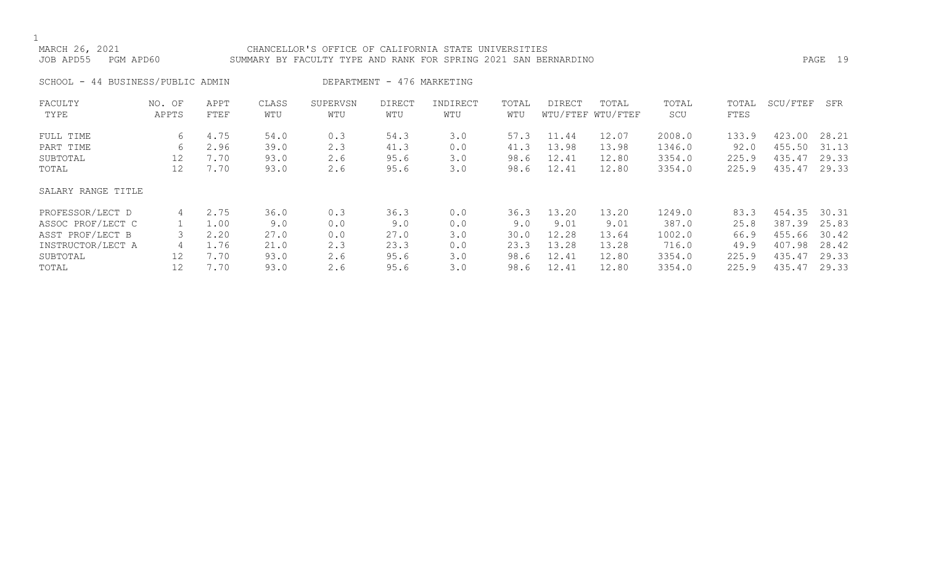# MARCH 26, 2021 CHANCELLOR'S OFFICE OF CALIFORNIA STATE UNIVERSITIES JOB APD55 PGM APD60 SUMMARY BY FACULTY TYPE AND RANK FOR SPRING 2021 SAN BERNARDINO PAGE 19

SCHOOL - 44 BUSINESS/PUBLIC ADMIN DEPARTMENT - 476 MARKETING

| FACULTY            | NO. OF | APPT | CLASS | SUPERVSN | DIRECT | INDIRECT | TOTAL | DIRECT | TOTAL             | TOTAL  | TOTAL | SCU/FTEF | SFR   |
|--------------------|--------|------|-------|----------|--------|----------|-------|--------|-------------------|--------|-------|----------|-------|
| TYPE               | APPTS  | FTEF | WTU   | WTU      | WTU    | WTU      | WTU   |        | WTU/FTEF WTU/FTEF | SCU    | FTES  |          |       |
| FULL TIME          | 6      | 4.75 | 54.0  | 0.3      | 54.3   | 3.0      | 57.3  | 11.44  | 12.07             | 2008.0 | 133.9 | 423.00   | 28.21 |
| PART TIME          | 6      | 2.96 | 39.0  | 2.3      | 41.3   | 0.0      | 41.3  | 13.98  | 13.98             | 1346.0 | 92.0  | 455.50   | 31.13 |
| SUBTOTAL           | 12     | 7.70 | 93.0  | 2.6      | 95.6   | 3.0      | 98.6  | 12.41  | 12.80             | 3354.0 | 225.9 | 435.47   | 29.33 |
| TOTAL              | 12     | 7.70 | 93.0  | 2.6      | 95.6   | 3.0      | 98.6  | 12.41  | 12.80             | 3354.0 | 225.9 | 435.47   | 29.33 |
| SALARY RANGE TITLE |        |      |       |          |        |          |       |        |                   |        |       |          |       |
| PROFESSOR/LECT D   | 4      | 2.75 | 36.0  | 0.3      | 36.3   | 0.0      | 36.3  | 13.20  | 13.20             | 1249.0 | 83.3  | 454.35   | 30.31 |
| ASSOC PROF/LECT C  |        | 1.00 | 9.0   | 0.0      | 9.0    | 0.0      | 9.0   | 9.01   | 9.01              | 387.0  | 25.8  | 387.39   | 25.83 |
| ASST PROF/LECT B   |        | 2.20 | 27.0  | 0.0      | 27.0   | 3.0      | 30.0  | 12.28  | 13.64             | 1002.0 | 66.9  | 455.66   | 30.42 |
| INSTRUCTOR/LECT A  | 4      | 1.76 | 21.0  | 2.3      | 23.3   | 0.0      | 23.3  | 13.28  | 13.28             | 716.0  | 49.9  | 407.98   | 28.42 |
| SUBTOTAL           | 12     | 7.70 | 93.0  | 2.6      | 95.6   | 3.0      | 98.6  | 12.41  | 12.80             | 3354.0 | 225.9 | 435.47   | 29.33 |
| TOTAL              | 12     | 7.70 | 93.0  | 2.6      | 95.6   | 3.0      | 98.6  | 12.41  | 12.80             | 3354.0 | 225.9 | 435.47   | 29.33 |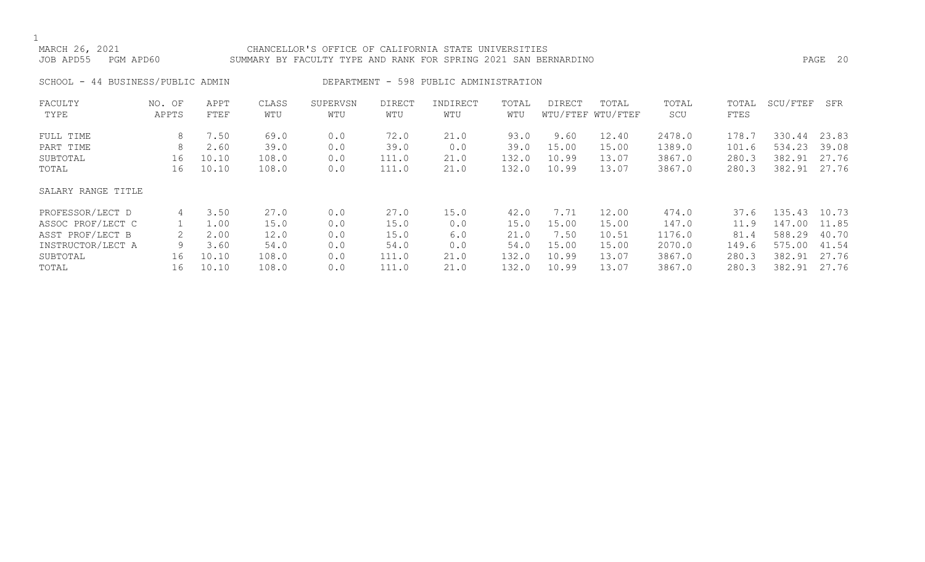# MARCH 26, 2021 CHANCELLOR'S OFFICE OF CALIFORNIA STATE UNIVERSITIES JOB APD55 PGM APD60 SUMMARY BY FACULTY TYPE AND RANK FOR SPRING 2021 SAN BERNARDINO PAGE 20

SCHOOL - 44 BUSINESS/PUBLIC ADMIN DEPARTMENT - 598 PUBLIC ADMINISTRATION

| FACULTY            | NO. OF | APPT  | CLASS | SUPERVSN | <b>DIRECT</b> | INDIRECT | TOTAL | DIRECT | TOTAL             | TOTAL  | TOTAL | SCU/FTEF | SFR   |
|--------------------|--------|-------|-------|----------|---------------|----------|-------|--------|-------------------|--------|-------|----------|-------|
| TYPE               | APPTS  | FTEF  | WTU   | WTU      | WTU           | WTU      | WTU   |        | WTU/FTEF WTU/FTEF | SCU    | FTES  |          |       |
| FULL TIME          | 8      | 7.50  | 69.0  | 0.0      | 72.0          | 21.0     | 93.0  | 9.60   | 12.40             | 2478.0 | 178.7 | 330.44   | 23.83 |
| PART TIME          | 8      | 2.60  | 39.0  | 0.0      | 39.0          | 0.0      | 39.0  | 15.00  | 15.00             | 1389.0 | 101.6 | 534.23   | 39.08 |
| SUBTOTAL           | 16     | 10.10 | 108.0 | 0.0      | 111.0         | 21.0     | 132.0 | 10.99  | 13.07             | 3867.0 | 280.3 | 382.91   | 27.76 |
| TOTAL              | 16     | 10.10 | 108.0 | 0.0      | 111.0         | 21.0     | 132.0 | 10.99  | 13.07             | 3867.0 | 280.3 | 382.91   | 27.76 |
| SALARY RANGE TITLE |        |       |       |          |               |          |       |        |                   |        |       |          |       |
| PROFESSOR/LECT D   | 4      | 3.50  | 27.0  | 0.0      | 27.0          | 15.0     | 42.0  | 7.71   | 12.00             | 474.0  | 37.6  | 135.43   | 10.73 |
| ASSOC PROF/LECT C  |        | 1.00  | 15.0  | 0.0      | 15.0          | 0.0      | 15.0  | 15.00  | 15.00             | 147.0  | 11.9  | 147.00   | 11.85 |
| ASST PROF/LECT B   |        | 2.00  | 12.0  | 0.0      | 15.0          | 6.0      | 21.0  | 7.50   | 10.51             | 1176.0 | 81.4  | 588.29   | 40.70 |
| INSTRUCTOR/LECT A  | 9      | 3.60  | 54.0  | 0.0      | 54.0          | 0.0      | 54.0  | 15.00  | 15.00             | 2070.0 | 149.6 | 575.00   | 41.54 |
| SUBTOTAL           | 16     | 10.10 | 108.0 | 0.0      | 111.0         | 21.0     | 132.0 | 10.99  | 13.07             | 3867.0 | 280.3 | 382.91   | 27.76 |
| TOTAL              | 16     | 10.10 | 108.0 | 0.0      | 111.0         | 21.0     | 132.0 | 10.99  | 13.07             | 3867.0 | 280.3 | 382.91   | 27.76 |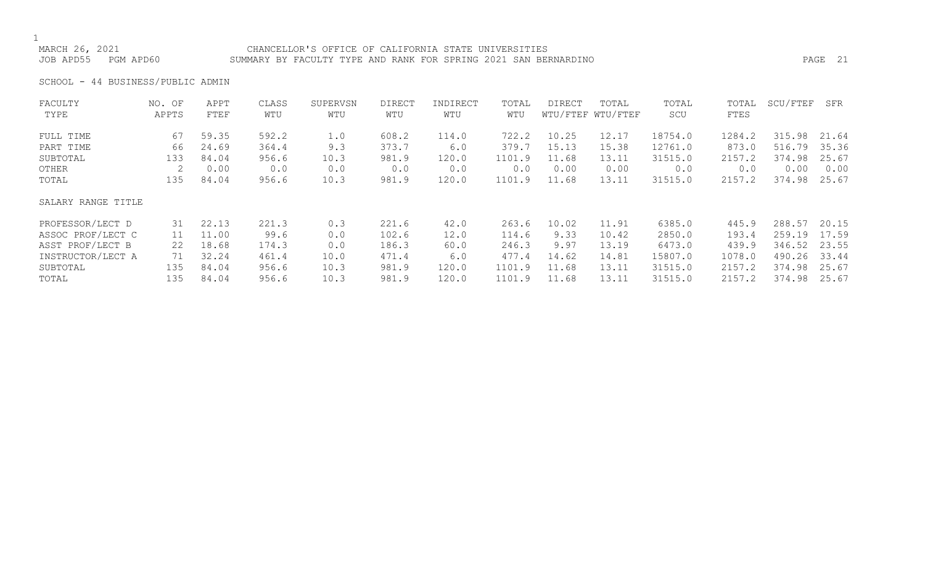# CHANCELLOR'S OFFICE OF CALIFORNIA STATE UNIVERSITIES JOB APD55 PGM APD60 SUMMARY BY FACULTY TYPE AND RANK FOR SPRING 2021 SAN BERNARDINO PAGE 21

SCHOOL - 44 BUSINESS/PUBLIC ADMIN

| FACULTY            | NO. OF | APPT  | CLASS | SUPERVSN | DIRECT | INDIRECT | TOTAL  | DIRECT | TOTAL             | TOTAL   | TOTAL  | SCU/FTEF | SFR   |
|--------------------|--------|-------|-------|----------|--------|----------|--------|--------|-------------------|---------|--------|----------|-------|
| TYPE               | APPTS  | FTEF  | WTU   | WTU      | WTU    | WTU      | WTU    |        | WTU/FTEF WTU/FTEF | SCU     | FTES   |          |       |
| FULL TIME          | 67     | 59.35 | 592.2 | 1.0      | 608.2  | 114.0    | 722.2  | 10.25  | 12.17             | 18754.0 | 1284.2 | 315.98   | 21.64 |
| PART TIME          | 66     | 24.69 | 364.4 | 9.3      | 373.7  | 6.0      | 379.7  | 15.13  | 15.38             | 12761.0 | 873.0  | 516.79   | 35.36 |
| SUBTOTAL           | 133    | 84.04 | 956.6 | 10.3     | 981.9  | 120.0    | 1101.9 | 11.68  | 13.11             | 31515.0 | 2157.2 | 374.98   | 25.67 |
| OTHER              |        | 0.00  | 0.0   | 0.0      | 0.0    | 0.0      | 0.0    | 0.00   | 0.00              | 0.0     | 0.0    | 0.00     | 0.00  |
| TOTAL              | 135    | 84.04 | 956.6 | 10.3     | 981.9  | 120.0    | 1101.9 | 11.68  | 13.11             | 31515.0 | 2157.2 | 374.98   | 25.67 |
| SALARY RANGE TITLE |        |       |       |          |        |          |        |        |                   |         |        |          |       |
| PROFESSOR/LECT D   | 31     | 22.13 | 221.3 | 0.3      | 221.6  | 42.0     | 263.6  | 10.02  | 11.91             | 6385.0  | 445.9  | 288.57   | 20.15 |
| ASSOC PROF/LECT C  | 11     | 11.00 | 99.6  | 0.0      | 102.6  | 12.0     | 114.6  | 9.33   | 10.42             | 2850.0  | 193.4  | 259.19   | 17.59 |
| ASST PROF/LECT B   | 22     | 18.68 | 174.3 | 0.0      | 186.3  | 60.0     | 246.3  | 9.97   | 13.19             | 6473.0  | 439.9  | 346.52   | 23.55 |
| INSTRUCTOR/LECT A  | 71     | 32.24 | 461.4 | 10.0     | 471.4  | 6.0      | 477.4  | 14.62  | 14.81             | 15807.0 | 1078.0 | 490.26   | 33.44 |
| SUBTOTAL           | 135    | 84.04 | 956.6 | 10.3     | 981.9  | 120.0    | 1101.9 | 11.68  | 13.11             | 31515.0 | 2157.2 | 374.98   | 25.67 |
| TOTAL              | 135    | 84.04 | 956.6 | 10.3     | 981.9  | 120.0    | 1101.9 | 11.68  | 13.11             | 31515.0 | 2157.2 | 374.98   | 25.67 |
|                    |        |       |       |          |        |          |        |        |                   |         |        |          |       |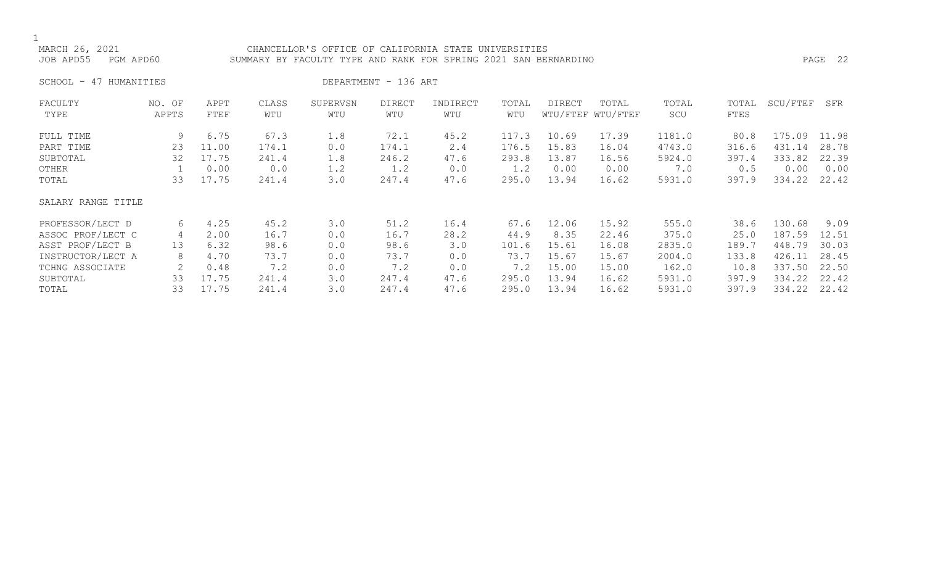CHANCELLOR'S OFFICE OF CALIFORNIA STATE UNIVERSITIES JOB APD55 PGM APD60 SUMMARY BY FACULTY TYPE AND RANK FOR SPRING 2021 SAN BERNARDINO PAGE 22

SCHOOL - 47 HUMANITIES DEPARTMENT - 136 ART

| FACULTY            | NO. OF | APPT  | CLASS | SUPERVSN | DIRECT | INDIRECT | TOTAL | <b>DIRECT</b> | TOTAL             | TOTAL  | TOTAL | SCU/FTEF | SFR   |
|--------------------|--------|-------|-------|----------|--------|----------|-------|---------------|-------------------|--------|-------|----------|-------|
| TYPE               | APPTS  | FTEF  | WTU   | WTU      | WTU    | WTU      | WTU   |               | WTU/FTEF WTU/FTEF | SCU    | FTES  |          |       |
| FULL TIME          | 9      | 6.75  | 67.3  | 1.8      | 72.1   | 45.2     | 117.3 | 10.69         | 17.39             | 1181.0 | 80.8  | 175.09   | 11.98 |
| PART TIME          | 23     | 11.00 | 174.1 | 0.0      | 174.1  | 2.4      | 176.5 | 15.83         | 16.04             | 4743.0 | 316.6 | 431.14   | 28.78 |
| SUBTOTAL           | 32     | 17.75 | 241.4 | 1.8      | 246.2  | 47.6     | 293.8 | 13.87         | 16.56             | 5924.0 | 397.4 | 333.82   | 22.39 |
| OTHER              |        | 0.00  | 0.0   | 1.2      | 1.2    | 0.0      | 1.2   | 0.00          | 0.00              | 7.0    | 0.5   | 0.00     | 0.00  |
| TOTAL              | 33     | 17.75 | 241.4 | 3.0      | 247.4  | 47.6     | 295.0 | 13.94         | 16.62             | 5931.0 | 397.9 | 334.22   | 22.42 |
| SALARY RANGE TITLE |        |       |       |          |        |          |       |               |                   |        |       |          |       |
| PROFESSOR/LECT D   | 6      | 4.25  | 45.2  | 3.0      | 51.2   | 16.4     | 67.6  | 12.06         | 15.92             | 555.0  | 38.6  | 130.68   | 9.09  |
| ASSOC PROF/LECT C  | 4      | 2.00  | 16.7  | 0.0      | 16.7   | 28.2     | 44.9  | 8.35          | 22.46             | 375.0  | 25.0  | 187.59   | 12.51 |
| ASST PROF/LECT B   | 13     | 6.32  | 98.6  | 0.0      | 98.6   | 3.0      | 101.6 | 15.61         | 16.08             | 2835.0 | 189.7 | 448.79   | 30.03 |
| INSTRUCTOR/LECT A  | 8      | 4.70  | 73.7  | 0.0      | 73.7   | 0.0      | 73.7  | 15.67         | 15.67             | 2004.0 | 133.8 | 426.11   | 28.45 |
| TCHNG ASSOCIATE    |        | 0.48  | 7.2   | 0.0      | 7.2    | 0.0      | 7.2   | 15.00         | 15.00             | 162.0  | 10.8  | 337.50   | 22.50 |
| SUBTOTAL           | 33     | 17.75 | 241.4 | 3.0      | 247.4  | 47.6     | 295.0 | 13.94         | 16.62             | 5931.0 | 397.9 | 334.22   | 22.42 |
| TOTAL              | 33     | 17.75 | 241.4 | 3.0      | 247.4  | 47.6     | 295.0 | 13.94         | 16.62             | 5931.0 | 397.9 | 334.22   | 22.42 |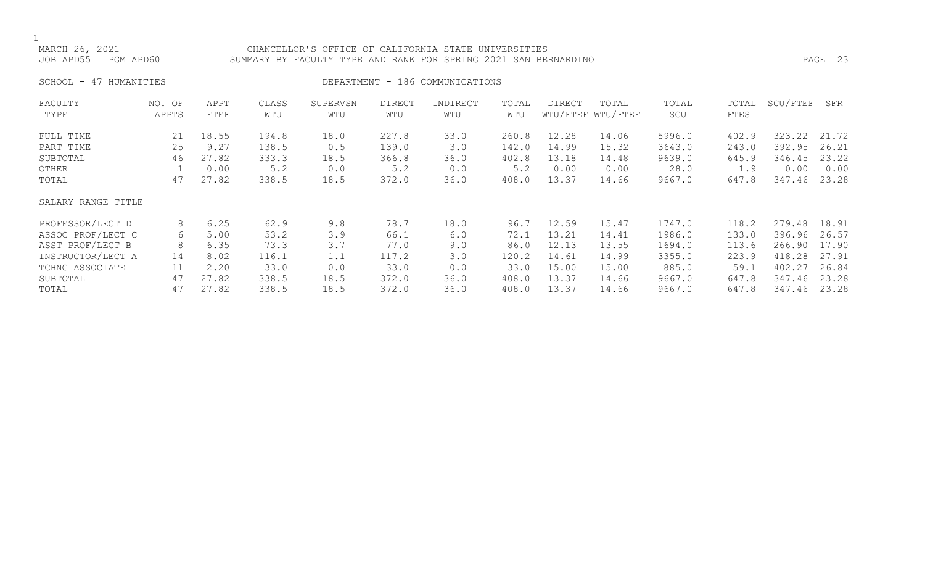# MARCH 26, 2021 CHANCELLOR'S OFFICE OF CALIFORNIA STATE UNIVERSITIES JOB APD55 PGM APD60 SUMMARY BY FACULTY TYPE AND RANK FOR SPRING 2021 SAN BERNARDINO PAGE 23

SCHOOL - 47 HUMANITIES SERVICES DEPARTMENT - 186 COMMUNICATIONS

| FACULTY            | NO. OF | APPT  | CLASS | SUPERVSN | <b>DIRECT</b> | INDIRECT | TOTAL | DIRECT | TOTAL             | TOTAL  | TOTAL | SCU/FTEF | SFR   |
|--------------------|--------|-------|-------|----------|---------------|----------|-------|--------|-------------------|--------|-------|----------|-------|
| TYPE               | APPTS  | FTEF  | WTU   | WTU      | WTU           | WTU      | WTU   |        | WTU/FTEF WTU/FTEF | SCU    | FTES  |          |       |
| FULL TIME          | 21     | 18.55 | 194.8 | 18.0     | 227.8         | 33.0     | 260.8 | 12.28  | 14.06             | 5996.0 | 402.9 | 323.22   | 21.72 |
| PART TIME          | 25     | 9.27  | 138.5 | 0.5      | 139.0         | 3.0      | 142.0 | 14.99  | 15.32             | 3643.0 | 243.0 | 392.95   | 26.21 |
| SUBTOTAL           | 46     | 27.82 | 333.3 | 18.5     | 366.8         | 36.0     | 402.8 | 13.18  | 14.48             | 9639.0 | 645.9 | 346.45   | 23.22 |
| OTHER              |        | 0.00  | 5.2   | 0.0      | 5.2           | 0.0      | 5.2   | 0.00   | 0.00              | 28.0   | 1.9   | 0.00     | 0.00  |
| TOTAL              | 47     | 27.82 | 338.5 | 18.5     | 372.0         | 36.0     | 408.0 | 13.37  | 14.66             | 9667.0 | 647.8 | 347.46   | 23.28 |
| SALARY RANGE TITLE |        |       |       |          |               |          |       |        |                   |        |       |          |       |
| PROFESSOR/LECT D   | 8      | 6.25  | 62.9  | 9.8      | 78.7          | 18.0     | 96.7  | 12.59  | 15.47             | 1747.0 | 118.2 | 279.48   | 18.91 |
| ASSOC PROF/LECT C  | 6      | 5.00  | 53.2  | 3.9      | 66.1          | 6.0      | 72.1  | 13.21  | 14.41             | 1986.0 | 133.0 | 396.96   | 26.57 |
| ASST PROF/LECT B   | 8      | 6.35  | 73.3  | 3.7      | 77.0          | 9.0      | 86.0  | 12.13  | 13.55             | 1694.0 | 113.6 | 266.90   | 17.90 |
| INSTRUCTOR/LECT A  | 14     | 8.02  | 116.1 | 1.1      | 117.2         | 3.0      | 120.2 | 14.61  | 14.99             | 3355.0 | 223.9 | 418.28   | 27.91 |
| TCHNG ASSOCIATE    | 11     | 2.20  | 33.0  | 0.0      | 33.0          | 0.0      | 33.0  | 15.00  | 15.00             | 885.0  | 59.1  | 402.27   | 26.84 |
| SUBTOTAL           | 47     | 27.82 | 338.5 | 18.5     | 372.0         | 36.0     | 408.0 | 13.37  | 14.66             | 9667.0 | 647.8 | 347.46   | 23.28 |
| TOTAL              | 47     | 27.82 | 338.5 | 18.5     | 372.0         | 36.0     | 408.0 | 13.37  | 14.66             | 9667.0 | 647.8 | 347.46   | 23.28 |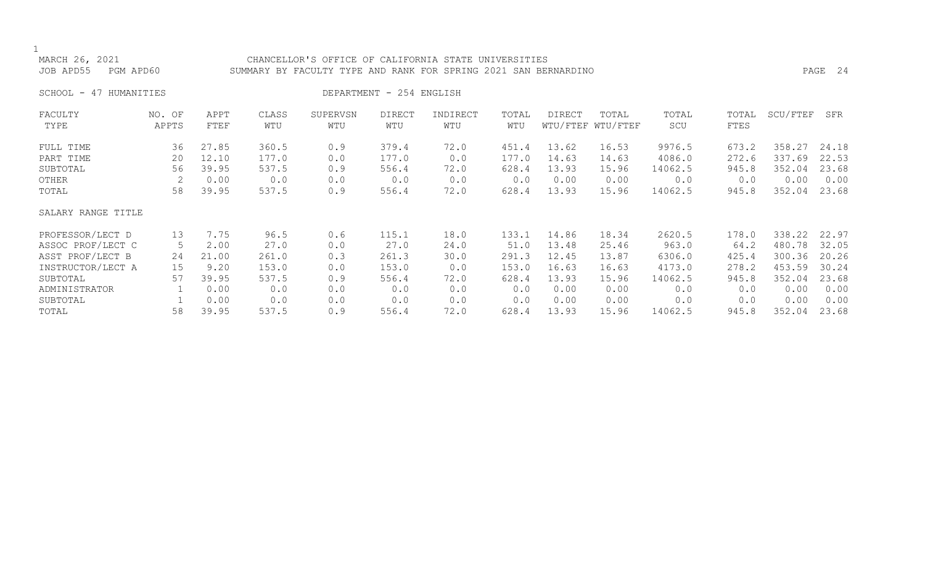| MARCH 26, 2021<br>JOB APD55<br>PGM APD60 |                 |              |              | CHANCELLOR'S OFFICE OF CALIFORNIA STATE UNIVERSITIES<br>SUMMARY BY FACULTY TYPE AND RANK FOR SPRING 2021 SAN BERNARDINO |                          |                 |              |        |                            |              |               |          | PAGE 24 |
|------------------------------------------|-----------------|--------------|--------------|-------------------------------------------------------------------------------------------------------------------------|--------------------------|-----------------|--------------|--------|----------------------------|--------------|---------------|----------|---------|
| SCHOOL - 47 HUMANITIES                   |                 |              |              |                                                                                                                         | DEPARTMENT - 254 ENGLISH |                 |              |        |                            |              |               |          |         |
| FACULTY<br>TYPE                          | NO. OF<br>APPTS | APPT<br>FTEF | CLASS<br>WTU | SUPERVSN<br>WTU                                                                                                         | DIRECT<br>WTU            | INDIRECT<br>WTU | TOTAL<br>WTU | DIRECT | TOTAL<br>WTU/FTEF WTU/FTEF | TOTAL<br>SCU | TOTAL<br>FTES | SCU/FTEF | SFR     |
| FULL TIME                                | 36              | 27.85        | 360.5        | 0.9                                                                                                                     | 379.4                    | 72.0            | 451.4        | 13.62  | 16.53                      | 9976.5       | 673.2         | 358.27   | 24.18   |
| PART TIME                                | 20              | 12.10        | 177.0        | 0.0                                                                                                                     | 177.0                    | 0.0             | 177.0        | 14.63  | 14.63                      | 4086.0       | 272.6         | 337.69   | 22.53   |
| SUBTOTAL                                 | 56              | 39.95        | 537.5        | 0.9                                                                                                                     | 556.4                    | 72.0            | 628.4        | 13.93  | 15.96                      | 14062.5      | 945.8         | 352.04   | 23.68   |
| OTHER                                    | 58              | 0.00         | 0.0          | 0.0                                                                                                                     | 0.0                      | 0.0             | 0.0          | 0.00   | 0.00                       | 0.0          | 0.0           | 0.00     | 0.00    |
| TOTAL                                    |                 | 39.95        | 537.5        | 0.9                                                                                                                     | 556.4                    | 72.0            | 628.4        | 13.93  | 15.96                      | 14062.5      | 945.8         | 352.04   | 23.68   |
| SALARY RANGE TITLE                       |                 |              |              |                                                                                                                         |                          |                 |              |        |                            |              |               |          |         |
| PROFESSOR/LECT D                         | 13              | 7.75         | 96.5         | 0.6                                                                                                                     | 115.1                    | 18.0            | 133.1        | 14.86  | 18.34                      | 2620.5       | 178.0         | 338.22   | 22.97   |
| ASSOC PROF/LECT C                        | 5               | 2.00         | 27.0         | 0.0                                                                                                                     | 27.0                     | 24.0            | 51.0         | 13.48  | 25.46                      | 963.0        | 64.2          | 480.78   | 32.05   |
| ASST PROF/LECT B                         | 24              | 21.00        | 261.0        | 0.3                                                                                                                     | 261.3                    | 30.0            | 291.3        | 12.45  | 13.87                      | 6306.0       | 425.4         | 300.36   | 20.26   |
| INSTRUCTOR/LECT A                        | 15              | 9.20         | 153.0        | 0.0                                                                                                                     | 153.0                    | 0.0             | 153.0        | 16.63  | 16.63                      | 4173.0       | 278.2         | 453.59   | 30.24   |
| SUBTOTAL                                 | 57              | 39.95        | 537.5        | 0.9                                                                                                                     | 556.4                    | 72.0            | 628.4        | 13.93  | 15.96                      | 14062.5      | 945.8         | 352.04   | 23.68   |
| ADMINISTRATOR                            |                 | 0.00         | 0.0          | 0.0                                                                                                                     | 0.0                      | 0.0             | 0.0          | 0.00   | 0.00                       | 0.0          | 0.0           | 0.00     | 0.00    |
| SUBTOTAL                                 | 58              | 0.00         | 0.0          | 0.0                                                                                                                     | 0.0                      | 0.0             | 0.0          | 0.00   | 0.00                       | 0.0          | 0.0           | 0.00     | 0.00    |
| TOTAL                                    |                 | 39.95        | 537.5        | 0.9                                                                                                                     | 556.4                    | 72.0            | 628.4        | 13.93  | 15.96                      | 14062.5      | 945.8         | 352.04   | 23.68   |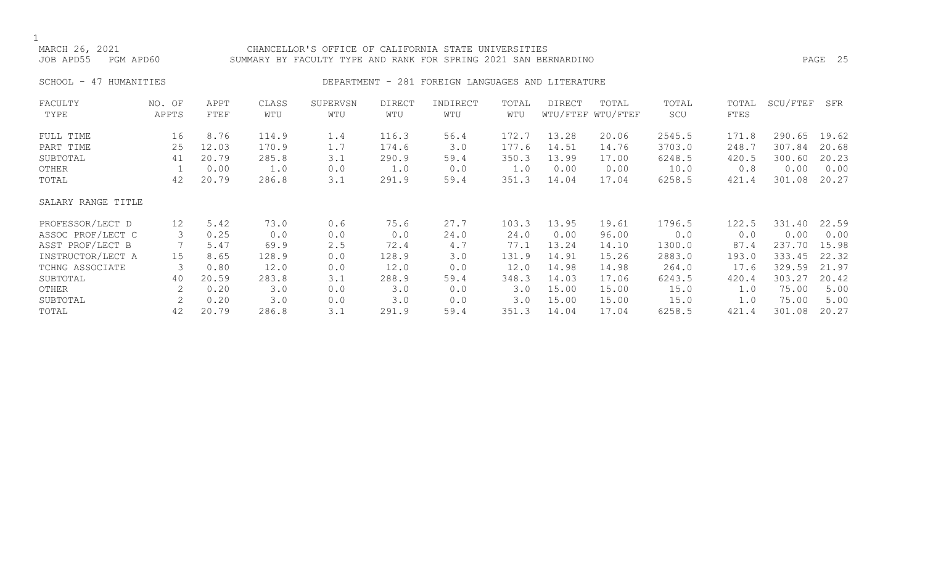# CHANCELLOR'S OFFICE OF CALIFORNIA STATE UNIVERSITIES JOB APD55 PGM APD60 SUMMARY BY FACULTY TYPE AND RANK FOR SPRING 2021 SAN BERNARDINO PAGE 25

# SCHOOL - 47 HUMANITIES SERVICES DEPARTMENT - 281 FOREIGN LANGUAGES AND LITERATURE

| FACULTY            | NO. OF | APPT  | CLASS | SUPERVSN | <b>DIRECT</b> | INDIRECT | TOTAL | <b>DIRECT</b> | TOTAL             | TOTAL  | TOTAL | SCU/FTEF | SFR   |
|--------------------|--------|-------|-------|----------|---------------|----------|-------|---------------|-------------------|--------|-------|----------|-------|
| TYPE               | APPTS  | FTEF  | WTU   | WTU      | WTU           | WTU      | WTU   |               | WTU/FTEF WTU/FTEF | SCU    | FTES  |          |       |
| FULL TIME          | 16     | 8.76  | 114.9 | 1.4      | 116.3         | 56.4     | 172.7 | 13.28         | 20.06             | 2545.5 | 171.8 | 290.65   | 19.62 |
| PART TIME          | 25     | 12.03 | 170.9 | 1.7      | 174.6         | 3.0      | 177.6 | 14.51         | 14.76             | 3703.0 | 248.7 | 307.84   | 20.68 |
| SUBTOTAL           | 41     | 20.79 | 285.8 | 3.1      | 290.9         | 59.4     | 350.3 | 13.99         | 17.00             | 6248.5 | 420.5 | 300.60   | 20.23 |
| OTHER              |        | 0.00  | 1.0   | 0.0      | 1.0           | 0.0      | 1.0   | 0.00          | 0.00              | 10.0   | 0.8   | 0.00     | 0.00  |
| TOTAL              | 42     | 20.79 | 286.8 | 3.1      | 291.9         | 59.4     | 351.3 | 14.04         | 17.04             | 6258.5 | 421.4 | 301.08   | 20.27 |
| SALARY RANGE TITLE |        |       |       |          |               |          |       |               |                   |        |       |          |       |
| PROFESSOR/LECT D   | 12     | 5.42  | 73.0  | 0.6      | 75.6          | 27.7     | 103.3 | 13.95         | 19.61             | 1796.5 | 122.5 | 331.40   | 22.59 |
| ASSOC PROF/LECT C  | 3      | 0.25  | 0.0   | 0.0      | 0.0           | 24.0     | 24.0  | 0.00          | 96.00             | 0.0    | 0.0   | 0.00     | 0.00  |
| ASST PROF/LECT B   |        | 5.47  | 69.9  | 2.5      | 72.4          | 4.7      | 77.1  | 13.24         | 14.10             | 1300.0 | 87.4  | 237.70   | 15.98 |
| INSTRUCTOR/LECT A  | 15     | 8.65  | 128.9 | 0.0      | 128.9         | 3.0      | 131.9 | 14.91         | 15.26             | 2883.0 | 193.0 | 333.45   | 22.32 |
| TCHNG ASSOCIATE    | 3      | 0.80  | 12.0  | 0.0      | 12.0          | 0.0      | 12.0  | 14.98         | 14.98             | 264.0  | 17.6  | 329.59   | 21.97 |
| SUBTOTAL           | 40     | 20.59 | 283.8 | 3.1      | 288.9         | 59.4     | 348.3 | 14.03         | 17.06             | 6243.5 | 420.4 | 303.27   | 20.42 |
| OTHER              |        | 0.20  | 3.0   | 0.0      | 3.0           | 0.0      | 3.0   | 15.00         | 15.00             | 15.0   | 1.0   | 75.00    | 5.00  |
| SUBTOTAL           | 2      | 0.20  | 3.0   | 0.0      | 3.0           | 0.0      | 3.0   | 15.00         | 15.00             | 15.0   | 1.0   | 75.00    | 5.00  |
| TOTAL              | 42     | 20.79 | 286.8 | 3.1      | 291.9         | 59.4     | 351.3 | 14.04         | 17.04             | 6258.5 | 421.4 | 301.08   | 20.27 |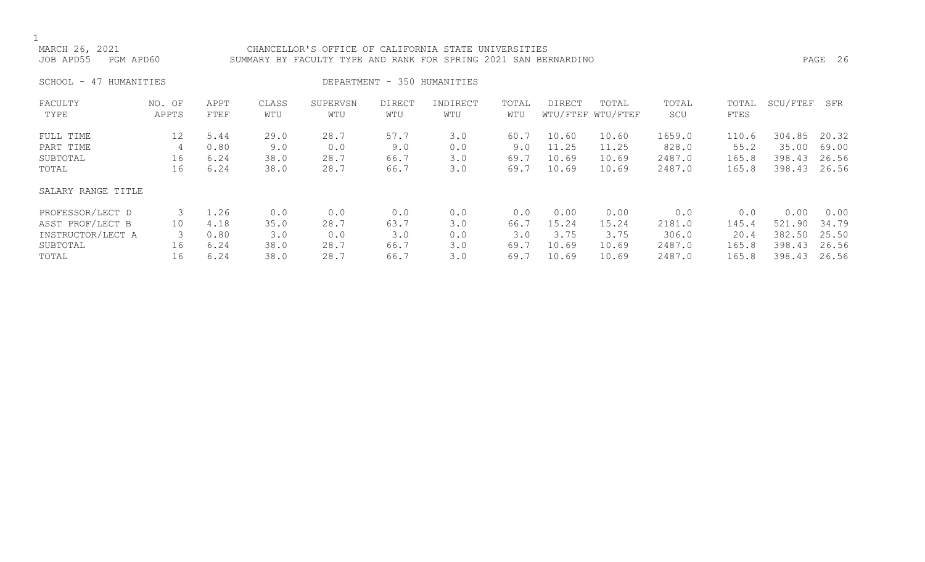# MARCH 26, 2021 CHANCELLOR'S OFFICE OF CALIFORNIA STATE UNIVERSITIES JOB APD55 PGM APD60 SUMMARY BY FACULTY TYPE AND RANK FOR SPRING 2021 SAN BERNARDINO PAGE 26

SCHOOL - 47 HUMANITIES SERIES DEPARTMENT - 350 HUMANITIES

| FACULTY<br>TYPE    | NO. OF<br>APPTS | APPT<br>FTEF | CLASS<br>WTU | SUPERVSN<br>WTU | <b>DIRECT</b><br>WTU | INDIRECT<br>WTU | TOTAL<br>WTU | DIRECT | TOTAL<br>WTU/FTEF WTU/FTEF | TOTAL<br>SCU | TOTAL<br>FTES | SCU/FTEF | SFR   |
|--------------------|-----------------|--------------|--------------|-----------------|----------------------|-----------------|--------------|--------|----------------------------|--------------|---------------|----------|-------|
| FULL TIME          | 12              | 5.44         | 29.0         | 28.7            | 57.7                 | 3.0             | 60.7         | 10.60  | 10.60                      | 1659.0       | 110.6         | 304.85   | 20.32 |
| PART TIME          | 4               | 0.80         | 9.0          | 0.0             | 9.0                  | 0.0             | 9.0          | 11.25  | 11.25                      | 828.0        | 55.2          | 35.00    | 69.00 |
| SUBTOTAL           | 16              | 6.24         | 38.0         | 28.7            | 66.7                 | 3.0             | 69.7         | 10.69  | 10.69                      | 2487.0       | 165.8         | 398.43   | 26.56 |
| TOTAL              | 16              | 6.24         | 38.0         | 28.7            | 66.7                 | 3.0             | 69.7         | 10.69  | 10.69                      | 2487.0       | 165.8         | 398.43   | 26.56 |
| SALARY RANGE TITLE |                 |              |              |                 |                      |                 |              |        |                            |              |               |          |       |
| PROFESSOR/LECT D   |                 | 1.26         | 0.0          | 0.0             | 0.0                  | 0.0             | 0.0          | 0.00   | 0.00                       | 0.0          | 0.0           | 0.00     | 0.00  |
| ASST PROF/LECT B   | 10              | 4.18         | 35.0         | 28.7            | 63.7                 | 3.0             | 66.7         | 15.24  | 15.24                      | 2181.0       | 145.4         | 521.90   | 34.79 |
| INSTRUCTOR/LECT A  |                 | 0.80         | 3.0          | 0.0             | 3.0                  | 0.0             | 3.0          | 3.75   | 3.75                       | 306.0        | 20.4          | 382.50   | 25.50 |
| SUBTOTAL           | 16              | 6.24         | 38.0         | 28.7            | 66.7                 | 3.0             | 69.7         | 10.69  | 10.69                      | 2487.0       | 165.8         | 398.43   | 26.56 |
| TOTAL              | 16              | 6.24         | 38.0         | 28.7            | 66.7                 | 3.0             | 69.7         | 10.69  | 10.69                      | 2487.0       | 165.8         | 398.43   | 26.56 |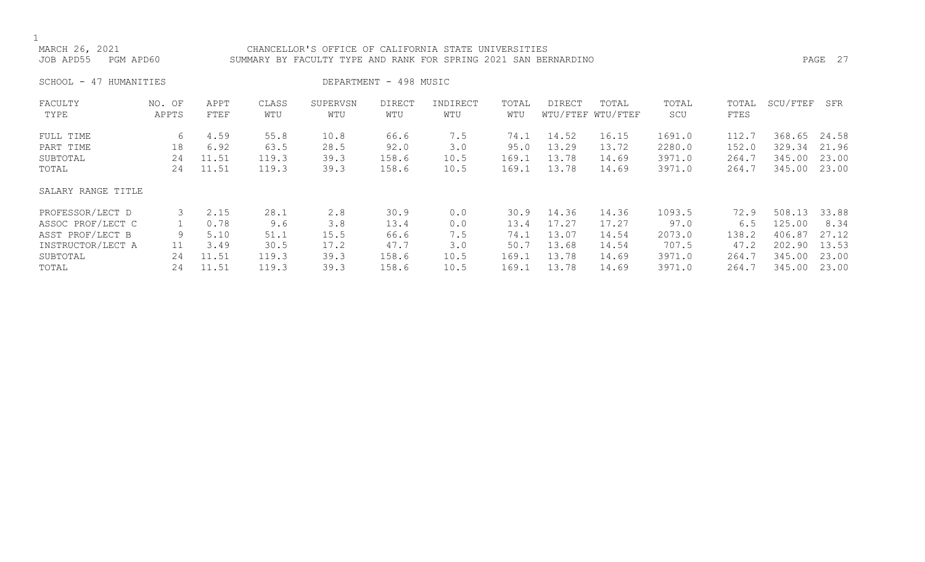CHANCELLOR'S OFFICE OF CALIFORNIA STATE UNIVERSITIES JOB APD55 PGM APD60 SUMMARY BY FACULTY TYPE AND RANK FOR SPRING 2021 SAN BERNARDINO PAGE 27

SCHOOL - 47 HUMANITIES DEPARTMENT - 498 MUSIC

| FACULTY            | NO. OF | APPT  | CLASS | SUPERVSN | <b>DIRECT</b> | INDIRECT | TOTAL | DIRECT | TOTAL             | TOTAL  | TOTAL | SCU/FTEF | SFR   |
|--------------------|--------|-------|-------|----------|---------------|----------|-------|--------|-------------------|--------|-------|----------|-------|
| TYPE               | APPTS  | FTEF  | WTU   | WTU      | WTU           | WTU      | WTU   |        | WTU/FTEF WTU/FTEF | SCU    | FTES  |          |       |
| FULL TIME          | 6      | 4.59  | 55.8  | 10.8     | 66.6          | 7.5      | 74.1  | 14.52  | 16.15             | 1691.0 | 112.7 | 368.65   | 24.58 |
| PART TIME          | 18     | 6.92  | 63.5  | 28.5     | 92.0          | 3.0      | 95.0  | 13.29  | 13.72             | 2280.0 | 152.0 | 329.34   | 21.96 |
| SUBTOTAL           | 24     | 11.51 | 119.3 | 39.3     | 158.6         | 10.5     | 169.1 | 13.78  | 14.69             | 3971.0 | 264.7 | 345.00   | 23.00 |
| TOTAL              | 24     | 11.51 | 119.3 | 39.3     | 158.6         | 10.5     | 169.1 | 13.78  | 14.69             | 3971.0 | 264.7 | 345.00   | 23.00 |
| SALARY RANGE TITLE |        |       |       |          |               |          |       |        |                   |        |       |          |       |
| PROFESSOR/LECT D   |        | 2.15  | 28.1  | 2.8      | 30.9          | 0.0      | 30.9  | 14.36  | 14.36             | 1093.5 | 72.9  | 508.13   | 33.88 |
| ASSOC PROF/LECT C  |        | 0.78  | 9.6   | 3.8      | 13.4          | 0.0      | 13.4  | 17.27  | 17.27             | 97.0   | 6.5   | 125.00   | 8.34  |
| ASST PROF/LECT B   | 9      | 5.10  | 51.1  | 15.5     | 66.6          | 7.5      | 74.1  | 13.07  | 14.54             | 2073.0 | 138.2 | 406.87   | 27.12 |
| INSTRUCTOR/LECT A  | 11     | 3.49  | 30.5  | 17.2     | 47.7          | 3.0      | 50.7  | 13.68  | 14.54             | 707.5  | 47.2  | 202.90   | 13.53 |
| SUBTOTAL           | 24     | 11.51 | 119.3 | 39.3     | 158.6         | 10.5     | 169.1 | 13.78  | 14.69             | 3971.0 | 264.7 | 345.00   | 23.00 |
| TOTAL              | 24     | 11.51 | 119.3 | 39.3     | 158.6         | 10.5     | 169.1 | 13.78  | 14.69             | 3971.0 | 264.7 | 345.00   | 23.00 |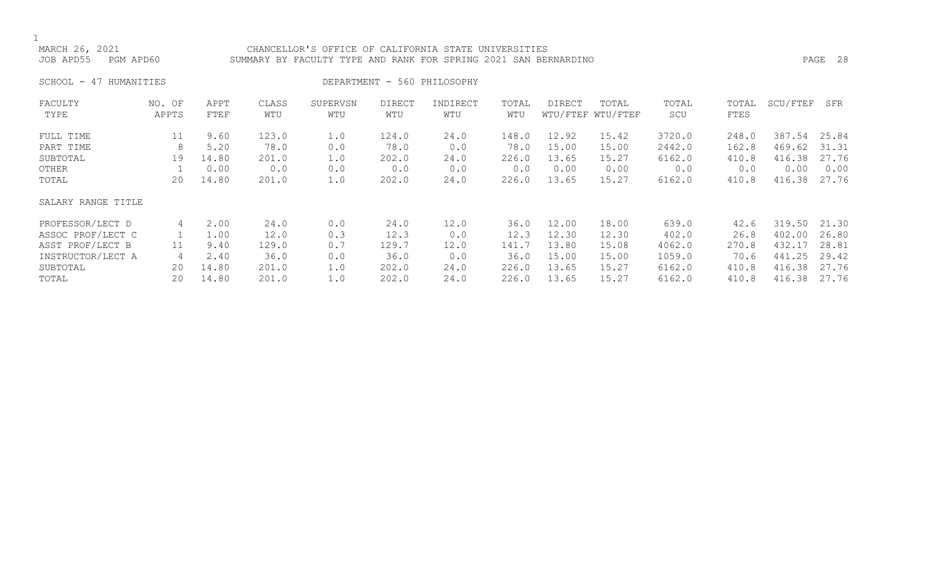# MARCH 26, 2021 CHANCELLOR'S OFFICE OF CALIFORNIA STATE UNIVERSITIES JOB APD55 PGM APD60 SUMMARY BY FACULTY TYPE AND RANK FOR SPRING 2021 SAN BERNARDINO PAGE 28

SCHOOL - 47 HUMANITIES DEPARTMENT - 560 PHILOSOPHY

| FACULTY            | NO. OF | APPT  | CLASS | SUPERVSN | <b>DIRECT</b> | INDIRECT | TOTAL | <b>DIRECT</b> | TOTAL             | TOTAL  | TOTAL | SCU/FTEF | SFR   |
|--------------------|--------|-------|-------|----------|---------------|----------|-------|---------------|-------------------|--------|-------|----------|-------|
| TYPE               | APPTS  | FTEF  | WTU   | WTU      | WTU           | WTU      | WTU   |               | WTU/FTEF WTU/FTEF | SCU    | FTES  |          |       |
| FULL TIME          | 11     | 9.60  | 123.0 | 1.0      | 124.0         | 24.0     | 148.0 | 12.92         | 15.42             | 3720.0 | 248.0 | 387.54   | 25.84 |
| PART TIME          | 8      | 5.20  | 78.0  | 0.0      | 78.0          | 0.0      | 78.0  | 15.00         | 15.00             | 2442.0 | 162.8 | 469.62   | 31.31 |
| SUBTOTAL           | 19     | 14.80 | 201.0 | 1.0      | 202.0         | 24.0     | 226.0 | 13.65         | 15.27             | 6162.0 | 410.8 | 416.38   | 27.76 |
| OTHER              |        | 0.00  | 0.0   | 0.0      | 0.0           | 0.0      | 0.0   | 0.00          | 0.00              | 0.0    | 0.0   | 0.00     | 0.00  |
| TOTAL              | 20     | 14.80 | 201.0 | 1.0      | 202.0         | 24.0     | 226.0 | 13.65         | 15.27             | 6162.0 | 410.8 | 416.38   | 27.76 |
| SALARY RANGE TITLE |        |       |       |          |               |          |       |               |                   |        |       |          |       |
| PROFESSOR/LECT D   | 4      | 2.00  | 24.0  | 0.0      | 24.0          | 12.0     | 36.0  | 12.00         | 18.00             | 639.0  | 42.6  | 319.50   | 21.30 |
| ASSOC PROF/LECT C  |        | 1.00  | 12.0  | 0.3      | 12.3          | 0.0      | 12.3  | 12.30         | 12.30             | 402.0  | 26.8  | 402.00   | 26.80 |
| ASST PROF/LECT B   | 11     | 9.40  | 129.0 | 0.7      | 129.7         | 12.0     | 141.7 | 13.80         | 15.08             | 4062.0 | 270.8 | 432.17   | 28.81 |
| INSTRUCTOR/LECT A  | 4      | 2.40  | 36.0  | 0.0      | 36.0          | 0.0      | 36.0  | 15.00         | 15.00             | 1059.0 | 70.6  | 441.25   | 29.42 |
| SUBTOTAL           | 20     | 14.80 | 201.0 | 1.0      | 202.0         | 24.0     | 226.0 | 13.65         | 15.27             | 6162.0 | 410.8 | 416.38   | 27.76 |
| TOTAL              | 20     | 14.80 | 201.0 | 1.0      | 202.0         | 24.0     | 226.0 | 13.65         | 15.27             | 6162.0 | 410.8 | 416.38   | 27.76 |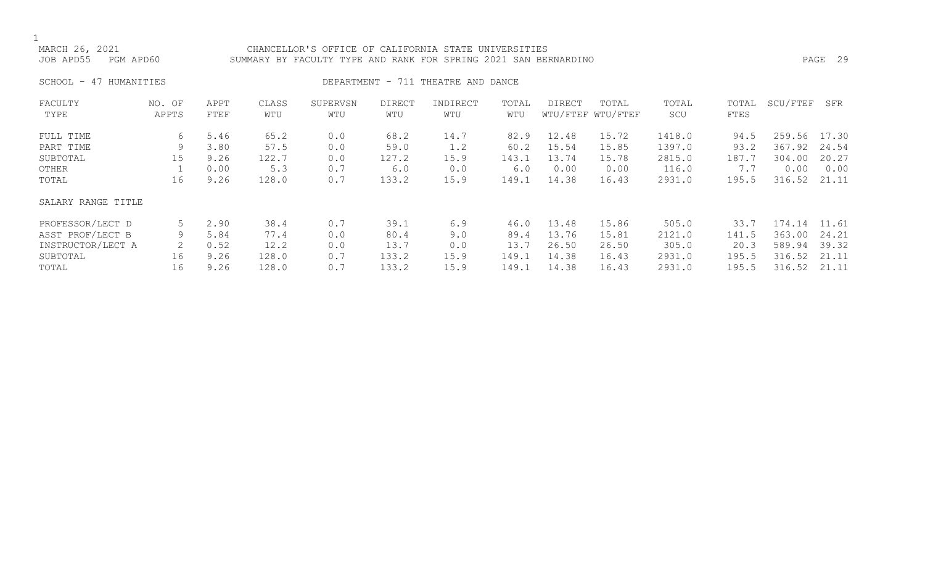# CHANCELLOR'S OFFICE OF CALIFORNIA STATE UNIVERSITIES JOB APD55 PGM APD60 SUMMARY BY FACULTY TYPE AND RANK FOR SPRING 2021 SAN BERNARDINO PAGE 29

SCHOOL - 47 HUMANITIES SERVICES DEPARTMENT - 711 THEATRE AND DANCE

| FACULTY            | NO. OF | APPT | CLASS | SUPERVSN | <b>DIRECT</b> | INDIRECT | TOTAL | DIRECT | TOTAL             | TOTAL  | TOTAL | SCU/FTEF | SFR   |
|--------------------|--------|------|-------|----------|---------------|----------|-------|--------|-------------------|--------|-------|----------|-------|
| TYPE               | APPTS  | FTEF | WTU   | WTU      | WTU           | WTU      | WTU   |        | WTU/FTEF WTU/FTEF | SCU    | FTES  |          |       |
| FULL TIME          | 6      | 5.46 | 65.2  | 0.0      | 68.2          | 14.7     | 82.9  | 12.48  | 15.72             | 1418.0 | 94.5  | 259.56   | 17.30 |
| PART TIME          | 9      | 3.80 | 57.5  | 0.0      | 59.0          | 1.2      | 60.2  | 15.54  | 15.85             | 1397.0 | 93.2  | 367.92   | 24.54 |
| SUBTOTAL           | 15     | 9.26 | 122.7 | 0.0      | 127.2         | 15.9     | 143.1 | 13.74  | 15.78             | 2815.0 | 187.7 | 304.00   | 20.27 |
| OTHER              |        | 0.00 | 5.3   | 0.7      | 6.0           | 0.0      | 6.0   | 0.00   | 0.00              | 116.0  | 7.7   | 0.00     | 0.00  |
| TOTAL              | 16     | 9.26 | 128.0 | 0.7      | 133.2         | 15.9     | 149.1 | 14.38  | 16.43             | 2931.0 | 195.5 | 316.52   | 21.11 |
| SALARY RANGE TITLE |        |      |       |          |               |          |       |        |                   |        |       |          |       |
| PROFESSOR/LECT D   | 5      | 2.90 | 38.4  | 0.7      | 39.1          | 6.9      | 46.0  | 13.48  | 15.86             | 505.0  | 33.7  | 174.14   | 11.61 |
| ASST PROF/LECT B   | 9      | 5.84 | 77.4  | 0.0      | 80.4          | 9.0      | 89.4  | 13.76  | 15.81             | 2121.0 | 141.5 | 363.00   | 24.21 |
| INSTRUCTOR/LECT A  | 2      | 0.52 | 12.2  | 0.0      | 13.7          | 0.0      | 13.7  | 26.50  | 26.50             | 305.0  | 20.3  | 589.94   | 39.32 |
| SUBTOTAL           | 16     | 9.26 | 128.0 | 0.7      | 133.2         | 15.9     | 149.1 | 14.38  | 16.43             | 2931.0 | 195.5 | 316.52   | 21.11 |
| TOTAL              | 16     | 9.26 | 128.0 | 0.7      | 133.2         | 15.9     | 149.1 | 14.38  | 16.43             | 2931.0 | 195.5 | 316.52   | 21.11 |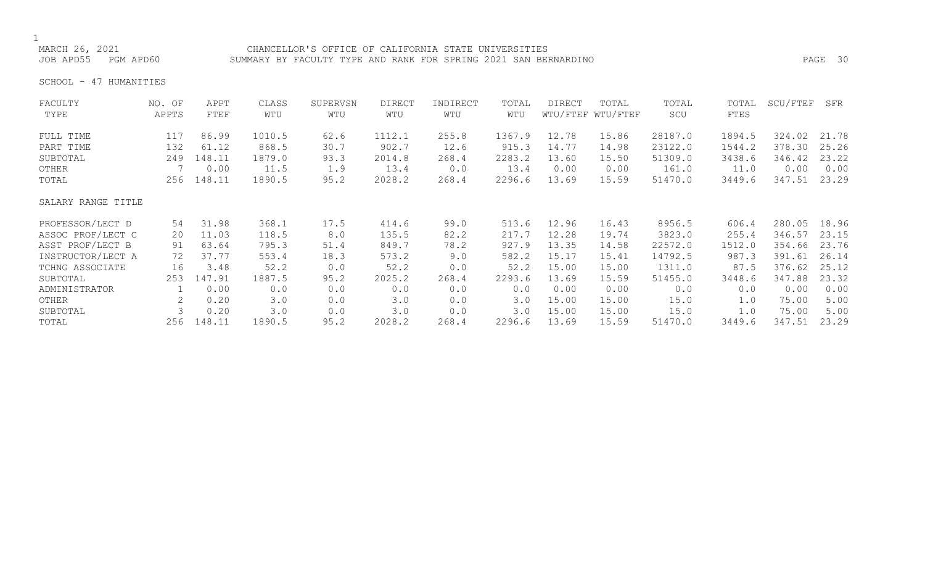MARCH 26, 2021 CHANCELLOR'S OFFICE OF CALIFORNIA STATE UNIVERSITIES<br>JOB APD55 PGM APD60 SUMMARY BY FACULTY TYPE AND RANK FOR SPRING 2021 SAN BEF SUMMARY BY FACULTY TYPE AND RANK FOR SPRING 2021 SAN BERNARDINO **PAGE 30** 

SCHOOL - 47 HUMANITIES

| FACULTY<br>TYPE    | NO. OF<br>APPTS | APPT<br>FTEF | CLASS<br>WTU | SUPERVSN<br>WTU | <b>DIRECT</b><br>WTU | INDIRECT<br>WTU | TOTAL<br>WTU | <b>DIRECT</b> | TOTAL<br>WTU/FTEF WTU/FTEF | TOTAL<br>SCU | TOTAL<br>FTES | SCU/FTEF | SFR   |
|--------------------|-----------------|--------------|--------------|-----------------|----------------------|-----------------|--------------|---------------|----------------------------|--------------|---------------|----------|-------|
| FULL TIME          | 117             | 86.99        | 1010.5       | 62.6            | 1112.1               | 255.8           | 1367.9       | 12.78         | 15.86                      | 28187.0      | 1894.5        | 324.02   | 21.78 |
| PART TIME          | 132             | 61.12        | 868.5        | 30.7            | 902.7                | 12.6            | 915.3        | 14.77         | 14.98                      | 23122.0      | 1544.2        | 378.30   | 25.26 |
| SUBTOTAL           | 249             | 148.11       | 1879.0       | 93.3            | 2014.8               | 268.4           | 2283.2       | 13.60         | 15.50                      | 51309.0      | 3438.6        | 346.42   | 23.22 |
| OTHER              |                 | 0.00         | 11.5         | 1.9             | 13.4                 | 0.0             | 13.4         | 0.00          | 0.00                       | 161.0        | 11.0          | 0.00     | 0.00  |
| TOTAL              | 256             | 148.11       | 1890.5       | 95.2            | 2028.2               | 268.4           | 2296.6       | 13.69         | 15.59                      | 51470.0      | 3449.6        | 347.51   | 23.29 |
|                    |                 |              |              |                 |                      |                 |              |               |                            |              |               |          |       |
| SALARY RANGE TITLE |                 |              |              |                 |                      |                 |              |               |                            |              |               |          |       |
| PROFESSOR/LECT D   | 54              | 31.98        | 368.1        | 17.5            | 414.6                | 99.0            | 513.6        | 12.96         | 16.43                      | 8956.5       | 606.4         | 280.05   | 18.96 |
| ASSOC PROF/LECT C  | 20              | 11.03        | 118.5        | 8.0             | 135.5                | 82.2            | 217.7        | 12.28         | 19.74                      | 3823.0       | 255.4         | 346.57   | 23.15 |
| ASST PROF/LECT B   | 91              | 63.64        | 795.3        | 51.4            | 849.7                | 78.2            | 927.9        | 13.35         | 14.58                      | 22572.0      | 1512.0        | 354.66   | 23.76 |
| INSTRUCTOR/LECT A  | 72              | 37.77        | 553.4        | 18.3            | 573.2                | 9.0             | 582.2        | 15.17         | 15.41                      | 14792.5      | 987.3         | 391.61   | 26.14 |
| TCHNG ASSOCIATE    | 16              | 3.48         | 52.2         | 0.0             | 52.2                 | 0.0             | 52.2         | 15.00         | 15.00                      | 1311.0       | 87.5          | 376.62   | 25.12 |
| SUBTOTAL           | 253             | 147.91       | 1887.5       | 95.2            | 2025.2               | 268.4           | 2293.6       | 13.69         | 15.59                      | 51455.0      | 3448.6        | 347.88   | 23.32 |
| ADMINISTRATOR      |                 | 0.00         | 0.0          | 0.0             | 0.0                  | 0.0             | 0.0          | 0.00          | 0.00                       | 0.0          | 0.0           | 0.00     | 0.00  |
| OTHER              |                 | 0.20         | 3.0          | 0.0             | 3.0                  | 0.0             | 3.0          | 15.00         | 15.00                      | 15.0         | 1.0           | 75.00    | 5.00  |
| SUBTOTAL           |                 | 0.20         | 3.0          | 0.0             | 3.0                  | 0.0             | 3.0          | 15.00         | 15.00                      | 15.0         | 1.0           | 75.00    | 5.00  |
| TOTAL              | 256             | 148.11       | 1890.5       | 95.2            | 2028.2               | 268.4           | 2296.6       | 13.69         | 15.59                      | 51470.0      | 3449.6        | 347.51   | 23.29 |
|                    |                 |              |              |                 |                      |                 |              |               |                            |              |               |          |       |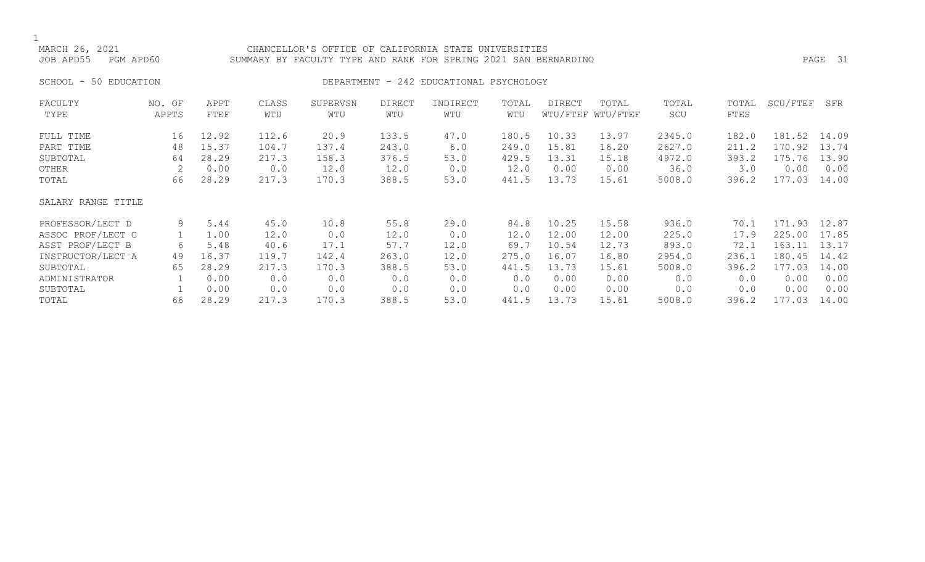# CHANCELLOR'S OFFICE OF CALIFORNIA STATE UNIVERSITIES JOB APD55 PGM APD60 SUMMARY BY FACULTY TYPE AND RANK FOR SPRING 2021 SAN BERNARDINO PAGE 31

# SCHOOL - 50 EDUCATION **DEPARTMENT - 242 EDUCATIONAL PSYCHOLOGY**

| FACULTY            | NO. OF | APPT  | CLASS | SUPERVSN | <b>DIRECT</b> | INDIRECT | TOTAL | <b>DIRECT</b> | TOTAL             | TOTAL  | TOTAL | SCU/FTEF | SFR   |
|--------------------|--------|-------|-------|----------|---------------|----------|-------|---------------|-------------------|--------|-------|----------|-------|
| TYPE               | APPTS  | FTEF  | WTU   | WTU      | WTU           | WTU      | WTU   |               | WTU/FTEF WTU/FTEF | SCU    | FTES  |          |       |
| FULL TIME          | 16     | 12.92 | 112.6 | 20.9     | 133.5         | 47.0     | 180.5 | 10.33         | 13.97             | 2345.0 | 182.0 | 181.52   | 14.09 |
| PART TIME          | 48     | 15.37 | 104.7 | 137.4    | 243.0         | 6.0      | 249.0 | 15.81         | 16.20             | 2627.0 | 211.2 | 170.92   | 13.74 |
| SUBTOTAL           | 64     | 28.29 | 217.3 | 158.3    | 376.5         | 53.0     | 429.5 | 13.31         | 15.18             | 4972.0 | 393.2 | 175.76   | 13.90 |
| OTHER              |        | 0.00  | 0.0   | 12.0     | 12.0          | 0.0      | 12.0  | 0.00          | 0.00              | 36.0   | 3.0   | 0.00     | 0.00  |
| TOTAL              | 66     | 28.29 | 217.3 | 170.3    | 388.5         | 53.0     | 441.5 | 13.73         | 15.61             | 5008.0 | 396.2 | 177.03   | 14.00 |
| SALARY RANGE TITLE |        |       |       |          |               |          |       |               |                   |        |       |          |       |
| PROFESSOR/LECT D   | 9      | 5.44  | 45.0  | 10.8     | 55.8          | 29.0     | 84.8  | 10.25         | 15.58             | 936.0  | 70.1  | 171.93   | 12.87 |
| ASSOC PROF/LECT C  |        | 1.00  | 12.0  | 0.0      | 12.0          | 0.0      | 12.0  | 12.00         | 12.00             | 225.0  | 17.9  | 225.00   | 17.85 |
| ASST PROF/LECT B   | 6      | 5.48  | 40.6  | 17.1     | 57.7          | 12.0     | 69.7  | 10.54         | 12.73             | 893.0  | 72.1  | 163.11   | 13.17 |
| INSTRUCTOR/LECT A  | 49     | 16.37 | 119.7 | 142.4    | 263.0         | 12.0     | 275.0 | 16.07         | 16.80             | 2954.0 | 236.1 | 180.45   | 14.42 |
| SUBTOTAL           | 65     | 28.29 | 217.3 | 170.3    | 388.5         | 53.0     | 441.5 | 13.73         | 15.61             | 5008.0 | 396.2 | 177.03   | 14.00 |
| ADMINISTRATOR      |        | 0.00  | 0.0   | 0.0      | 0.0           | 0.0      | 0.0   | 0.00          | 0.00              | 0.0    | 0.0   | 0.00     | 0.00  |
| SUBTOTAL           |        | 0.00  | 0.0   | 0.0      | 0.0           | 0.0      | 0.0   | 0.00          | 0.00              | 0.0    | 0.0   | 0.00     | 0.00  |
| TOTAL              | 66     | 28.29 | 217.3 | 170.3    | 388.5         | 53.0     | 441.5 | 13.73         | 15.61             | 5008.0 | 396.2 | 177.03   | 14.00 |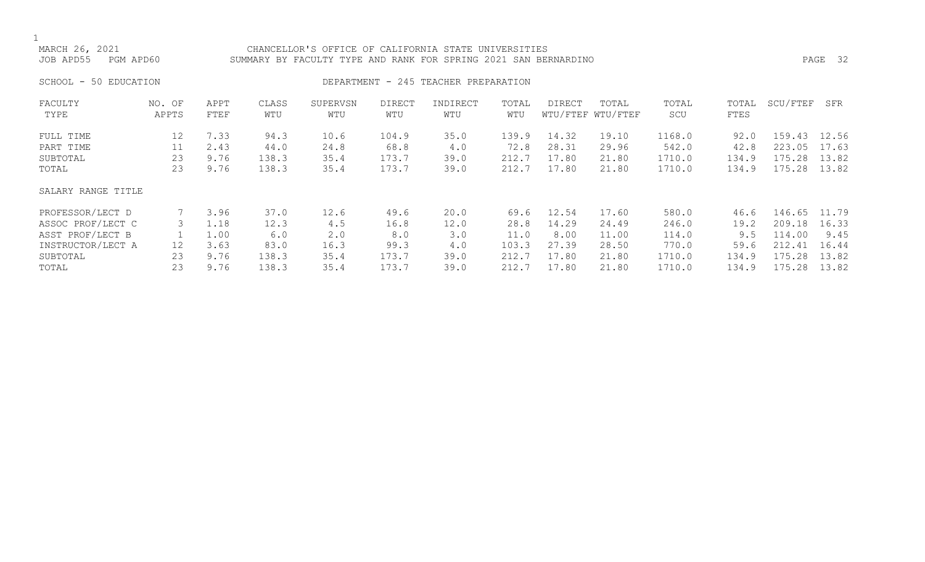# CHANCELLOR'S OFFICE OF CALIFORNIA STATE UNIVERSITIES JOB APD55 PGM APD60 SUMMARY BY FACULTY TYPE AND RANK FOR SPRING 2021 SAN BERNARDINO PAGE 32

SCHOOL - 50 EDUCATION **DEPARTMENT - 245 TEACHER PREPARATION** 

| FACULTY<br>TYPE    | NO. OF<br>APPTS   | APPT<br>FTEF | CLASS<br>WTU | SUPERVSN<br>WTU | <b>DIRECT</b><br>WTU | INDIRECT<br>WTU | TOTAL<br>WTU | DIRECT | TOTAL<br>WTU/FTEF WTU/FTEF | TOTAL<br>SCU | TOTAL<br>FTES | SCU/FTEF | SFR   |
|--------------------|-------------------|--------------|--------------|-----------------|----------------------|-----------------|--------------|--------|----------------------------|--------------|---------------|----------|-------|
|                    |                   |              |              |                 |                      |                 |              |        |                            |              |               |          |       |
| FULL TIME          | $12 \overline{ }$ | 7.33         | 94.3         | 10.6            | 104.9                | 35.0            | 139.9        | 14.32  | 19.10                      | 1168.0       | 92.0          | 159.43   | 12.56 |
| PART TIME          | 11                | 2.43         | 44.0         | 24.8            | 68.8                 | 4.0             | 72.8         | 28.31  | 29.96                      | 542.0        | 42.8          | 223.05   | 17.63 |
| SUBTOTAL           | 23                | 9.76         | 138.3        | 35.4            | 173.7                | 39.0            | 212.7        | 17.80  | 21.80                      | 1710.0       | 134.9         | 175.28   | 13.82 |
| TOTAL              | 23                | 9.76         | 138.3        | 35.4            | 173.7                | 39.0            | 212.7        | 17.80  | 21.80                      | 1710.0       | 134.9         | 175.28   | 13.82 |
| SALARY RANGE TITLE |                   |              |              |                 |                      |                 |              |        |                            |              |               |          |       |
| PROFESSOR/LECT D   |                   | 3.96         | 37.0         | 12.6            | 49.6                 | 20.0            | 69.6         | 12.54  | 17.60                      | 580.0        | 46.6          | 146.65   | 11.79 |
| ASSOC PROF/LECT C  | 3                 | 1.18         | 12.3         | 4.5             | 16.8                 | 12.0            | 28.8         | 14.29  | 24.49                      | 246.0        | 19.2          | 209.18   | 16.33 |
| ASST PROF/LECT B   |                   | 1.00         | 6.0          | 2.0             | 8.0                  | 3.0             | 11.0         | 8.00   | 11.00                      | 114.0        | 9.5           | 114.00   | 9.45  |
| INSTRUCTOR/LECT A  | 12                | 3.63         | 83.0         | 16.3            | 99.3                 | 4.0             | 103.3        | 27.39  | 28.50                      | 770.0        | 59.6          | 212.41   | 16.44 |
| SUBTOTAL           | 23                | 9.76         | 138.3        | 35.4            | 173.7                | 39.0            | 212.7        | 17.80  | 21.80                      | 1710.0       | 134.9         | 175.28   | 13.82 |
| TOTAL              | 23                | 9.76         | 138.3        | 35.4            | 173.7                | 39.0            | 212.7        | 17.80  | 21.80                      | 1710.0       | 134.9         | 175.28   | 13.82 |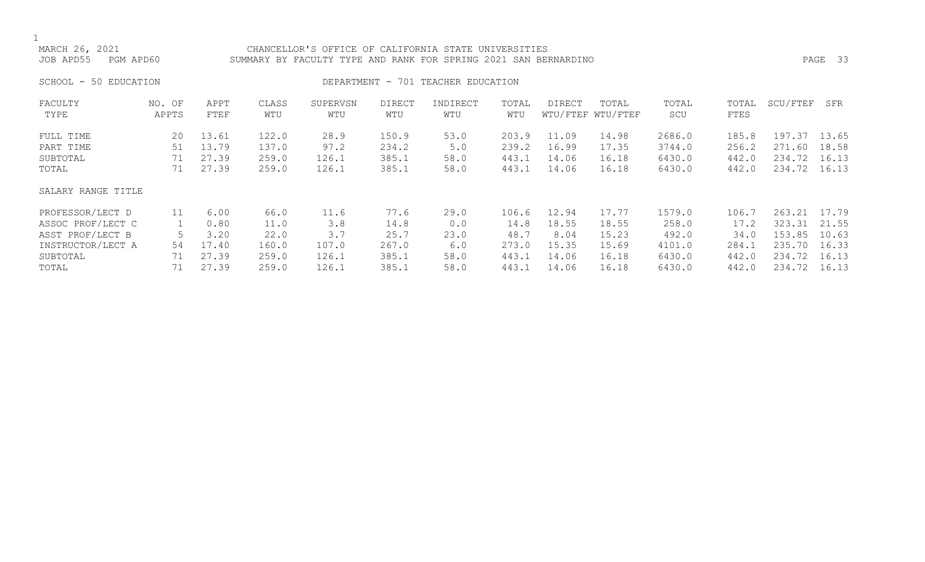CHANCELLOR'S OFFICE OF CALIFORNIA STATE UNIVERSITIES JOB APD55 PGM APD60 SUMMARY BY FACULTY TYPE AND RANK FOR SPRING 2021 SAN BERNARDINO PAGE 33

SCHOOL - 50 EDUCATION **DEPARTMENT** - 701 TEACHER EDUCATION

| FACULTY<br>TYPE    | NO. OF<br>APPTS | APPT<br>FTEF | CLASS<br>WTU | SUPERVSN<br>WTU | <b>DIRECT</b><br>WTU | INDIRECT<br>WTU | TOTAL<br>WTU | DIRECT | TOTAL<br>WTU/FTEF WTU/FTEF | TOTAL<br>SCU | TOTAL<br>FTES | SCU/FTEF | SFR   |
|--------------------|-----------------|--------------|--------------|-----------------|----------------------|-----------------|--------------|--------|----------------------------|--------------|---------------|----------|-------|
|                    |                 |              |              |                 |                      |                 |              |        |                            |              |               |          |       |
| FULL TIME          | 20              | 13.61        | 122.0        | 28.9            | 150.9                | 53.0            | 203.9        | 11.09  | 14.98                      | 2686.0       | 185.8         | 197.37   | 13.65 |
| PART TIME          | 51              | 13.79        | 137.0        | 97.2            | 234.2                | 5.0             | 239.2        | 16.99  | 17.35                      | 3744.0       | 256.2         | 271.60   | 18.58 |
| SUBTOTAL           | 71              | 27.39        | 259.0        | 126.1           | 385.1                | 58.0            | 443.1        | 14.06  | 16.18                      | 6430.0       | 442.0         | 234.72   | 16.13 |
| TOTAL              | 71              | 27.39        | 259.0        | 126.1           | 385.1                | 58.0            | 443.1        | 14.06  | 16.18                      | 6430.0       | 442.0         | 234.72   | 16.13 |
| SALARY RANGE TITLE |                 |              |              |                 |                      |                 |              |        |                            |              |               |          |       |
| PROFESSOR/LECT D   | 11              | 6.00         | 66.0         | 11.6            | 77.6                 | 29.0            | 106.6        | 12.94  | 17.77                      | 1579.0       | 106.7         | 263.21   | 17.79 |
| ASSOC PROF/LECT C  |                 | 0.80         | 11.0         | 3.8             | 14.8                 | 0.0             | 14.8         | 18.55  | 18.55                      | 258.0        | 17.2          | 323.31   | 21.55 |
| ASST PROF/LECT B   |                 | 3.20         | 22.0         | 3.7             | 25.7                 | 23.0            | 48.7         | 8.04   | 15.23                      | 492.0        | 34.0          | 153.85   | 10.63 |
| INSTRUCTOR/LECT A  | 54              | 17.40        | 160.0        | 107.0           | 267.0                | 6.0             | 273.0        | 15.35  | 15.69                      | 4101.0       | 284.1         | 235.70   | 16.33 |
| SUBTOTAL           | 71              | 27.39        | 259.0        | 126.1           | 385.1                | 58.0            | 443.1        | 14.06  | 16.18                      | 6430.0       | 442.0         | 234.72   | 16.13 |
| TOTAL              | 71              | 27.39        | 259.0        | 126.1           | 385.1                | 58.0            | 443.1        | 14.06  | 16.18                      | 6430.0       | 442.0         | 234.72   | 16.13 |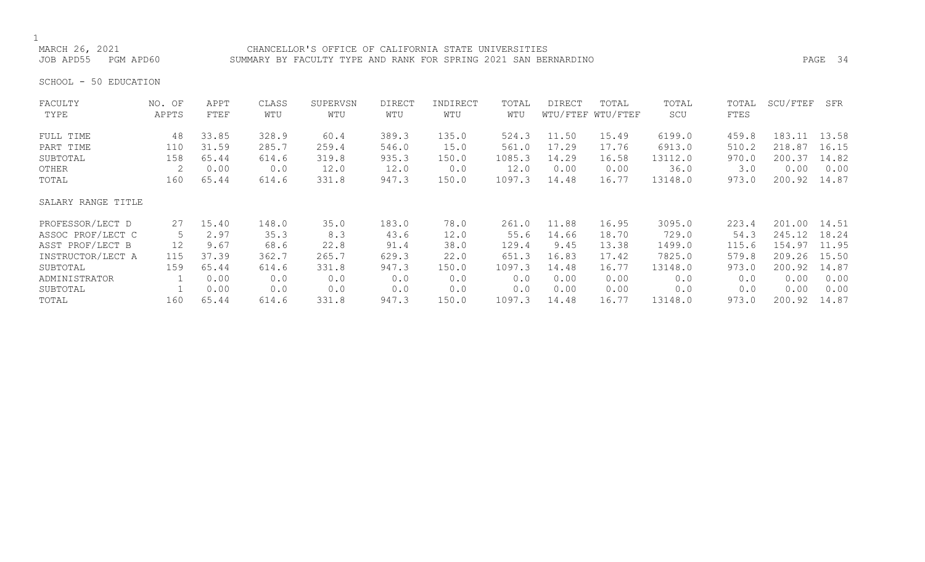# CHANCELLOR'S OFFICE OF CALIFORNIA STATE UNIVERSITIES JOB APD55 PGM APD60 SUMMARY BY FACULTY TYPE AND RANK FOR SPRING 2021 SAN BERNARDINO PAGE 34

SCHOOL - 50 EDUCATION

| FACULTY            | NO. OF | APPT  | CLASS | SUPERVSN | <b>DIRECT</b> | INDIRECT | TOTAL  | <b>DIRECT</b> | TOTAL             | TOTAL   | TOTAL | SCU/FTEF | SFR   |
|--------------------|--------|-------|-------|----------|---------------|----------|--------|---------------|-------------------|---------|-------|----------|-------|
| TYPE               | APPTS  | FTEF  | WTU   | WTU      | WTU           | WTU      | WTU    |               | WTU/FTEF WTU/FTEF | SCU     | FTES  |          |       |
| FULL TIME          | 48     | 33.85 | 328.9 | 60.4     | 389.3         | 135.0    | 524.3  | 11.50         | 15.49             | 6199.0  | 459.8 | 183.11   | 13.58 |
| PART TIME          | 110    | 31.59 | 285.7 | 259.4    | 546.0         | 15.0     | 561.0  | 17.29         | 17.76             | 6913.0  | 510.2 | 218.87   | 16.15 |
| SUBTOTAL           | 158    | 65.44 | 614.6 | 319.8    | 935.3         | 150.0    | 1085.3 | 14.29         | 16.58             | 13112.0 | 970.0 | 200.37   | 14.82 |
| OTHER              | 2      | 0.00  | 0.0   | 12.0     | 12.0          | 0.0      | 12.0   | 0.00          | 0.00              | 36.0    | 3.0   | 0.00     | 0.00  |
| TOTAL              | 160    | 65.44 | 614.6 | 331.8    | 947.3         | 150.0    | 1097.3 | 14.48         | 16.77             | 13148.0 | 973.0 | 200.92   | 14.87 |
| SALARY RANGE TITLE |        |       |       |          |               |          |        |               |                   |         |       |          |       |
| PROFESSOR/LECT D   | 27     | 15.40 | 148.0 | 35.0     | 183.0         | 78.0     | 261.0  | 11.88         | 16.95             | 3095.0  | 223.4 | 201.00   | 14.51 |
| ASSOC PROF/LECT C  | 5      | 2.97  | 35.3  | 8.3      | 43.6          | 12.0     | 55.6   | 14.66         | 18.70             | 729.0   | 54.3  | 245.12   | 18.24 |
| ASST PROF/LECT B   | 12     | 9.67  | 68.6  | 22.8     | 91.4          | 38.0     | 129.4  | 9.45          | 13.38             | 1499.0  | 115.6 | 154.97   | 11.95 |
| INSTRUCTOR/LECT A  | 115    | 37.39 | 362.7 | 265.7    | 629.3         | 22.0     | 651.3  | 16.83         | 17.42             | 7825.0  | 579.8 | 209.26   | 15.50 |
| SUBTOTAL           | 159    | 65.44 | 614.6 | 331.8    | 947.3         | 150.0    | 1097.3 | 14.48         | 16.77             | 13148.0 | 973.0 | 200.92   | 14.87 |
| ADMINISTRATOR      |        | 0.00  | 0.0   | 0.0      | 0.0           | 0.0      | 0.0    | 0.00          | 0.00              | 0.0     | 0.0   | 0.00     | 0.00  |
| SUBTOTAL           |        | 0.00  | 0.0   | 0.0      | 0.0           | 0.0      | 0.0    | 0.00          | 0.00              | 0.0     | 0.0   | 0.00     | 0.00  |
| TOTAL              | 160    | 65.44 | 614.6 | 331.8    | 947.3         | 150.0    | 1097.3 | 14.48         | 16.77             | 13148.0 | 973.0 | 200.92   | 14.87 |
|                    |        |       |       |          |               |          |        |               |                   |         |       |          |       |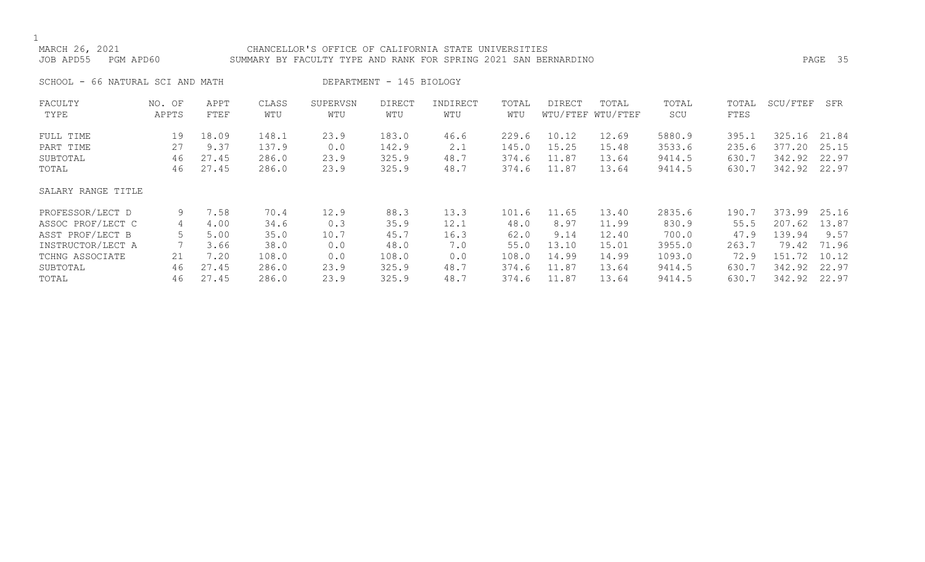# MARCH 26, 2021 CHANCELLOR'S OFFICE OF CALIFORNIA STATE UNIVERSITIES JOB APD55 PGM APD60 SUMMARY BY FACULTY TYPE AND RANK FOR SPRING 2021 SAN BERNARDINO PAGE 35

SCHOOL - 66 NATURAL SCI AND MATH DEPARTMENT - 145 BIOLOGY

| FACULTY<br>TYPE    | NO. OF<br>APPTS | APPT<br>FTEF | CLASS<br>WTU | SUPERVSN<br>WTU | <b>DIRECT</b><br>WTU | INDIRECT<br>WTU | TOTAL<br>WTU | DIRECT | TOTAL<br>WTU/FTEF WTU/FTEF | TOTAL<br>SCU | TOTAL<br>FTES | SCU/FTEF | SFR   |
|--------------------|-----------------|--------------|--------------|-----------------|----------------------|-----------------|--------------|--------|----------------------------|--------------|---------------|----------|-------|
|                    |                 |              |              |                 |                      |                 |              |        |                            |              |               |          |       |
| FULL TIME          | 19              | 18.09        | 148.1        | 23.9            | 183.0                | 46.6            | 229.6        | 10.12  | 12.69                      | 5880.9       | 395.1         | 325.16   | 21.84 |
| PART TIME          | 27              | 9.37         | 137.9        | 0.0             | 142.9                | 2.1             | 145.0        | 15.25  | 15.48                      | 3533.6       | 235.6         | 377.20   | 25.15 |
| SUBTOTAL           | 46              | 27.45        | 286.0        | 23.9            | 325.9                | 48.7            | 374.6        | 11.87  | 13.64                      | 9414.5       | 630.7         | 342.92   | 22.97 |
| TOTAL              | 46              | 27.45        | 286.0        | 23.9            | 325.9                | 48.7            | 374.6        | 11.87  | 13.64                      | 9414.5       | 630.7         | 342.92   | 22.97 |
| SALARY RANGE TITLE |                 |              |              |                 |                      |                 |              |        |                            |              |               |          |       |
| PROFESSOR/LECT D   | 9               | 7.58         | 70.4         | 12.9            | 88.3                 | 13.3            | 101.6        | 11.65  | 13.40                      | 2835.6       | 190.7         | 373.99   | 25.16 |
| ASSOC PROF/LECT C  | 4               | 4.00         | 34.6         | 0.3             | 35.9                 | 12.1            | 48.0         | 8.97   | 11.99                      | 830.9        | 55.5          | 207.62   | 13.87 |
| ASST PROF/LECT B   |                 | 5.00         | 35.0         | 10.7            | 45.7                 | 16.3            | 62.0         | 9.14   | 12.40                      | 700.0        | 47.9          | 139.94   | 9.57  |
| INSTRUCTOR/LECT A  |                 | 3.66         | 38.0         | 0.0             | 48.0                 | 7.0             | 55.0         | 13.10  | 15.01                      | 3955.0       | 263.7         | 79.42    | 71.96 |
| TCHNG ASSOCIATE    | 21              | 7.20         | 108.0        | 0.0             | 108.0                | 0.0             | 108.0        | 14.99  | 14.99                      | 1093.0       | 72.9          | 151.72   | 10.12 |
| SUBTOTAL           | 46              | 27.45        | 286.0        | 23.9            | 325.9                | 48.7            | 374.6        | 11.87  | 13.64                      | 9414.5       | 630.7         | 342.92   | 22.97 |
| TOTAL              | 46              | 27.45        | 286.0        | 23.9            | 325.9                | 48.7            | 374.6        | 11.87  | 13.64                      | 9414.5       | 630.7         | 342.92   | 22.97 |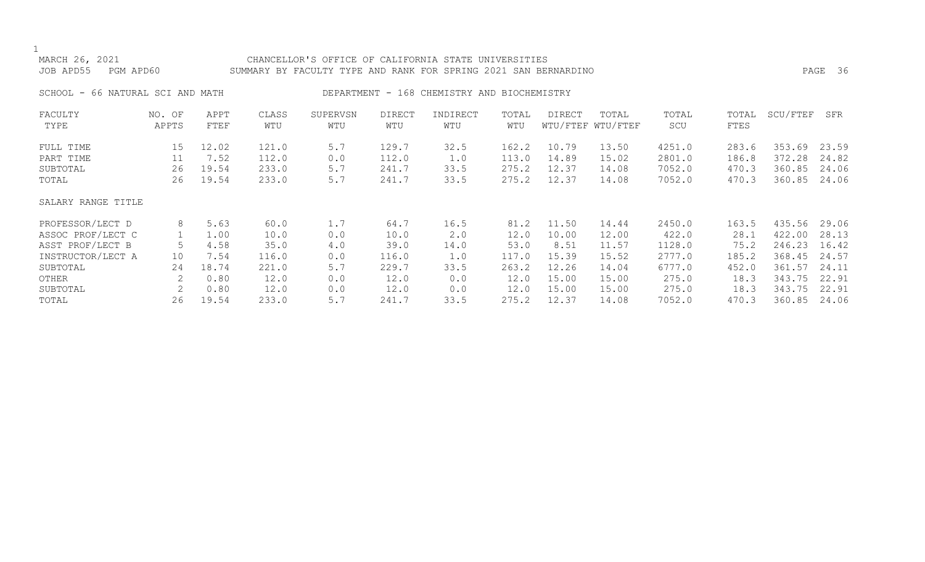| MARCH 26, 2021<br>JOB APD55      | PGM APD60       |              |              | CHANCELLOR'S OFFICE OF CALIFORNIA STATE UNIVERSITIES<br>SUMMARY BY FACULTY TYPE AND RANK FOR SPRING 2021 SAN BERNARDINO |                      |                                             |              |        |                            |              |               |          | PAGE 36 |
|----------------------------------|-----------------|--------------|--------------|-------------------------------------------------------------------------------------------------------------------------|----------------------|---------------------------------------------|--------------|--------|----------------------------|--------------|---------------|----------|---------|
| SCHOOL - 66 NATURAL SCI AND MATH |                 |              |              |                                                                                                                         |                      | DEPARTMENT - 168 CHEMISTRY AND BIOCHEMISTRY |              |        |                            |              |               |          |         |
| FACULTY<br>TYPE                  | NO. OF<br>APPTS | APPT<br>FTEF | CLASS<br>WTU | SUPERVSN<br>WTU                                                                                                         | <b>DIRECT</b><br>WTU | INDIRECT<br>WTU                             | TOTAL<br>WTU | DIRECT | TOTAL<br>WTU/FTEF WTU/FTEF | TOTAL<br>SCU | TOTAL<br>FTES | SCU/FTEF | SFR     |
| FULL TIME                        | 15              | 12.02        | 121.0        | 5.7                                                                                                                     | 129.7                | 32.5                                        | 162.2        | 10.79  | 13.50                      | 4251.0       | 283.6         | 353.69   | 23.59   |
| PART TIME                        | 11              | 7.52         | 112.0        | 0.0                                                                                                                     | 112.0                | 1.0                                         | 113.0        | 14.89  | 15.02                      | 2801.0       | 186.8         | 372.28   | 24.82   |
| SUBTOTAL                         | 26              | 19.54        | 233.0        | 5.7                                                                                                                     | 241.7                | 33.5                                        | 275.2        | 12.37  | 14.08                      | 7052.0       | 470.3         | 360.85   | 24.06   |
| TOTAL                            | 26              | 19.54        | 233.0        | 5.7                                                                                                                     | 241.7                | 33.5                                        | 275.2        | 12.37  | 14.08                      | 7052.0       | 470.3         | 360.85   | 24.06   |
| SALARY RANGE TITLE               |                 |              |              |                                                                                                                         |                      |                                             |              |        |                            |              |               |          |         |
| PROFESSOR/LECT D                 | 8               | 5.63         | 60.0         | 1.7                                                                                                                     | 64.7                 | 16.5                                        | 81.2         | 11.50  | 14.44                      | 2450.0       | 163.5         | 435.56   | 29.06   |
| ASSOC PROF/LECT C                |                 | 1.00         | 10.0         | 0.0                                                                                                                     | 10.0                 | 2.0                                         | 12.0         | 10.00  | 12.00                      | 422.0        | 28.1          | 422.00   | 28.13   |
| ASST PROF/LECT B                 | 5               | 4.58         | 35.0         | 4.0                                                                                                                     | 39.0                 | 14.0                                        | 53.0         | 8.51   | 11.57                      | 1128.0       | 75.2          | 246.23   | 16.42   |
| INSTRUCTOR/LECT A                | 10              | 7.54         | 116.0        | 0.0                                                                                                                     | 116.0                | 1.0                                         | 117.0        | 15.39  | 15.52                      | 2777.0       | 185.2         | 368.45   | 24.57   |
| SUBTOTAL                         | 24              | 18.74        | 221.0        | 5.7                                                                                                                     | 229.7                | 33.5                                        | 263.2        | 12.26  | 14.04                      | 6777.0       | 452.0         | 361.57   | 24.11   |
| OTHER                            | 2               | 0.80         | 12.0         | 0.0                                                                                                                     | 12.0                 | 0.0                                         | 12.0         | 15.00  | 15.00                      | 275.0        | 18.3          | 343.75   | 22.91   |
| SUBTOTAL                         | 2               | 0.80         | 12.0         | 0.0                                                                                                                     | 12.0                 | 0.0                                         | 12.0         | 15.00  | 15.00                      | 275.0        | 18.3          | 343.75   | 22.91   |
| TOTAL                            | 26              | 19.54        | 233.0        | 5.7                                                                                                                     | 241.7                | 33.5                                        | 275.2        | 12.37  | 14.08                      | 7052.0       | 470.3         | 360.85   | 24.06   |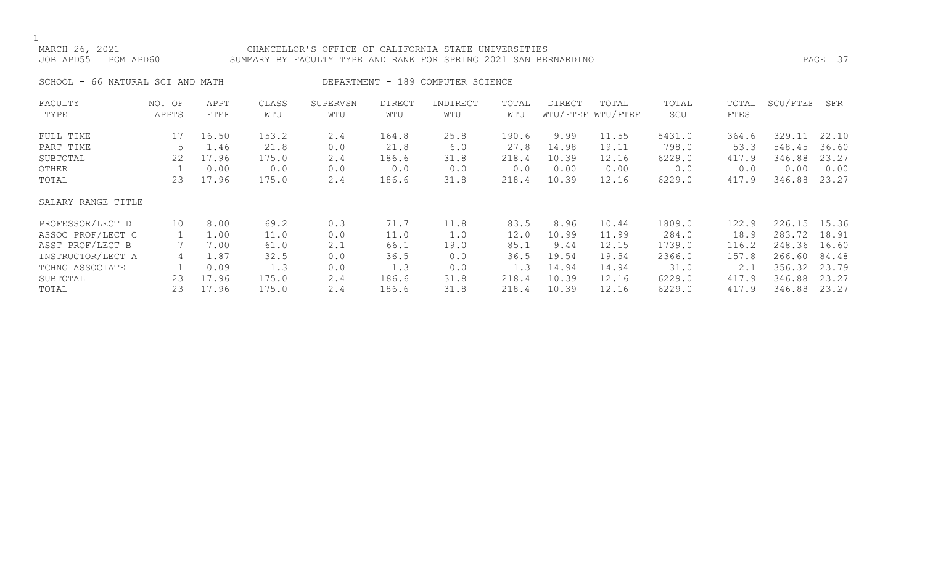# MARCH 26, 2021 CHANCELLOR'S OFFICE OF CALIFORNIA STATE UNIVERSITIES JOB APD55 PGM APD60 SUMMARY BY FACULTY TYPE AND RANK FOR SPRING 2021 SAN BERNARDINO PAGE 37

SCHOOL - 66 NATURAL SCI AND MATH DEPARTMENT - 189 COMPUTER SCIENCE

| FACULTY            | NO. OF | APPT  | CLASS | SUPERVSN | <b>DIRECT</b> | INDIRECT | TOTAL | <b>DIRECT</b> | TOTAL             | TOTAL  | TOTAL | SCU/FTEF | SFR   |
|--------------------|--------|-------|-------|----------|---------------|----------|-------|---------------|-------------------|--------|-------|----------|-------|
| TYPE               | APPTS  | FTEF  | WTU   | WTU      | WTU           | WTU      | WTU   |               | WTU/FTEF WTU/FTEF | SCU    | FTES  |          |       |
| FULL TIME          | 17     | 16.50 | 153.2 | 2.4      | 164.8         | 25.8     | 190.6 | 9.99          | 11.55             | 5431.0 | 364.6 | 329.11   | 22.10 |
| PART TIME          | 5      | 1.46  | 21.8  | 0.0      | 21.8          | 6.0      | 27.8  | 14.98         | 19.11             | 798.0  | 53.3  | 548.45   | 36.60 |
| SUBTOTAL           | 22     | 17.96 | 175.0 | 2.4      | 186.6         | 31.8     | 218.4 | 10.39         | 12.16             | 6229.0 | 417.9 | 346.88   | 23.27 |
| OTHER              |        | 0.00  | 0.0   | 0.0      | 0.0           | 0.0      | 0.0   | 0.00          | 0.00              | 0.0    | 0.0   | 0.00     | 0.00  |
| TOTAL              | 23     | 17.96 | 175.0 | 2.4      | 186.6         | 31.8     | 218.4 | 10.39         | 12.16             | 6229.0 | 417.9 | 346.88   | 23.27 |
| SALARY RANGE TITLE |        |       |       |          |               |          |       |               |                   |        |       |          |       |
| PROFESSOR/LECT D   | 10     | 8.00  | 69.2  | 0.3      | 71.7          | 11.8     | 83.5  | 8.96          | 10.44             | 1809.0 | 122.9 | 226.15   | 15.36 |
| ASSOC PROF/LECT C  |        | 1.00  | 11.0  | 0.0      | 11.0          | 1.0      | 12.0  | 10.99         | 11.99             | 284.0  | 18.9  | 283.72   | 18.91 |
| ASST PROF/LECT B   |        | 7.00  | 61.0  | 2.1      | 66.1          | 19.0     | 85.1  | 9.44          | 12.15             | 1739.0 | 116.2 | 248.36   | 16.60 |
| INSTRUCTOR/LECT A  | 4      | 1.87  | 32.5  | 0.0      | 36.5          | 0.0      | 36.5  | 19.54         | 19.54             | 2366.0 | 157.8 | 266.60   | 84.48 |
| TCHNG ASSOCIATE    |        | 0.09  | 1.3   | 0.0      | 1.3           | 0.0      | 1.3   | 14.94         | 14.94             | 31.0   | 2.1   | 356.32   | 23.79 |
| SUBTOTAL           | 23     | 17.96 | 175.0 | 2.4      | 186.6         | 31.8     | 218.4 | 10.39         | 12.16             | 6229.0 | 417.9 | 346.88   | 23.27 |
| TOTAL              | 23     | 17.96 | 175.0 | 2.4      | 186.6         | 31.8     | 218.4 | 10.39         | 12.16             | 6229.0 | 417.9 | 346.88   | 23.27 |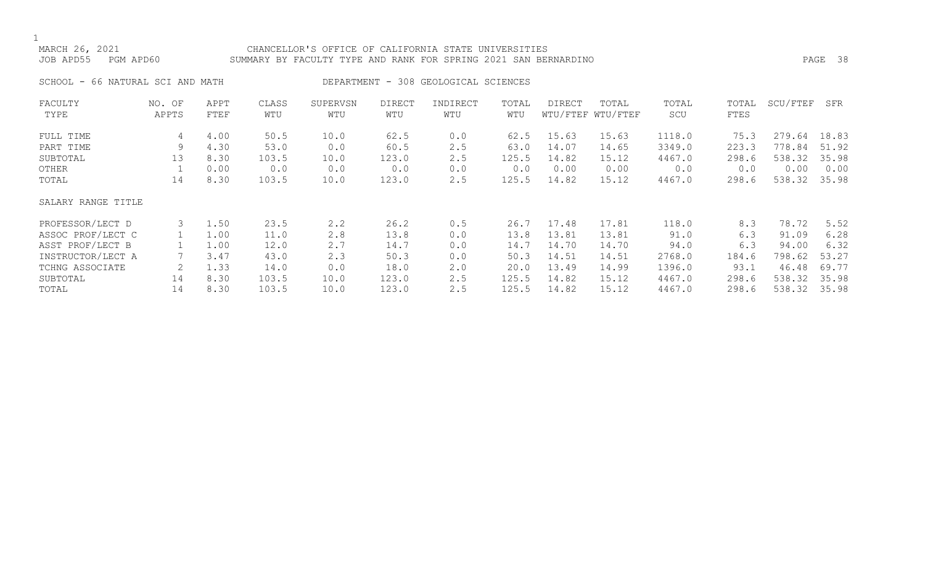# MARCH 26, 2021 CHANCELLOR'S OFFICE OF CALIFORNIA STATE UNIVERSITIES JOB APD55 PGM APD60 SUMMARY BY FACULTY TYPE AND RANK FOR SPRING 2021 SAN BERNARDINO PAGE 38

SCHOOL - 66 NATURAL SCI AND MATH DEPARTMENT - 308 GEOLOGICAL SCIENCES

| FACULTY            | NO. OF | APPT | CLASS | SUPERVSN | DIRECT | INDIRECT | TOTAL | DIRECT | TOTAL             | TOTAL  | TOTAL | SCU/FTEF | SFR   |
|--------------------|--------|------|-------|----------|--------|----------|-------|--------|-------------------|--------|-------|----------|-------|
| TYPE               | APPTS  | FTEF | WTU   | WTU      | WTU    | WTU      | WTU   |        | WTU/FTEF WTU/FTEF | SCU    | FTES  |          |       |
| FULL TIME          | 4      | 4.00 | 50.5  | 10.0     | 62.5   | 0.0      | 62.5  | 15.63  | 15.63             | 1118.0 | 75.3  | 279.64   | 18.83 |
| PART TIME          | 9      | 4.30 | 53.0  | 0.0      | 60.5   | 2.5      | 63.0  | 14.07  | 14.65             | 3349.0 | 223.3 | 778.84   | 51.92 |
| SUBTOTAL           | 13     | 8.30 | 103.5 | 10.0     | 123.0  | 2.5      | 125.5 | 14.82  | 15.12             | 4467.0 | 298.6 | 538.32   | 35.98 |
| OTHER              |        | 0.00 | 0.0   | 0.0      | 0.0    | 0.0      | 0.0   | 0.00   | 0.00              | 0.0    | 0.0   | 0.00     | 0.00  |
| TOTAL              | 14     | 8.30 | 103.5 | 10.0     | 123.0  | 2.5      | 125.5 | 14.82  | 15.12             | 4467.0 | 298.6 | 538.32   | 35.98 |
| SALARY RANGE TITLE |        |      |       |          |        |          |       |        |                   |        |       |          |       |
| PROFESSOR/LECT D   | 3      | 1.50 | 23.5  | 2.2      | 26.2   | 0.5      | 26.7  | 17.48  | 17.81             | 118.0  | 8.3   | 78.72    | 5.52  |
| ASSOC PROF/LECT C  |        | 1.00 | 11.0  | 2.8      | 13.8   | 0.0      | 13.8  | 13.81  | 13.81             | 91.0   | 6.3   | 91.09    | 6.28  |
| ASST PROF/LECT B   |        | 1.00 | 12.0  | 2.7      | 14.7   | 0.0      | 14.7  | 14.70  | 14.70             | 94.0   | 6.3   | 94.00    | 6.32  |
| INSTRUCTOR/LECT A  |        | 3.47 | 43.0  | 2.3      | 50.3   | 0.0      | 50.3  | 14.51  | 14.51             | 2768.0 | 184.6 | 798.62   | 53.27 |
| TCHNG ASSOCIATE    | 2      | 1.33 | 14.0  | 0.0      | 18.0   | 2.0      | 20.0  | 13.49  | 14.99             | 1396.0 | 93.1  | 46.48    | 69.77 |
| SUBTOTAL           | 14     | 8.30 | 103.5 | 10.0     | 123.0  | 2.5      | 125.5 | 14.82  | 15.12             | 4467.0 | 298.6 | 538.32   | 35.98 |
| TOTAL              | 14     | 8.30 | 103.5 | 10.0     | 123.0  | 2.5      | 125.5 | 14.82  | 15.12             | 4467.0 | 298.6 | 538.32   | 35.98 |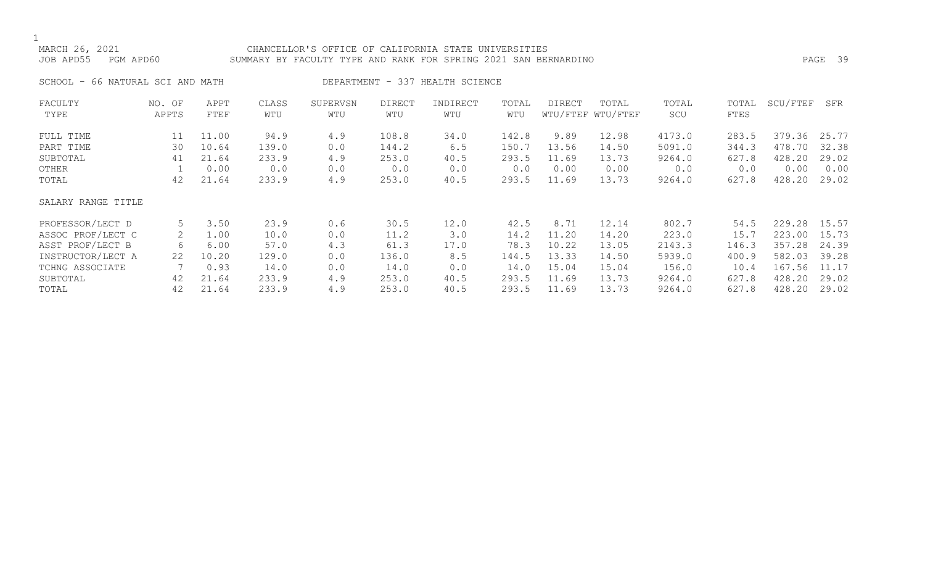# MARCH 26, 2021 CHANCELLOR'S OFFICE OF CALIFORNIA STATE UNIVERSITIES JOB APD55 PGM APD60 SUMMARY BY FACULTY TYPE AND RANK FOR SPRING 2021 SAN BERNARDINO PAGE 39

SCHOOL - 66 NATURAL SCI AND MATH DEPARTMENT - 337 HEALTH SCIENCE

| FACULTY            | NO. OF | APPT  | CLASS | SUPERVSN | <b>DIRECT</b> | INDIRECT | TOTAL | DIRECT | TOTAL             | TOTAL  | TOTAL | SCU/FTEF | SFR   |
|--------------------|--------|-------|-------|----------|---------------|----------|-------|--------|-------------------|--------|-------|----------|-------|
| TYPE               | APPTS  | FTEF  | WTU   | WTU      | WTU           | WTU      | WTU   |        | WTU/FTEF WTU/FTEF | SCU    | FTES  |          |       |
| FULL TIME          | 11     | 11.00 | 94.9  | 4.9      | 108.8         | 34.0     | 142.8 | 9.89   | 12.98             | 4173.0 | 283.5 | 379.36   | 25.77 |
| PART TIME          | 30     | 10.64 | 139.0 | 0.0      | 144.2         | 6.5      | 150.7 | 13.56  | 14.50             | 5091.0 | 344.3 | 478.70   | 32.38 |
| SUBTOTAL           | 41     | 21.64 | 233.9 | 4.9      | 253.0         | 40.5     | 293.5 | 11.69  | 13.73             | 9264.0 | 627.8 | 428.20   | 29.02 |
| OTHER              |        | 0.00  | 0.0   | 0.0      | 0.0           | 0.0      | 0.0   | 0.00   | 0.00              | 0.0    | 0.0   | 0.00     | 0.00  |
| TOTAL              | 42     | 21.64 | 233.9 | 4.9      | 253.0         | 40.5     | 293.5 | 11.69  | 13.73             | 9264.0 | 627.8 | 428.20   | 29.02 |
| SALARY RANGE TITLE |        |       |       |          |               |          |       |        |                   |        |       |          |       |
| PROFESSOR/LECT D   | 5      | 3.50  | 23.9  | 0.6      | 30.5          | 12.0     | 42.5  | 8.71   | 12.14             | 802.7  | 54.5  | 229.28   | 15.57 |
| ASSOC PROF/LECT C  |        | 1.00  | 10.0  | 0.0      | 11.2          | 3.0      | 14.2  | 11.20  | 14.20             | 223.0  | 15.7  | 223.00   | 15.73 |
| ASST PROF/LECT B   | 6      | 6.00  | 57.0  | 4.3      | 61.3          | 17.0     | 78.3  | 10.22  | 13.05             | 2143.3 | 146.3 | 357.28   | 24.39 |
| INSTRUCTOR/LECT A  | 22     | 10.20 | 129.0 | 0.0      | 136.0         | 8.5      | 144.5 | 13.33  | 14.50             | 5939.0 | 400.9 | 582.03   | 39.28 |
| TCHNG ASSOCIATE    |        | 0.93  | 14.0  | 0.0      | 14.0          | 0.0      | 14.0  | 15.04  | 15.04             | 156.0  | 10.4  | 167.56   | 11.17 |
| SUBTOTAL           | 42     | 21.64 | 233.9 | 4.9      | 253.0         | 40.5     | 293.5 | 11.69  | 13.73             | 9264.0 | 627.8 | 428.20   | 29.02 |
| TOTAL              | 42     | 21.64 | 233.9 | 4.9      | 253.0         | 40.5     | 293.5 | 11.69  | 13.73             | 9264.0 | 627.8 | 428.20   | 29.02 |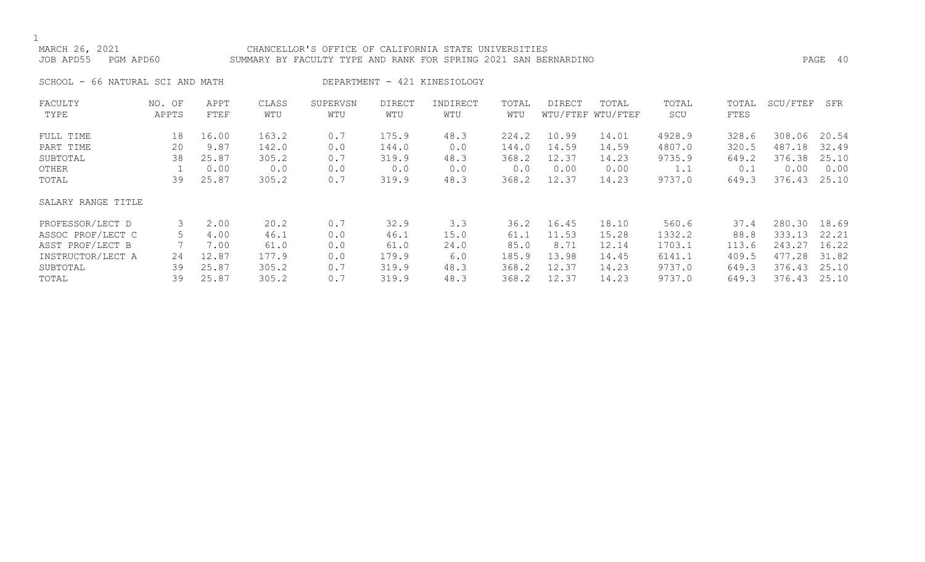# MARCH 26, 2021 CHANCELLOR'S OFFICE OF CALIFORNIA STATE UNIVERSITIES JOB APD55 PGM APD60 SUMMARY BY FACULTY TYPE AND RANK FOR SPRING 2021 SAN BERNARDINO PAGE 40

SCHOOL - 66 NATURAL SCI AND MATH DEPARTMENT - 421 KINESIOLOGY

| FACULTY            | NO. OF | APPT  | CLASS | SUPERVSN | <b>DIRECT</b> | INDIRECT | TOTAL | <b>DIRECT</b> | TOTAL             | TOTAL  | TOTAL | SCU/FTEF | SFR   |
|--------------------|--------|-------|-------|----------|---------------|----------|-------|---------------|-------------------|--------|-------|----------|-------|
| TYPE               | APPTS  | FTEF  | WTU   | WTU      | WTU           | WTU      | WTU   |               | WTU/FTEF WTU/FTEF | SCU    | FTES  |          |       |
| FULL TIME          | 18     | 16.00 | 163.2 | 0.7      | 175.9         | 48.3     | 224.2 | 10.99         | 14.01             | 4928.9 | 328.6 | 308.06   | 20.54 |
| PART TIME          | 20     | 9.87  | 142.0 | 0.0      | 144.0         | 0.0      | 144.0 | 14.59         | 14.59             | 4807.0 | 320.5 | 487.18   | 32.49 |
| SUBTOTAL           | 38     | 25.87 | 305.2 | 0.7      | 319.9         | 48.3     | 368.2 | 12.37         | 14.23             | 9735.9 | 649.2 | 376.38   | 25.10 |
| OTHER              |        | 0.00  | 0.0   | 0.0      | 0.0           | 0.0      | 0.0   | 0.00          | 0.00              | 1.1    | 0.1   | 0.00     | 0.00  |
| TOTAL              | 39     | 25.87 | 305.2 | 0.7      | 319.9         | 48.3     | 368.2 | 12.37         | 14.23             | 9737.0 | 649.3 | 376.43   | 25.10 |
| SALARY RANGE TITLE |        |       |       |          |               |          |       |               |                   |        |       |          |       |
| PROFESSOR/LECT D   | 3      | 2.00  | 20.2  | 0.7      | 32.9          | 3.3      | 36.2  | 16.45         | 18.10             | 560.6  | 37.4  | 280.30   | 18.69 |
| ASSOC PROF/LECT C  | 5      | 4.00  | 46.1  | 0.0      | 46.1          | 15.0     | 61.1  | 11.53         | 15.28             | 1332.2 | 88.8  | 333.13   | 22.21 |
| ASST PROF/LECT B   |        | 7.00  | 61.0  | 0.0      | 61.0          | 24.0     | 85.0  | 8.71          | 12.14             | 1703.1 | 113.6 | 243.27   | 16.22 |
| INSTRUCTOR/LECT A  | 24     | 12.87 | 177.9 | 0.0      | 179.9         | 6.0      | 185.9 | 13.98         | 14.45             | 6141.1 | 409.5 | 477.28   | 31.82 |
| SUBTOTAL           | 39     | 25.87 | 305.2 | 0.7      | 319.9         | 48.3     | 368.2 | 12.37         | 14.23             | 9737.0 | 649.3 | 376.43   | 25.10 |
| TOTAL              | 39     | 25.87 | 305.2 | 0.7      | 319.9         | 48.3     | 368.2 | 12.37         | 14.23             | 9737.0 | 649.3 | 376.43   | 25.10 |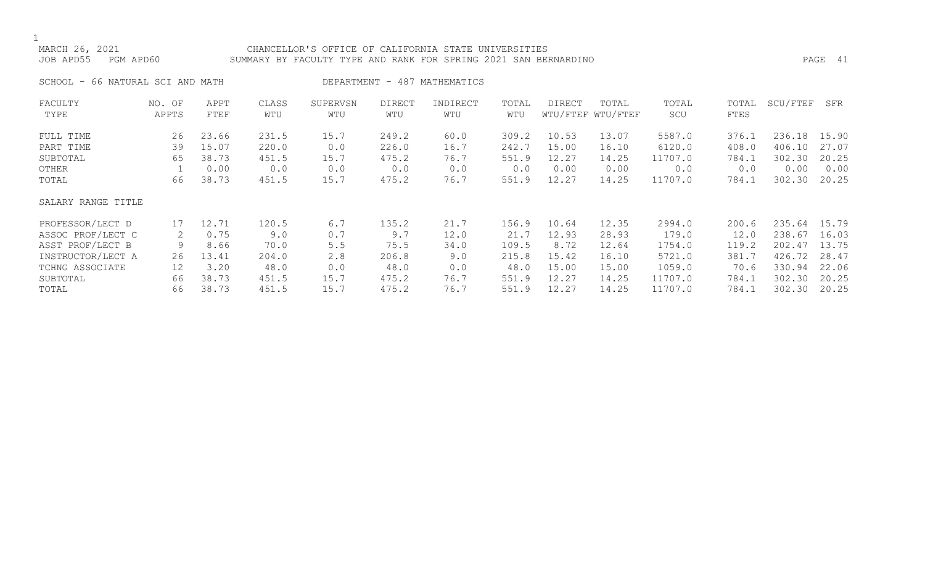# MARCH 26, 2021 CHANCELLOR'S OFFICE OF CALIFORNIA STATE UNIVERSITIES JOB APD55 PGM APD60 SUMMARY BY FACULTY TYPE AND RANK FOR SPRING 2021 SAN BERNARDINO PAGE 41

SCHOOL - 66 NATURAL SCI AND MATH DEPARTMENT - 487 MATHEMATICS

| FACULTY            | NO. OF | APPT  | CLASS | SUPERVSN | <b>DIRECT</b> | INDIRECT | TOTAL | DIRECT | TOTAL             | TOTAL   | TOTAL | SCU/FTEF | SFR   |
|--------------------|--------|-------|-------|----------|---------------|----------|-------|--------|-------------------|---------|-------|----------|-------|
| TYPE               | APPTS  | FTEF  | WTU   | WTU      | WTU           | WTU      | WTU   |        | WTU/FTEF WTU/FTEF | SCU     | FTES  |          |       |
| FULL TIME          | 26     | 23.66 | 231.5 | 15.7     | 249.2         | 60.0     | 309.2 | 10.53  | 13.07             | 5587.0  | 376.1 | 236.18   | 15.90 |
| PART TIME          | 39     | 15.07 | 220.0 | 0.0      | 226.0         | 16.7     | 242.7 | 15.00  | 16.10             | 6120.0  | 408.0 | 406.10   | 27.07 |
| SUBTOTAL           | 65     | 38.73 | 451.5 | 15.7     | 475.2         | 76.7     | 551.9 | 12.27  | 14.25             | 11707.0 | 784.1 | 302.30   | 20.25 |
| OTHER              |        | 0.00  | 0.0   | 0.0      | 0.0           | 0.0      | 0.0   | 0.00   | 0.00              | 0.0     | 0.0   | 0.00     | 0.00  |
| TOTAL              | 66     | 38.73 | 451.5 | 15.7     | 475.2         | 76.7     | 551.9 | 12.27  | 14.25             | 11707.0 | 784.1 | 302.30   | 20.25 |
| SALARY RANGE TITLE |        |       |       |          |               |          |       |        |                   |         |       |          |       |
| PROFESSOR/LECT D   | 17     | 12.71 | 120.5 | 6.7      | 135.2         | 21.7     | 156.9 | 10.64  | 12.35             | 2994.0  | 200.6 | 235.64   | 15.79 |
| ASSOC PROF/LECT C  | 2      | 0.75  | 9.0   | 0.7      | 9.7           | 12.0     | 21.7  | 12.93  | 28.93             | 179.0   | 12.0  | 238.67   | 16.03 |
| ASST PROF/LECT B   | 9      | 8.66  | 70.0  | 5.5      | 75.5          | 34.0     | 109.5 | 8.72   | 12.64             | 1754.0  | 119.2 | 202.47   | 13.75 |
| INSTRUCTOR/LECT A  | 26     | 13.41 | 204.0 | 2.8      | 206.8         | 9.0      | 215.8 | 15.42  | 16.10             | 5721.0  | 381.7 | 426.72   | 28.47 |
| TCHNG ASSOCIATE    | 12     | 3.20  | 48.0  | 0.0      | 48.0          | 0.0      | 48.0  | 15.00  | 15.00             | 1059.0  | 70.6  | 330.94   | 22.06 |
| SUBTOTAL           | 66     | 38.73 | 451.5 | 15.7     | 475.2         | 76.7     | 551.9 | 12.27  | 14.25             | 11707.0 | 784.1 | 302.30   | 20.25 |
| TOTAL              | 66     | 38.73 | 451.5 | 15.7     | 475.2         | 76.7     | 551.9 | 12.27  | 14.25             | 11707.0 | 784.1 | 302.30   | 20.25 |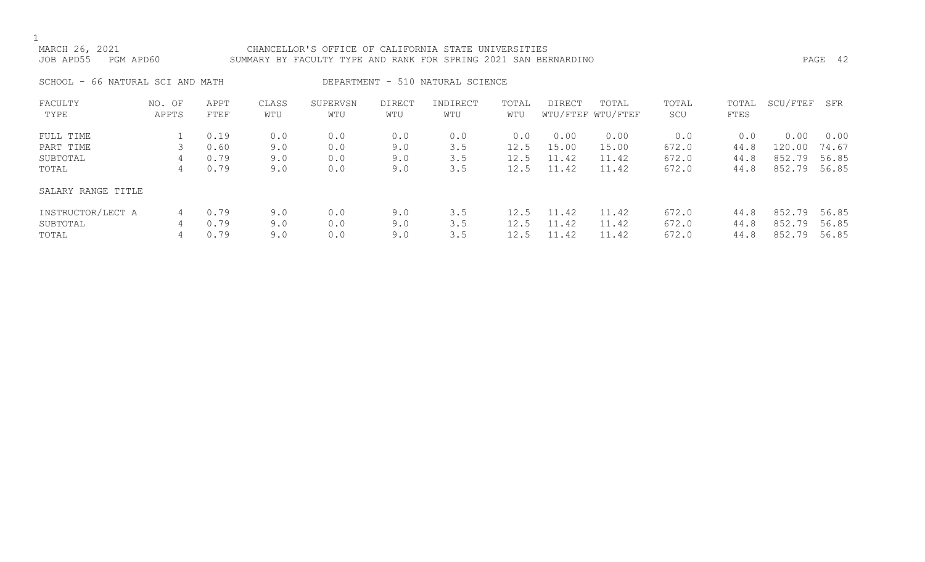# MARCH 26, 2021 CHANCELLOR'S OFFICE OF CALIFORNIA STATE UNIVERSITIES JOB APD55 PGM APD60 SUMMARY BY FACULTY TYPE AND RANK FOR SPRING 2021 SAN BERNARDINO PAGE 42

SCHOOL - 66 NATURAL SCI AND MATH DEPARTMENT - 510 NATURAL SCIENCE

| FACULTY            | NO. OF | APPT | CLASS | SUPERVSN | <b>DIRECT</b> | INDIRECT | TOTAL | DIRECT | TOTAL             | TOTAL | TOTAL | SCU/FTEF | SFR   |
|--------------------|--------|------|-------|----------|---------------|----------|-------|--------|-------------------|-------|-------|----------|-------|
| TYPE               | APPTS  | FTEF | WTU   | WTU      | WTU           | WTU      | WTU   |        | WTU/FTEF WTU/FTEF | SCU   | FTES  |          |       |
|                    |        |      |       |          |               |          |       |        |                   |       |       |          |       |
| FULL TIME          |        | 0.19 | 0.0   | 0.0      | 0.0           | 0.0      | 0.0   | 0.00   | 0.00              | 0.0   | 0.0   | 0.00     | 0.00  |
| PART TIME          |        | 0.60 | 9.0   | 0.0      | 9.0           | 3.5      | 12.5  | 15.00  | 15.00             | 672.0 | 44.8  | 120.00   | 74.67 |
| SUBTOTAL           | 4      | 0.79 | 9.0   | 0.0      | 9.0           | 3.5      | 12.5  | 11.42  | 11.42             | 672.0 | 44.8  | 852.79   | 56.85 |
| TOTAL              | 4      | 0.79 | 9.0   | 0.0      | 9.0           | 3.5      | 12.5  | 11.42  | 11.42             | 672.0 | 44.8  | 852.79   | 56.85 |
| SALARY RANGE TITLE |        |      |       |          |               |          |       |        |                   |       |       |          |       |
| INSTRUCTOR/LECT A  | 4      | 0.79 | 9.0   | 0.0      | 9.0           | 3.5      | 12.5  | 11.42  | 11.42             | 672.0 | 44.8  | 852.79   | 56.85 |
| SUBTOTAL           | 4      | 0.79 | 9.0   | 0.0      | 9.0           | 3.5      | 12.5  | 11.42  | 11.42             | 672.0 | 44.8  | 852.79   | 56.85 |
| TOTAL              | 4      | 0.79 | 9.0   | 0.0      | 9.0           | 3.5      |       | 11.42  | 11.42             | 672.0 | 44.8  | 852.79   | 56.85 |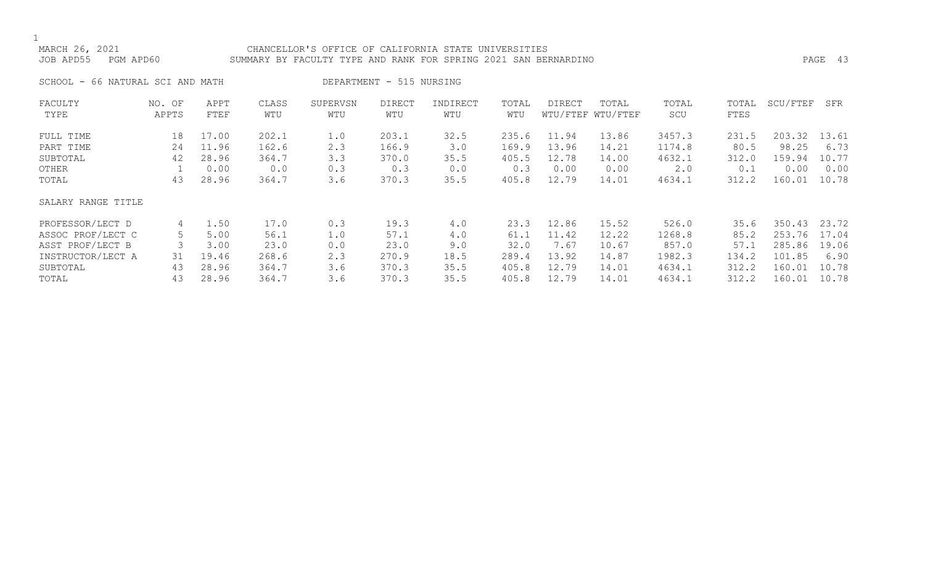# MARCH 26, 2021 CHANCELLOR'S OFFICE OF CALIFORNIA STATE UNIVERSITIES JOB APD55 PGM APD60 SUMMARY BY FACULTY TYPE AND RANK FOR SPRING 2021 SAN BERNARDINO PAGE 43

SCHOOL - 66 NATURAL SCI AND MATH DEPARTMENT - 515 NURSING

| FACULTY            | NO. OF | APPT  | CLASS | SUPERVSN | <b>DIRECT</b> | INDIRECT | TOTAL | <b>DIRECT</b> | TOTAL             | TOTAL  | TOTAL | SCU/FTEF | SFR   |
|--------------------|--------|-------|-------|----------|---------------|----------|-------|---------------|-------------------|--------|-------|----------|-------|
| TYPE               | APPTS  | FTEF  | WTU   | WTU      | WTU           | WTU      | WTU   |               | WTU/FTEF WTU/FTEF | SCU    | FTES  |          |       |
| FULL TIME          | 18     | 17.00 | 202.1 | 1.0      | 203.1         | 32.5     | 235.6 | 11.94         | 13.86             | 3457.3 | 231.5 | 203.32   | 13.61 |
| PART TIME          | 24     | 11.96 | 162.6 | 2.3      | 166.9         | 3.0      | 169.9 | 13.96         | 14.21             | 1174.8 | 80.5  | 98.25    | 6.73  |
| SUBTOTAL           | 42     | 28.96 | 364.7 | 3.3      | 370.0         | 35.5     | 405.5 | 12.78         | 14.00             | 4632.1 | 312.0 | 159.94   | 10.77 |
| OTHER              |        | 0.00  | 0.0   | 0.3      | 0.3           | 0.0      | 0.3   | 0.00          | 0.00              | 2.0    | 0.1   | 0.00     | 0.00  |
| TOTAL              | 43     | 28.96 | 364.7 | 3.6      | 370.3         | 35.5     | 405.8 | 12.79         | 14.01             | 4634.1 | 312.2 | 160.01   | 10.78 |
| SALARY RANGE TITLE |        |       |       |          |               |          |       |               |                   |        |       |          |       |
| PROFESSOR/LECT D   | 4      | 1.50  | 17.0  | 0.3      | 19.3          | 4.0      | 23.3  | 12.86         | 15.52             | 526.0  | 35.6  | 350.43   | 23.72 |
| ASSOC PROF/LECT C  | 5      | 5.00  | 56.1  | 1.0      | 57.1          | 4.0      | 61.1  | 11.42         | 12.22             | 1268.8 | 85.2  | 253.76   | 17.04 |
| ASST PROF/LECT B   |        | 3.00  | 23.0  | 0.0      | 23.0          | 9.0      | 32.0  | 7.67          | 10.67             | 857.0  | 57.1  | 285.86   | 19.06 |
| INSTRUCTOR/LECT A  | 31     | 19.46 | 268.6 | 2.3      | 270.9         | 18.5     | 289.4 | 13.92         | 14.87             | 1982.3 | 134.2 | 101.85   | 6.90  |
| SUBTOTAL           | 43     | 28.96 | 364.7 | 3.6      | 370.3         | 35.5     | 405.8 | 12.79         | 14.01             | 4634.1 | 312.2 | 160.01   | 10.78 |
| TOTAL              | 43     | 28.96 | 364.7 | 3.6      | 370.3         | 35.5     | 405.8 | 12.79         | 14.01             | 4634.1 | 312.2 | 160.01   | 10.78 |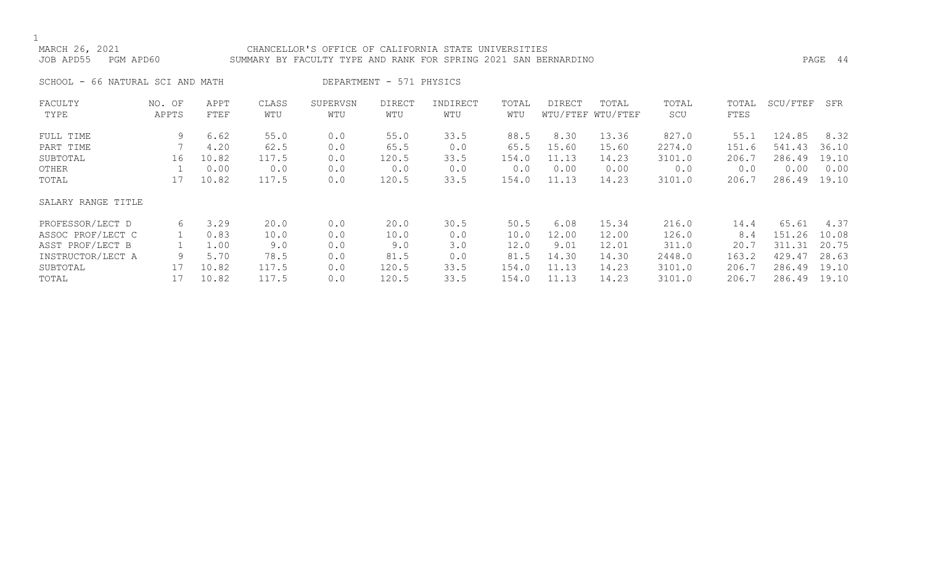# MARCH 26, 2021 CHANCELLOR'S OFFICE OF CALIFORNIA STATE UNIVERSITIES JOB APD55 PGM APD60 SUMMARY BY FACULTY TYPE AND RANK FOR SPRING 2021 SAN BERNARDINO PAGE 44

SCHOOL - 66 NATURAL SCI AND MATH DEPARTMENT - 571 PHYSICS

| FACULTY            | NO. OF | APPT  | CLASS | SUPERVSN | <b>DIRECT</b> | INDIRECT | TOTAL | DIRECT | TOTAL             | TOTAL  | TOTAL | SCU/FTEF | SFR   |
|--------------------|--------|-------|-------|----------|---------------|----------|-------|--------|-------------------|--------|-------|----------|-------|
| TYPE               | APPTS  | FTEF  | WTU   | WTU      | WTU           | WTU      | WTU   |        | WTU/FTEF WTU/FTEF | SCU    | FTES  |          |       |
| FULL TIME          | 9      | 6.62  | 55.0  | 0.0      | 55.0          | 33.5     | 88.5  | 8.30   | 13.36             | 827.0  | 55.1  | 124.85   | 8.32  |
| PART TIME          |        | 4.20  | 62.5  | 0.0      | 65.5          | 0.0      | 65.5  | 15.60  | 15.60             | 2274.0 | 151.6 | 541.43   | 36.10 |
| SUBTOTAL           | 16     | 10.82 | 117.5 | 0.0      | 120.5         | 33.5     | 154.0 | 11.13  | 14.23             | 3101.0 | 206.7 | 286.49   | 19.10 |
| OTHER              |        | 0.00  | 0.0   | 0.0      | 0.0           | 0.0      | 0.0   | 0.00   | 0.00              | 0.0    | 0.0   | 0.00     | 0.00  |
| TOTAL              | 17     | 10.82 | 117.5 | 0.0      | 120.5         | 33.5     | 154.0 | 11.13  | 14.23             | 3101.0 | 206.7 | 286.49   | 19.10 |
| SALARY RANGE TITLE |        |       |       |          |               |          |       |        |                   |        |       |          |       |
| PROFESSOR/LECT D   | 6      | 3.29  | 20.0  | 0.0      | 20.0          | 30.5     | 50.5  | 6.08   | 15.34             | 216.0  | 14.4  | 65.61    | 4.37  |
| ASSOC PROF/LECT C  |        | 0.83  | 10.0  | 0.0      | 10.0          | 0.0      | 10.0  | 12.00  | 12.00             | 126.0  | 8.4   | 151.26   | 10.08 |
| ASST PROF/LECT B   |        | 1.00  | 9.0   | 0.0      | 9.0           | 3.0      | 12.0  | 9.01   | 12.01             | 311.0  | 20.7  | 311.31   | 20.75 |
| INSTRUCTOR/LECT A  | 9      | 5.70  | 78.5  | 0.0      | 81.5          | 0.0      | 81.5  | 14.30  | 14.30             | 2448.0 | 163.2 | 429.47   | 28.63 |
| SUBTOTAL           | 17     | 10.82 | 117.5 | 0.0      | 120.5         | 33.5     | 154.0 | 11.13  | 14.23             | 3101.0 | 206.7 | 286.49   | 19.10 |
| TOTAL              |        | 10.82 | 117.5 | 0.0      | 120.5         | 33.5     | 154.0 | 11.13  | 14.23             | 3101.0 | 206.7 | 286.49   | 19.10 |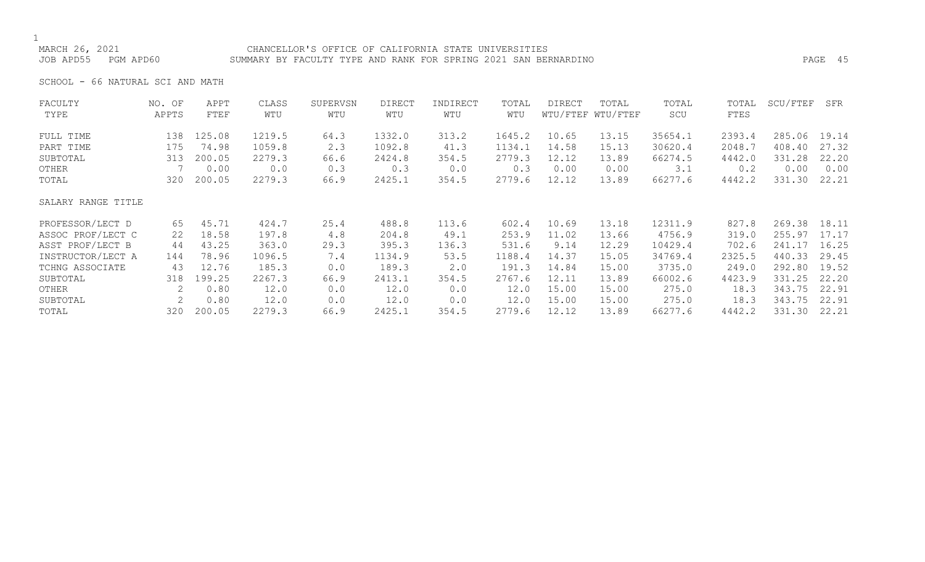# CHANCELLOR'S OFFICE OF CALIFORNIA STATE UNIVERSITIES JOB APD55 PGM APD60 SUMMARY BY FACULTY TYPE AND RANK FOR SPRING 2021 SAN BERNARDINO PAGE 45

SCHOOL - 66 NATURAL SCI AND MATH

| FACULTY            | NO. OF                    | APPT   | CLASS  | SUPERVSN | <b>DIRECT</b> | INDIRECT | TOTAL  | DIRECT | TOTAL             | TOTAL   | TOTAL  | SCU/FTEF | SFR   |
|--------------------|---------------------------|--------|--------|----------|---------------|----------|--------|--------|-------------------|---------|--------|----------|-------|
| TYPE               | APPTS                     | FTEF   | WTU    | WTU      | WTU           | WTU      | WTU    |        | WTU/FTEF WTU/FTEF | SCU     | FTES   |          |       |
| FULL TIME          | 138                       | 125.08 | 1219.5 | 64.3     | 1332.0        | 313.2    | 1645.2 | 10.65  | 13.15             | 35654.1 | 2393.4 | 285.06   | 19.14 |
| PART TIME          | 175                       | 74.98  | 1059.8 | 2.3      | 1092.8        | 41.3     | 1134.1 | 14.58  | 15.13             | 30620.4 | 2048.7 | 408.40   | 27.32 |
| SUBTOTAL           | 313                       | 200.05 | 2279.3 | 66.6     | 2424.8        | 354.5    | 2779.3 | 12.12  | 13.89             | 66274.5 | 4442.0 | 331.28   | 22.20 |
| OTHER              |                           | 0.00   | 0.0    | 0.3      | 0.3           | 0.0      | 0.3    | 0.00   | 0.00              | 3.1     | 0.2    | 0.00     | 0.00  |
| TOTAL              | 320                       | 200.05 | 2279.3 | 66.9     | 2425.1        | 354.5    | 2779.6 | 12.12  | 13.89             | 66277.6 | 4442.2 | 331.30   | 22.21 |
| SALARY RANGE TITLE |                           |        |        |          |               |          |        |        |                   |         |        |          |       |
| PROFESSOR/LECT D   | 65                        | 45.71  | 424.7  | 25.4     | 488.8         | 113.6    | 602.4  | 10.69  | 13.18             | 12311.9 | 827.8  | 269.38   | 18.11 |
| ASSOC PROF/LECT C  | 22                        | 18.58  | 197.8  | 4.8      | 204.8         | 49.1     | 253.9  | 11.02  | 13.66             | 4756.9  | 319.0  | 255.97   | 17.17 |
| ASST PROF/LECT B   | 44                        | 43.25  | 363.0  | 29.3     | 395.3         | 136.3    | 531.6  | 9.14   | 12.29             | 10429.4 | 702.6  | 241.17   | 16.25 |
| INSTRUCTOR/LECT A  | 144                       | 78.96  | 1096.5 | 7.4      | 1134.9        | 53.5     | 1188.4 | 14.37  | 15.05             | 34769.4 | 2325.5 | 440.33   | 29.45 |
| TCHNG ASSOCIATE    | 43                        | 12.76  | 185.3  | 0.0      | 189.3         | 2.0      | 191.3  | 14.84  | 15.00             | 3735.0  | 249.0  | 292.80   | 19.52 |
| SUBTOTAL           | 318                       | 199.25 | 2267.3 | 66.9     | 2413.1        | 354.5    | 2767.6 | 12.11  | 13.89             | 66002.6 | 4423.9 | 331.25   | 22.20 |
| OTHER              | $\mathbf{2}^{\mathsf{I}}$ | 0.80   | 12.0   | 0.0      | 12.0          | 0.0      | 12.0   | 15.00  | 15.00             | 275.0   | 18.3   | 343.75   | 22.91 |
| SUBTOTAL           | 2                         | 0.80   | 12.0   | 0.0      | 12.0          | 0.0      | 12.0   | 15.00  | 15.00             | 275.0   | 18.3   | 343.75   | 22.91 |
| TOTAL              | 320                       | 200.05 | 2279.3 | 66.9     | 2425.1        | 354.5    | 2779.6 | 12.12  | 13.89             | 66277.6 | 4442.2 | 331.30   | 22.21 |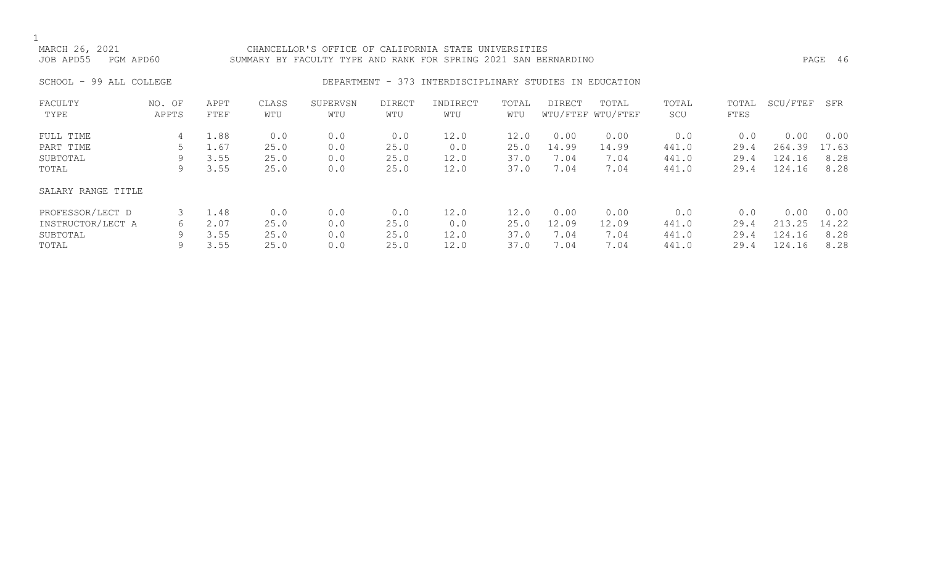# CHANCELLOR'S OFFICE OF CALIFORNIA STATE UNIVERSITIES JOB APD55 PGM APD60 SUMMARY BY FACULTY TYPE AND RANK FOR SPRING 2021 SAN BERNARDINO PAGE 46

# SCHOOL - 99 ALL COLLEGE **DEPARTMENT - 373 INTERDISCIPLINARY STUDIES IN EDUCATION**

| FACULTY<br>TYPE    | NO. OF<br>APPTS | APPT<br>FTEF | CLASS<br>WTU | SUPERVSN<br>WTU | <b>DIRECT</b><br>WTU | INDIRECT<br>WTU | TOTAL<br>WTU | DIRECT | TOTAL<br>WTU/FTEF WTU/FTEF | TOTAL<br>SCU | TOTAL<br>FTES | SCU/FTEF | <b>SFR</b> |
|--------------------|-----------------|--------------|--------------|-----------------|----------------------|-----------------|--------------|--------|----------------------------|--------------|---------------|----------|------------|
| FULL TIME          | 4               | 1.88         | 0.0          | 0.0             | 0.0                  | 12.0            | 12.0         | 0.00   | 0.00                       | 0.0          | 0.0           | 0.00     | 0.00       |
| PART TIME          |                 | 1.67         | 25.0         | 0.0             | 25.0                 | 0.0             | 25.0         | 14.99  | 14.99                      | 441.0        | 29.4          | 264.39   | 17.63      |
| SUBTOTAL           | 9               | 3.55         | 25.0         | 0.0             | 25.0                 | 12.0            | 37.0         | 7.04   | 7.04                       | 441.0        | 29.4          | 124.16   | 8.28       |
| TOTAL              | 9               | 3.55         | 25.0         | 0.0             | 25.0                 | 12.0            | 37.0         | 7.04   | 7.04                       | 441.0        | 29.4          | 124.16   | 8.28       |
| SALARY RANGE TITLE |                 |              |              |                 |                      |                 |              |        |                            |              |               |          |            |
| PROFESSOR/LECT D   | 3               | 1.48         | 0.0          | 0.0             | 0.0                  | 12.0            | 12.0         | 0.00   | 0.00                       | 0.0          | 0.0           | 0.00     | 0.00       |
| INSTRUCTOR/LECT A  | 6               | 2.07         | 25.0         | 0.0             | 25.0                 | 0.0             | 25.0         | 12.09  | 12.09                      | 441.0        | 29.4          | 213.25   | 14.22      |
| SUBTOTAL           | 9               | 3.55         | 25.0         | 0.0             | 25.0                 | 12.0            | 37.0         | 7.04   | 7.04                       | 441.0        | 29.4          | 124.16   | 8.28       |
| TOTAL              | 9               | 3.55         | 25.0         | 0.0             | 25.0                 | 12.0            | 37.0         | 7.04   | 7.04                       | 441.0        | 29.4          | 124.16   | 8.28       |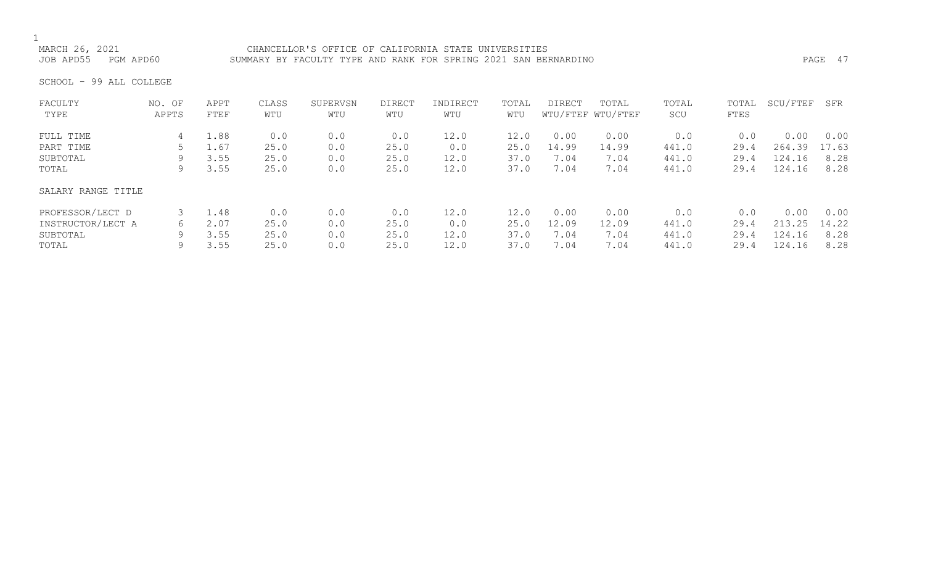MARCH 26, 2021 CHANCELLOR'S OFFICE OF CALIFORNIA STATE UNIVERSITIES<br>JOB APD55 PGM APD60 SUMMARY BY FACULTY TYPE AND RANK FOR SPRING 2021 SAN BEF SUMMARY BY FACULTY TYPE AND RANK FOR SPRING 2021 SAN BERNARDINO **PAGE 17** PAGE 47

SCHOOL - 99 ALL COLLEGE

| FACULTY            | NO. OF | APPT | CLASS | SUPERVSN | <b>DIRECT</b> | INDIRECT | TOTAL | <b>DIRECT</b> | TOTAL             | TOTAL | TOTAL | SCU/FTEF | SFR   |
|--------------------|--------|------|-------|----------|---------------|----------|-------|---------------|-------------------|-------|-------|----------|-------|
| TYPE               | APPTS  | FTEF | WTU   | WTU      | WTU           | WTU      | WTU   |               | WTU/FTEF WTU/FTEF | SCU   | FTES  |          |       |
| FULL TIME          | 4      | 1.88 | 0.0   | 0.0      | 0.0           | 12.0     | 12.0  | 0.00          | 0.00              | 0.0   | 0.0   | 0.00     | 0.00  |
| PART TIME          |        | 1.67 | 25.0  | 0.0      | 25.0          | 0.0      | 25.0  | 14.99         | 14.99             | 441.0 | 29.4  | 264.39   | 17.63 |
| SUBTOTAL           | 9      | 3.55 | 25.0  | 0.0      | 25.0          | 12.0     | 37.0  | 7.04          | 7.04              | 441.0 | 29.4  | 124.16   | 8.28  |
| TOTAL              | 9      | 3.55 | 25.0  | 0.0      | 25.0          | 12.0     | 37.0  | 7.04          | 7.04              | 441.0 | 29.4  | 124.16   | 8.28  |
| SALARY RANGE TITLE |        |      |       |          |               |          |       |               |                   |       |       |          |       |
| PROFESSOR/LECT D   |        | 1.48 | 0.0   | 0.0      | 0.0           | 12.0     | 12.0  | 0.00          | 0.00              | 0.0   | 0.0   | 0.00     | 0.00  |
| INSTRUCTOR/LECT A  | 6      | 2.07 | 25.0  | 0.0      | 25.0          | 0.0      | 25.0  | 12.09         | 12.09             | 441.0 | 29.4  | 213.25   | 14.22 |
| SUBTOTAL           | 9      | 3.55 | 25.0  | 0.0      | 25.0          | 12.0     | 37.0  | 7.04          | 7.04              | 441.0 | 29.4  | 124.16   | 8.28  |
| TOTAL              | 9      | 3.55 | 25.0  | 0.0      | 25.0          | 12.0     | 37.0  | 7.04          | 7.04              | 441.0 | 29.4  | 124.16   | 8.28  |